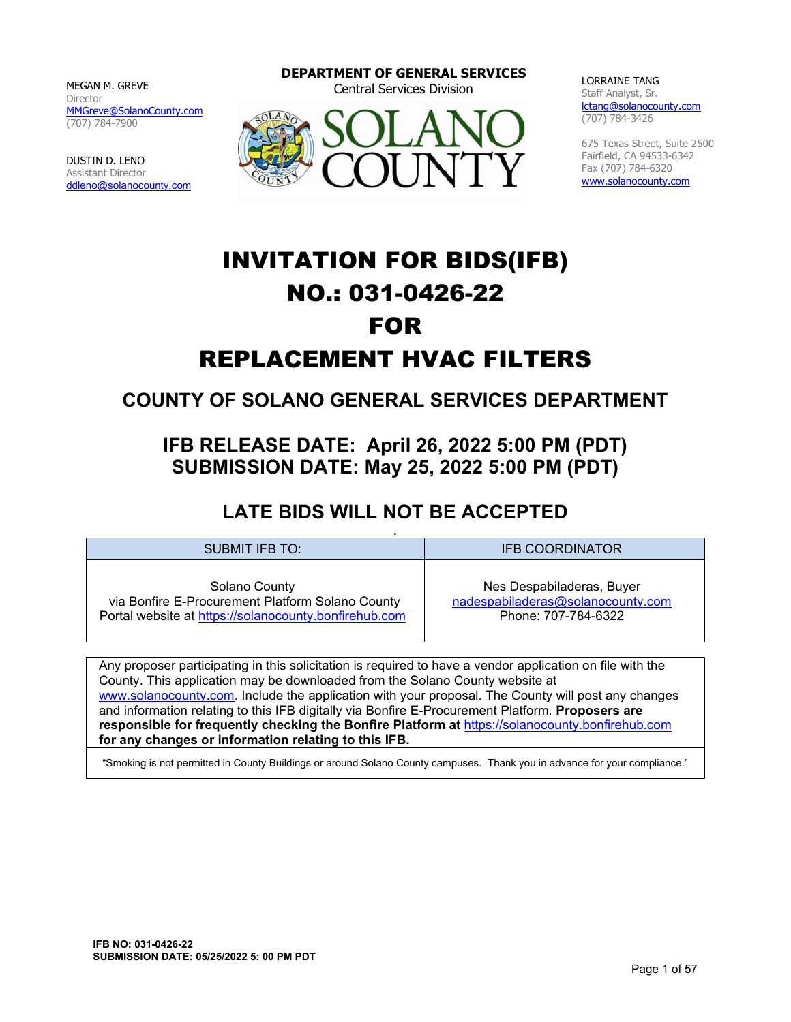MEGAN M. GREVE **Director** [MMGreve@SolanoCounty.com](mailto:MMGreve@SolanoCounty.com) (707) 784-7900

DUSTIN D. LENO Assistant Director [ddleno@solanocounty.com](mailto:ddleno@solanocounty.com) **DEPARTMENT OF GENERAL SERVICES** Central Services Division LORRAINE TANG

Staff Analyst, Sr. [lctang@solanocounty.com](mailto:lctang@solanocounty.com) (707) 784-3426

675 Texas Street, Suite 2500 Fairfield, CA 94533-6342 Fax (707) 784-6320 [www.solanocounty.com](http://www.solanocounty.com/)

# INVITATION FOR BIDS(IFB) NO.: 031-0426-22 FOR REPLACEMENT HVAC FILTERS

## **COUNTY OF SOLANO GENERAL SERVICES DEPARTMENT**

## **IFB RELEASE DATE: April 26, 2022 5:00 PM (PDT) SUBMISSION DATE: May 25, 2022 5:00 PM (PDT)**

## **LATE BIDS WILL NOT BE ACCEPTED**

| SUBMIT IFB TO:                                                                                                             | <b>IFB COORDINATOR</b>                                                                |
|----------------------------------------------------------------------------------------------------------------------------|---------------------------------------------------------------------------------------|
| Solano County<br>via Bonfire E-Procurement Platform Solano County<br>Portal website at https://solanocounty.bonfirehub.com | Nes Despabiladeras, Buyer<br>nadespabiladeras@solanocounty.com<br>Phone: 707-784-6322 |

Any proposer participating in this solicitation is required to have a vendor application on file with the County. This application may be downloaded from the Solano County website at [www.solanocounty.com.](http://www.solanocounty.com/) Include the application with your proposal. The County will post any changes and information relating to this IFB digitally via Bonfire E-Procurement Platform. **Proposers are responsible for frequently checking the Bonfire Platform at** [https://solanocounty.bonfirehub.com](https://solanocounty.bonfirehub.com/) **for any changes or information relating to this IFB.**

"Smoking is not permitted in County Buildings or around Solano County campuses. Thank you in advance for your compliance."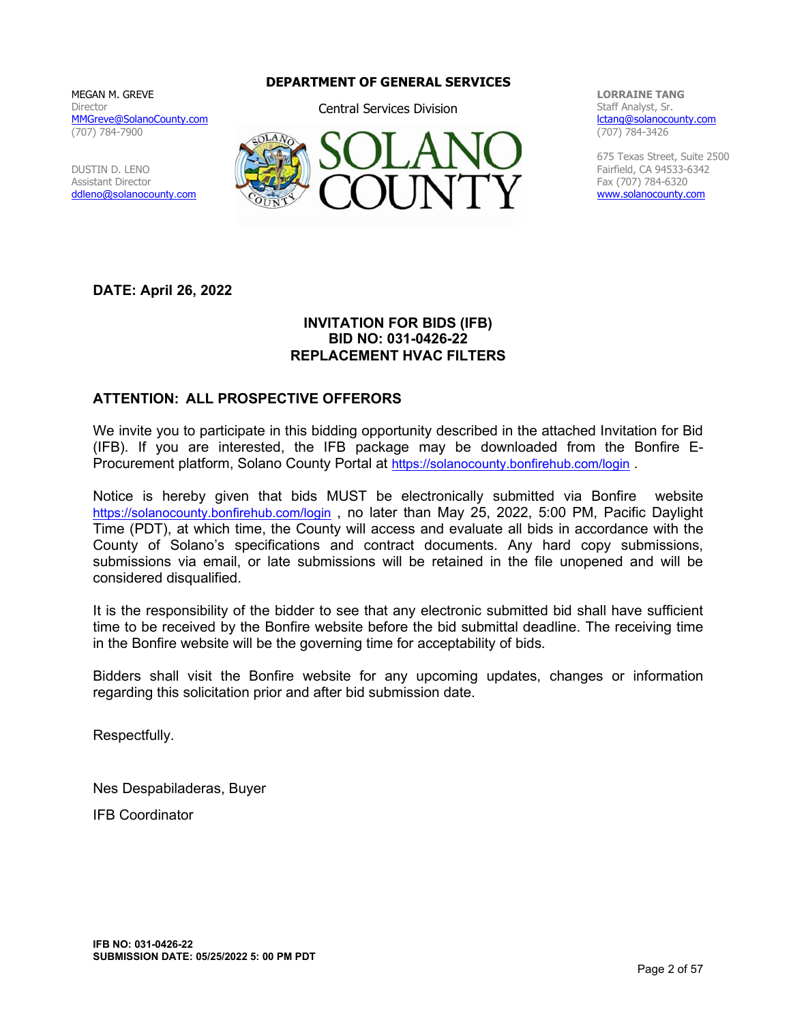### **DEPARTMENT OF GENERAL SERVICES** Central Services Division

MEGAN M. GREVE **Director** [MMGreve@SolanoCounty.com](mailto:MMGreve@SolanoCounty.com) (707) 784-7900

DUSTIN D. LENO Assistant Director [ddleno@solanocounty.com](mailto:ddleno@solanocounty.com)



**LORRAINE TANG** Staff Analyst, Sr. [lctang@solanocounty.com](mailto:lctang@solanocounty.com) (707) 784-3426

675 Texas Street, Suite 2500 Fairfield, CA 94533-6342 Fax (707) 784-6320 [www.solanocounty.com](http://www.solanocounty.com/)

**DATE: April 26, 2022**

### **INVITATION FOR BIDS (IFB) BID NO: 031-0426-22 REPLACEMENT HVAC FILTERS**

### **ATTENTION: ALL PROSPECTIVE OFFERORS**

We invite you to participate in this bidding opportunity described in the attached Invitation for Bid (IFB). If you are interested, the IFB package may be downloaded from the Bonfire E-Procurement platform, Solano County Portal at<https://solanocounty.bonfirehub.com/login> .

Notice is hereby given that bids MUST be electronically submitted via Bonfire website <https://solanocounty.bonfirehub.com/login> , no later than May 25, 2022, 5:00 PM, Pacific Daylight Time (PDT), at which time, the County will access and evaluate all bids in accordance with the County of Solano's specifications and contract documents. Any hard copy submissions, submissions via email, or late submissions will be retained in the file unopened and will be considered disqualified.

It is the responsibility of the bidder to see that any electronic submitted bid shall have sufficient time to be received by the Bonfire website before the bid submittal deadline. The receiving time in the Bonfire website will be the governing time for acceptability of bids.

Bidders shall visit the Bonfire website for any upcoming updates, changes or information regarding this solicitation prior and after bid submission date.

Respectfully.

Nes Despabiladeras, Buyer

IFB Coordinator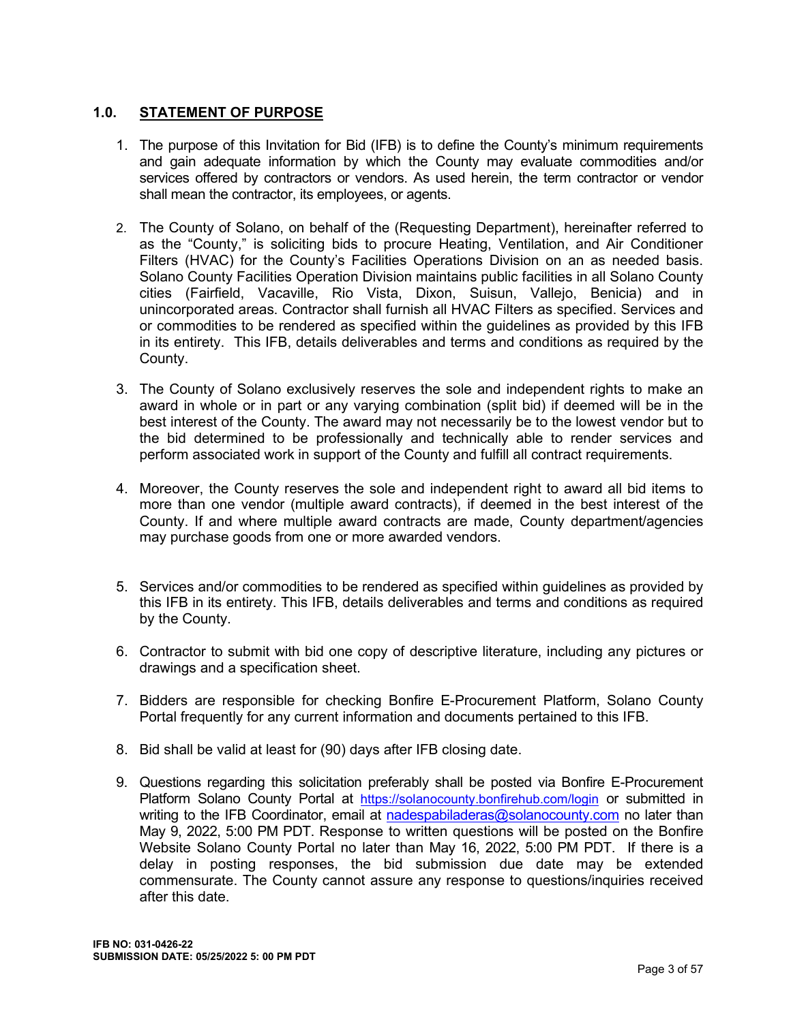### **1.0. STATEMENT OF PURPOSE**

- 1. The purpose of this Invitation for Bid (IFB) is to define the County's minimum requirements and gain adequate information by which the County may evaluate commodities and/or services offered by contractors or vendors. As used herein, the term contractor or vendor shall mean the contractor, its employees, or agents.
- 2. The County of Solano, on behalf of the (Requesting Department), hereinafter referred to as the "County," is soliciting bids to procure Heating, Ventilation, and Air Conditioner Filters (HVAC) for the County's Facilities Operations Division on an as needed basis. Solano County Facilities Operation Division maintains public facilities in all Solano County cities (Fairfield, Vacaville, Rio Vista, Dixon, Suisun, Vallejo, Benicia) and in unincorporated areas. Contractor shall furnish all HVAC Filters as specified. Services and or commodities to be rendered as specified within the guidelines as provided by this IFB in its entirety. This IFB, details deliverables and terms and conditions as required by the County.
- 3. The County of Solano exclusively reserves the sole and independent rights to make an award in whole or in part or any varying combination (split bid) if deemed will be in the best interest of the County. The award may not necessarily be to the lowest vendor but to the bid determined to be professionally and technically able to render services and perform associated work in support of the County and fulfill all contract requirements.
- 4. Moreover, the County reserves the sole and independent right to award all bid items to more than one vendor (multiple award contracts), if deemed in the best interest of the County. If and where multiple award contracts are made, County department/agencies may purchase goods from one or more awarded vendors.
- 5. Services and/or commodities to be rendered as specified within guidelines as provided by this IFB in its entirety. This IFB, details deliverables and terms and conditions as required by the County.
- 6. Contractor to submit with bid one copy of descriptive literature, including any pictures or drawings and a specification sheet.
- 7. Bidders are responsible for checking Bonfire E-Procurement Platform, Solano County Portal frequently for any current information and documents pertained to this IFB.
- 8. Bid shall be valid at least for (90) days after IFB closing date.
- 9. Questions regarding this solicitation preferably shall be posted via Bonfire E-Procurement Platform Solano County Portal at <https://solanocounty.bonfirehub.com/login> or submitted in writing to the IFB Coordinator, email at [nadespabiladeras@solanocounty.com](mailto:nadespabiladeras@solanocounty.com) no later than May 9, 2022, 5:00 PM PDT. Response to written questions will be posted on the Bonfire Website Solano County Portal no later than May 16, 2022, 5:00 PM PDT. If there is a delay in posting responses, the bid submission due date may be extended commensurate. The County cannot assure any response to questions/inquiries received after this date.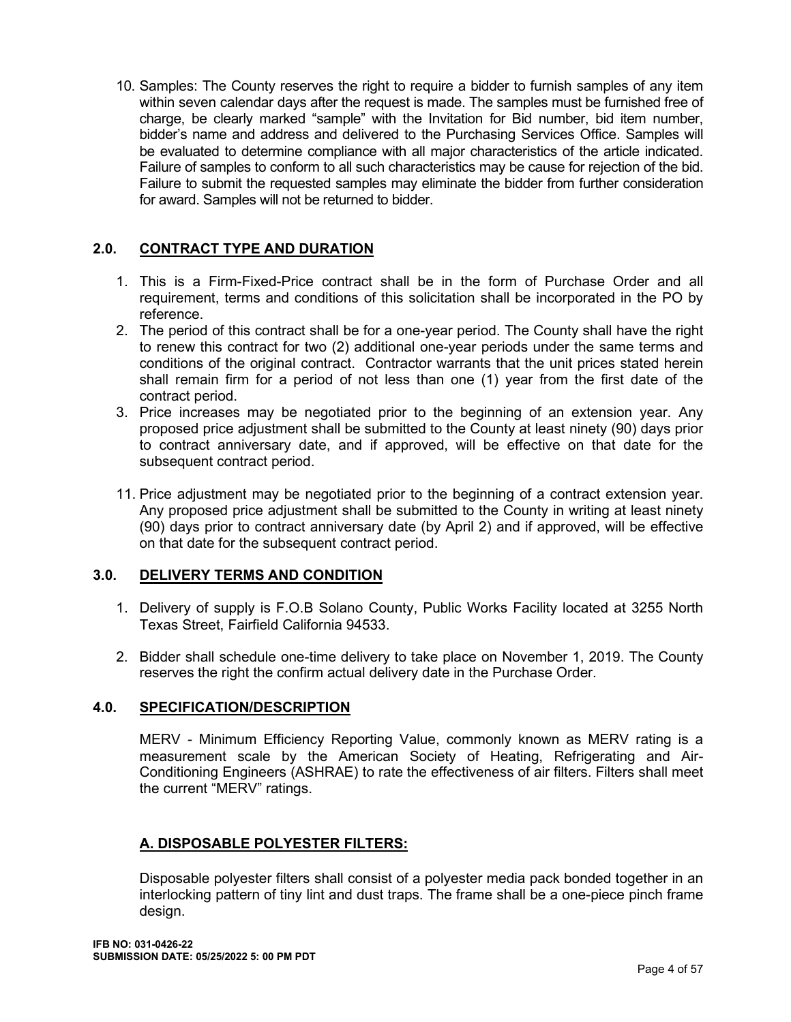10. Samples: The County reserves the right to require a bidder to furnish samples of any item within seven calendar days after the request is made. The samples must be furnished free of charge, be clearly marked "sample" with the Invitation for Bid number, bid item number, bidder's name and address and delivered to the Purchasing Services Office. Samples will be evaluated to determine compliance with all major characteristics of the article indicated. Failure of samples to conform to all such characteristics may be cause for rejection of the bid. Failure to submit the requested samples may eliminate the bidder from further consideration for award. Samples will not be returned to bidder.

### **2.0. CONTRACT TYPE AND DURATION**

- 1. This is a Firm-Fixed-Price contract shall be in the form of Purchase Order and all requirement, terms and conditions of this solicitation shall be incorporated in the PO by reference.
- 2. The period of this contract shall be for a one-year period. The County shall have the right to renew this contract for two (2) additional one-year periods under the same terms and conditions of the original contract. Contractor warrants that the unit prices stated herein shall remain firm for a period of not less than one (1) year from the first date of the contract period.
- 3. Price increases may be negotiated prior to the beginning of an extension year. Any proposed price adjustment shall be submitted to the County at least ninety (90) days prior to contract anniversary date, and if approved, will be effective on that date for the subsequent contract period.
- 11. Price adjustment may be negotiated prior to the beginning of a contract extension year. Any proposed price adjustment shall be submitted to the County in writing at least ninety (90) days prior to contract anniversary date (by April 2) and if approved, will be effective on that date for the subsequent contract period.

### **3.0. DELIVERY TERMS AND CONDITION**

- 1. Delivery of supply is F.O.B Solano County, Public Works Facility located at 3255 North Texas Street, Fairfield California 94533.
- 2. Bidder shall schedule one-time delivery to take place on November 1, 2019. The County reserves the right the confirm actual delivery date in the Purchase Order.

### **4.0. SPECIFICATION/DESCRIPTION**

MERV - Minimum Efficiency Reporting Value, commonly known as MERV rating is a measurement scale by the American Society of Heating, Refrigerating and Air-Conditioning Engineers (ASHRAE) to rate the effectiveness of air filters. Filters shall meet the current "MERV" ratings.

### **A. DISPOSABLE POLYESTER FILTERS:**

Disposable polyester filters shall consist of a polyester media pack bonded together in an interlocking pattern of tiny lint and dust traps. The frame shall be a one-piece pinch frame design.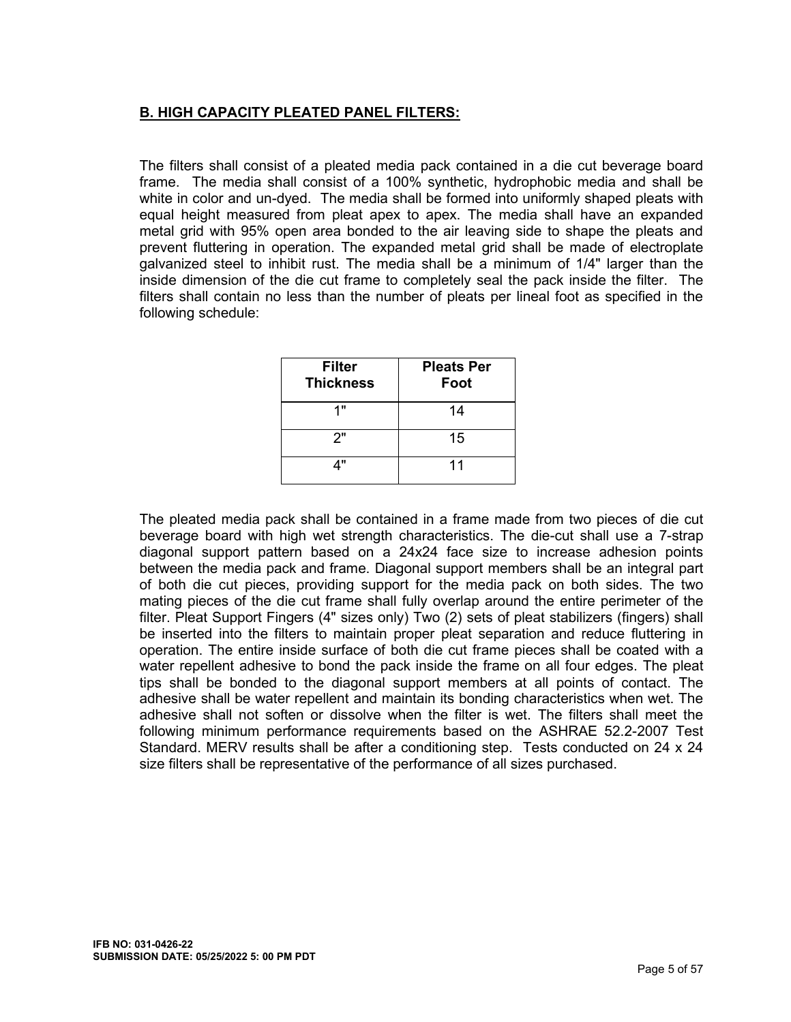### **B. HIGH CAPACITY PLEATED PANEL FILTERS:**

The filters shall consist of a pleated media pack contained in a die cut beverage board frame. The media shall consist of a 100% synthetic, hydrophobic media and shall be white in color and un-dyed. The media shall be formed into uniformly shaped pleats with equal height measured from pleat apex to apex. The media shall have an expanded metal grid with 95% open area bonded to the air leaving side to shape the pleats and prevent fluttering in operation. The expanded metal grid shall be made of electroplate galvanized steel to inhibit rust. The media shall be a minimum of 1/4" larger than the inside dimension of the die cut frame to completely seal the pack inside the filter. The filters shall contain no less than the number of pleats per lineal foot as specified in the following schedule:

| <b>Filter</b><br><b>Thickness</b> | <b>Pleats Per</b><br>Foot |
|-----------------------------------|---------------------------|
| 1"                                | 14                        |
| 2"                                | 15                        |
| 1 II                              | 11                        |

The pleated media pack shall be contained in a frame made from two pieces of die cut beverage board with high wet strength characteristics. The die-cut shall use a 7-strap diagonal support pattern based on a 24x24 face size to increase adhesion points between the media pack and frame. Diagonal support members shall be an integral part of both die cut pieces, providing support for the media pack on both sides. The two mating pieces of the die cut frame shall fully overlap around the entire perimeter of the filter. Pleat Support Fingers (4" sizes only) Two (2) sets of pleat stabilizers (fingers) shall be inserted into the filters to maintain proper pleat separation and reduce fluttering in operation. The entire inside surface of both die cut frame pieces shall be coated with a water repellent adhesive to bond the pack inside the frame on all four edges. The pleat tips shall be bonded to the diagonal support members at all points of contact. The adhesive shall be water repellent and maintain its bonding characteristics when wet. The adhesive shall not soften or dissolve when the filter is wet. The filters shall meet the following minimum performance requirements based on the ASHRAE 52.2-2007 Test Standard. MERV results shall be after a conditioning step. Tests conducted on 24 x 24 size filters shall be representative of the performance of all sizes purchased.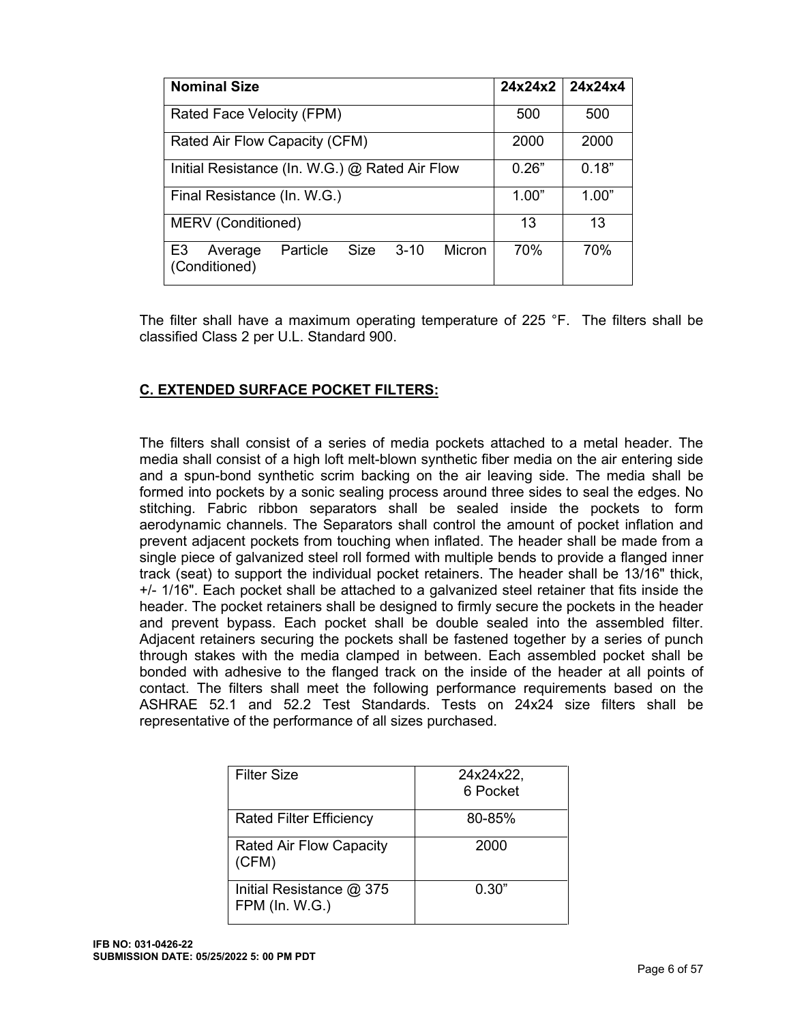| <b>Nominal Size</b>                                                                         | 24x24x2 | 24x24x4 |
|---------------------------------------------------------------------------------------------|---------|---------|
| Rated Face Velocity (FPM)                                                                   | 500     | 500     |
| Rated Air Flow Capacity (CFM)                                                               | 2000    | 2000    |
| Initial Resistance (In. W.G.) @ Rated Air Flow                                              | 0.26"   | 0.18"   |
| Final Resistance (In. W.G.)                                                                 | 1.00"   | 1.00"   |
| <b>MERV</b> (Conditioned)                                                                   | 13      | 13      |
| Micron<br>Particle<br><b>Size</b><br>$3 - 10$<br>E <sub>3</sub><br>Average<br>(Conditioned) | 70%     | 70%     |

The filter shall have a maximum operating temperature of 225 °F. The filters shall be classified Class 2 per U.L. Standard 900.

### **C. EXTENDED SURFACE POCKET FILTERS:**

The filters shall consist of a series of media pockets attached to a metal header. The media shall consist of a high loft melt-blown synthetic fiber media on the air entering side and a spun-bond synthetic scrim backing on the air leaving side. The media shall be formed into pockets by a sonic sealing process around three sides to seal the edges. No stitching. Fabric ribbon separators shall be sealed inside the pockets to form aerodynamic channels. The Separators shall control the amount of pocket inflation and prevent adjacent pockets from touching when inflated. The header shall be made from a single piece of galvanized steel roll formed with multiple bends to provide a flanged inner track (seat) to support the individual pocket retainers. The header shall be 13/16" thick, +/- 1/16". Each pocket shall be attached to a galvanized steel retainer that fits inside the header. The pocket retainers shall be designed to firmly secure the pockets in the header and prevent bypass. Each pocket shall be double sealed into the assembled filter. Adjacent retainers securing the pockets shall be fastened together by a series of punch through stakes with the media clamped in between. Each assembled pocket shall be bonded with adhesive to the flanged track on the inside of the header at all points of contact. The filters shall meet the following performance requirements based on the ASHRAE 52.1 and 52.2 Test Standards. Tests on 24x24 size filters shall be representative of the performance of all sizes purchased.

| <b>Filter Size</b>                           | 24x24x22,<br>6 Pocket |
|----------------------------------------------|-----------------------|
| <b>Rated Filter Efficiency</b>               | 80-85%                |
| <b>Rated Air Flow Capacity</b><br>(CFM)      | 2000                  |
| Initial Resistance $@$ 375<br>FPM (In. W.G.) | 0.30"                 |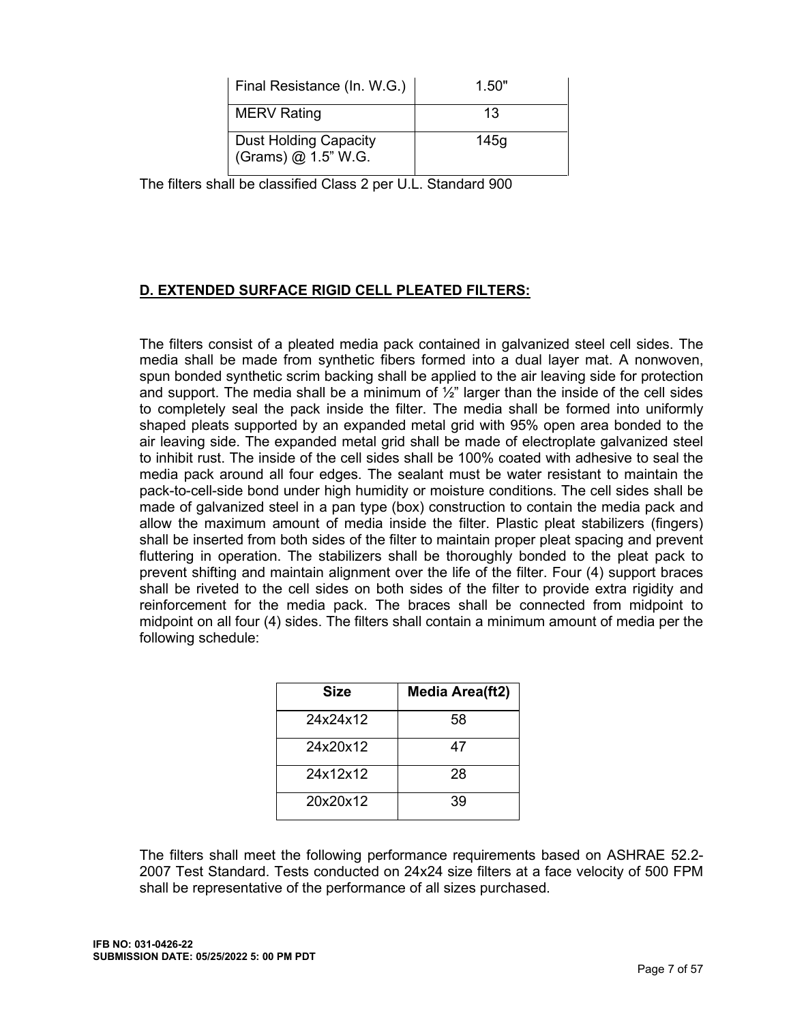| Final Resistance (In. W.G.)                         | 1.50" |
|-----------------------------------------------------|-------|
| <b>MERV Rating</b>                                  | 13    |
| <b>Dust Holding Capacity</b><br>(Grams) @ 1.5" W.G. | 145q  |

The filters shall be classified Class 2 per U.L. Standard 900

### **D. EXTENDED SURFACE RIGID CELL PLEATED FILTERS:**

The filters consist of a pleated media pack contained in galvanized steel cell sides. The media shall be made from synthetic fibers formed into a dual layer mat. A nonwoven, spun bonded synthetic scrim backing shall be applied to the air leaving side for protection and support. The media shall be a minimum of  $\frac{1}{2}$ " larger than the inside of the cell sides to completely seal the pack inside the filter. The media shall be formed into uniformly shaped pleats supported by an expanded metal grid with 95% open area bonded to the air leaving side. The expanded metal grid shall be made of electroplate galvanized steel to inhibit rust. The inside of the cell sides shall be 100% coated with adhesive to seal the media pack around all four edges. The sealant must be water resistant to maintain the pack-to-cell-side bond under high humidity or moisture conditions. The cell sides shall be made of galvanized steel in a pan type (box) construction to contain the media pack and allow the maximum amount of media inside the filter. Plastic pleat stabilizers (fingers) shall be inserted from both sides of the filter to maintain proper pleat spacing and prevent fluttering in operation. The stabilizers shall be thoroughly bonded to the pleat pack to prevent shifting and maintain alignment over the life of the filter. Four (4) support braces shall be riveted to the cell sides on both sides of the filter to provide extra rigidity and reinforcement for the media pack. The braces shall be connected from midpoint to midpoint on all four (4) sides. The filters shall contain a minimum amount of media per the following schedule:

| <b>Size</b> | <b>Media Area(ft2)</b> |
|-------------|------------------------|
| 24x24x12    | 58                     |
| 24x20x12    | 47                     |
| 24x12x12    | 28                     |
| 20x20x12    | 39                     |

The filters shall meet the following performance requirements based on ASHRAE 52.2- 2007 Test Standard. Tests conducted on 24x24 size filters at a face velocity of 500 FPM shall be representative of the performance of all sizes purchased.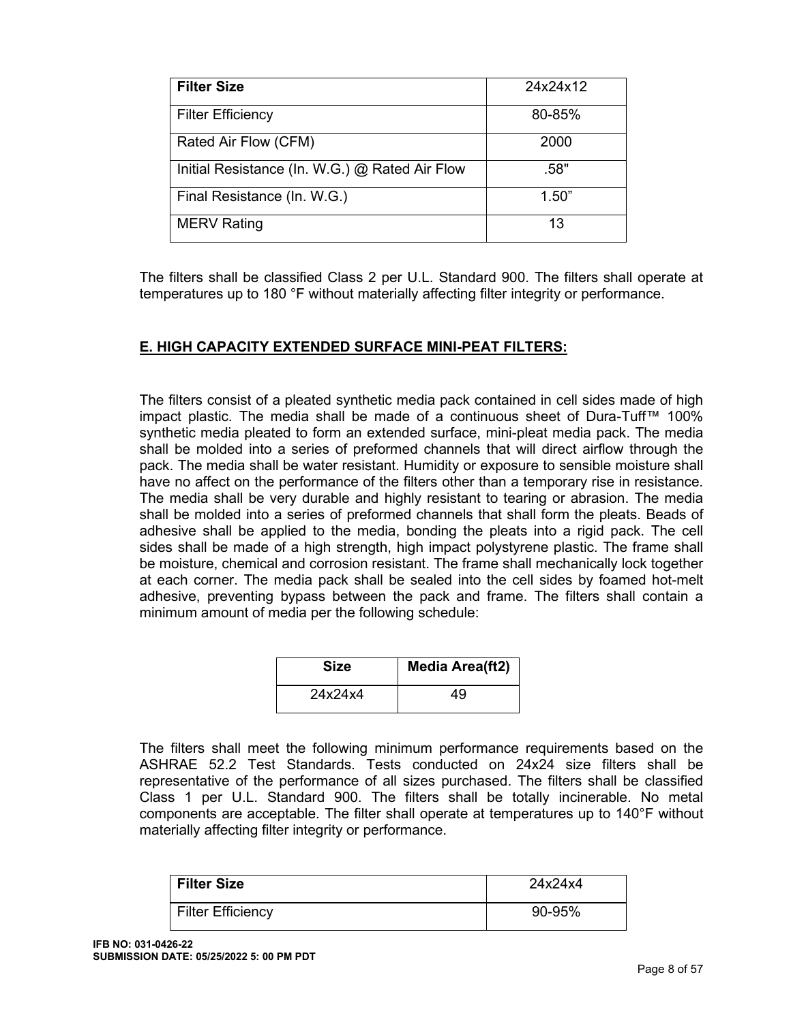| <b>Filter Size</b>                             | 24x24x12 |
|------------------------------------------------|----------|
| <b>Filter Efficiency</b>                       | 80-85%   |
| Rated Air Flow (CFM)                           | 2000     |
| Initial Resistance (In. W.G.) @ Rated Air Flow | .58"     |
| Final Resistance (In. W.G.)                    | 1.50"    |
| <b>MERV Rating</b>                             | 13       |

The filters shall be classified Class 2 per U.L. Standard 900. The filters shall operate at temperatures up to 180 °F without materially affecting filter integrity or performance.

### **E. HIGH CAPACITY EXTENDED SURFACE MINI-PEAT FILTERS:**

The filters consist of a pleated synthetic media pack contained in cell sides made of high impact plastic. The media shall be made of a continuous sheet of Dura-Tuff™ 100% synthetic media pleated to form an extended surface, mini-pleat media pack. The media shall be molded into a series of preformed channels that will direct airflow through the pack. The media shall be water resistant. Humidity or exposure to sensible moisture shall have no affect on the performance of the filters other than a temporary rise in resistance. The media shall be very durable and highly resistant to tearing or abrasion. The media shall be molded into a series of preformed channels that shall form the pleats. Beads of adhesive shall be applied to the media, bonding the pleats into a rigid pack. The cell sides shall be made of a high strength, high impact polystyrene plastic. The frame shall be moisture, chemical and corrosion resistant. The frame shall mechanically lock together at each corner. The media pack shall be sealed into the cell sides by foamed hot-melt adhesive, preventing bypass between the pack and frame. The filters shall contain a minimum amount of media per the following schedule:

| Size    | <b>Media Area(ft2)</b> |
|---------|------------------------|
| 24x24x4 | 49                     |

The filters shall meet the following minimum performance requirements based on the ASHRAE 52.2 Test Standards. Tests conducted on 24x24 size filters shall be representative of the performance of all sizes purchased. The filters shall be classified Class 1 per U.L. Standard 900. The filters shall be totally incinerable. No metal components are acceptable. The filter shall operate at temperatures up to 140°F without materially affecting filter integrity or performance.

| <b>Filter Size</b>       | 24x24x4 |
|--------------------------|---------|
| <b>Filter Efficiency</b> | 90-95%  |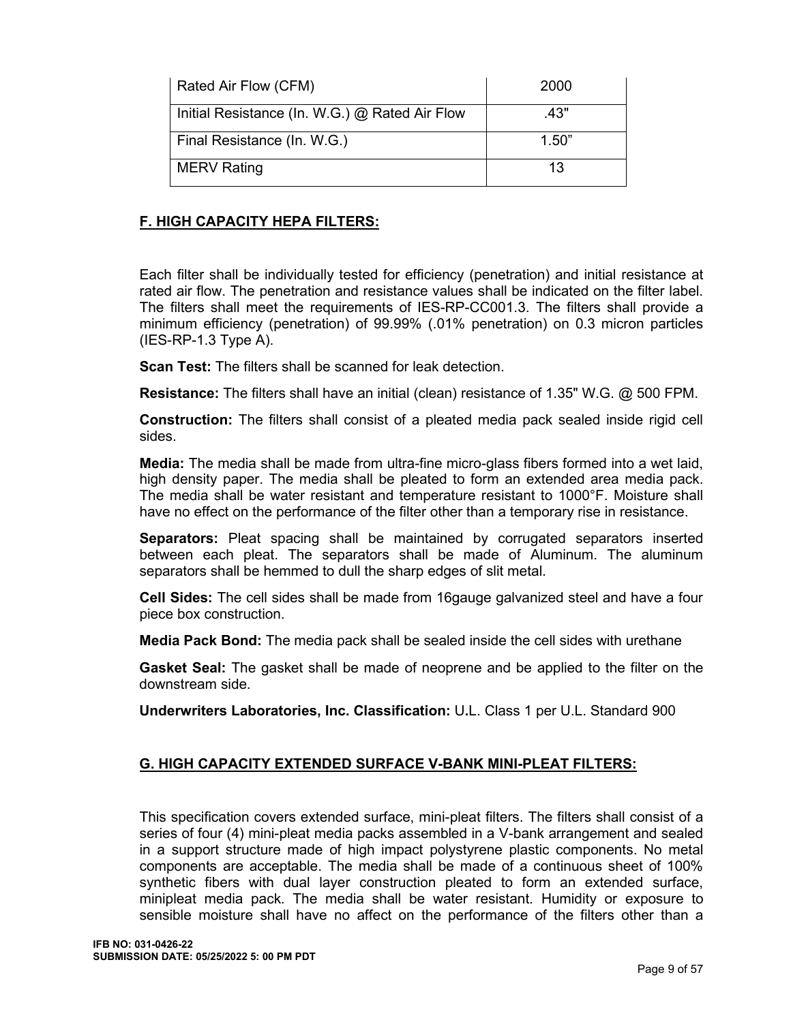| Rated Air Flow (CFM)                           | 2000  |
|------------------------------------------------|-------|
| Initial Resistance (In. W.G.) @ Rated Air Flow | .43"  |
| Final Resistance (In. W.G.)                    | 1.50" |
| <b>MERV Rating</b>                             | 13    |

### **F. HIGH CAPACITY HEPA FILTERS:**

Each filter shall be individually tested for efficiency (penetration) and initial resistance at rated air flow. The penetration and resistance values shall be indicated on the filter label. The filters shall meet the requirements of IES-RP-CC001.3. The filters shall provide a minimum efficiency (penetration) of 99.99% (.01% penetration) on 0.3 micron particles (IES-RP-1.3 Type A).

**Scan Test:** The filters shall be scanned for leak detection.

**Resistance:** The filters shall have an initial (clean) resistance of 1.35" W.G. @ 500 FPM.

**Construction:** The filters shall consist of a pleated media pack sealed inside rigid cell sides.

**Media:** The media shall be made from ultra-fine micro-glass fibers formed into a wet laid, high density paper. The media shall be pleated to form an extended area media pack. The media shall be water resistant and temperature resistant to 1000°F. Moisture shall have no effect on the performance of the filter other than a temporary rise in resistance.

**Separators:** Pleat spacing shall be maintained by corrugated separators inserted between each pleat. The separators shall be made of Aluminum. The aluminum separators shall be hemmed to dull the sharp edges of slit metal.

**Cell Sides:** The cell sides shall be made from 16gauge galvanized steel and have a four piece box construction.

**Media Pack Bond:** The media pack shall be sealed inside the cell sides with urethane

**Gasket Seal:** The gasket shall be made of neoprene and be applied to the filter on the downstream side.

**Underwriters Laboratories, Inc. Classification:** U**.**L. Class 1 per U.L. Standard 900

### **G. HIGH CAPACITY EXTENDED SURFACE V-BANK MINI-PLEAT FILTERS:**

This specification covers extended surface, mini-pleat filters. The filters shall consist of a series of four (4) mini-pleat media packs assembled in a V-bank arrangement and sealed in a support structure made of high impact polystyrene plastic components. No metal components are acceptable. The media shall be made of a continuous sheet of 100% synthetic fibers with dual layer construction pleated to form an extended surface, minipleat media pack. The media shall be water resistant. Humidity or exposure to sensible moisture shall have no affect on the performance of the filters other than a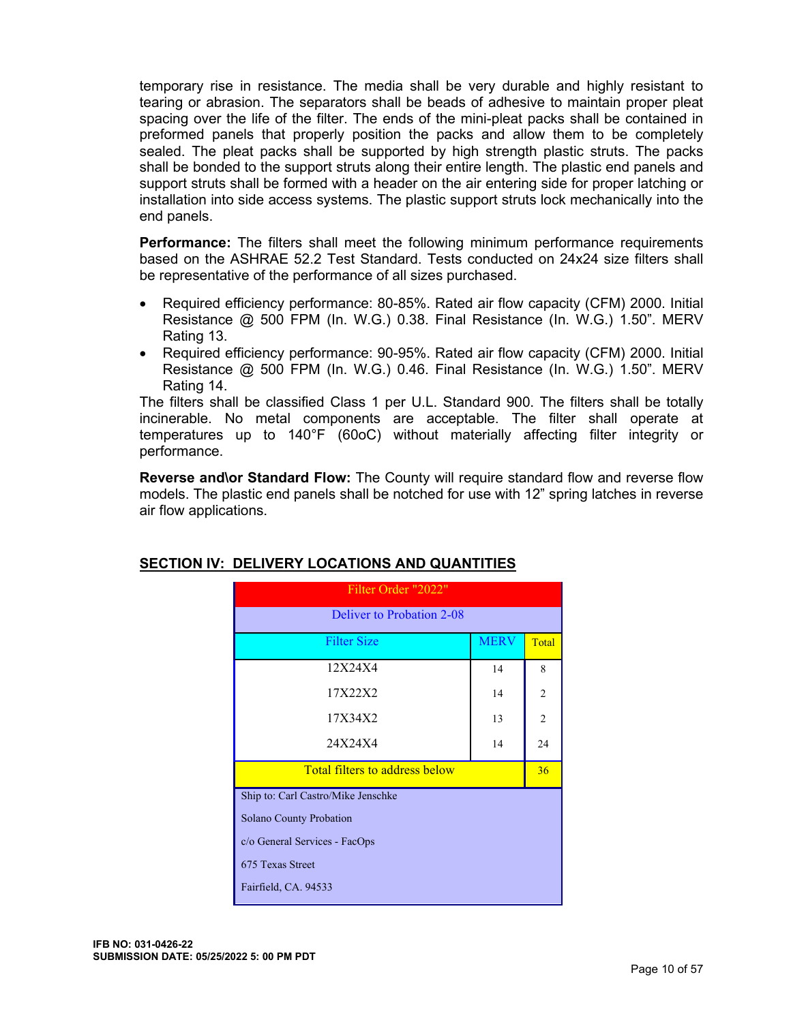temporary rise in resistance. The media shall be very durable and highly resistant to tearing or abrasion. The separators shall be beads of adhesive to maintain proper pleat spacing over the life of the filter. The ends of the mini-pleat packs shall be contained in preformed panels that properly position the packs and allow them to be completely sealed. The pleat packs shall be supported by high strength plastic struts. The packs shall be bonded to the support struts along their entire length. The plastic end panels and support struts shall be formed with a header on the air entering side for proper latching or installation into side access systems. The plastic support struts lock mechanically into the end panels.

**Performance:** The filters shall meet the following minimum performance requirements based on the ASHRAE 52.2 Test Standard. Tests conducted on 24x24 size filters shall be representative of the performance of all sizes purchased.

- Required efficiency performance: 80-85%. Rated air flow capacity (CFM) 2000. Initial Resistance @ 500 FPM (In. W.G.) 0.38. Final Resistance (In. W.G.) 1.50". MERV Rating 13.
- Required efficiency performance: 90-95%. Rated air flow capacity (CFM) 2000. Initial Resistance @ 500 FPM (In. W.G.) 0.46. Final Resistance (In. W.G.) 1.50". MERV Rating 14.

The filters shall be classified Class 1 per U.L. Standard 900. The filters shall be totally incinerable. No metal components are acceptable. The filter shall operate at temperatures up to 140°F (60oC) without materially affecting filter integrity or performance.

**Reverse and\or Standard Flow:** The County will require standard flow and reverse flow models. The plastic end panels shall be notched for use with 12" spring latches in reverse air flow applications.

| Filter Order "2022"                |             |                |  |
|------------------------------------|-------------|----------------|--|
| <b>Deliver to Probation 2-08</b>   |             |                |  |
| <b>Filter Size</b>                 | <b>MERV</b> | Total          |  |
| 12X24X4                            | 14          | 8              |  |
| 17X22X2                            | 14          | $\overline{2}$ |  |
| 17X34X2                            | 13          | $\mathfrak{D}$ |  |
| 24X24X4                            | 14          | 24             |  |
| Total filters to address below     |             | 36             |  |
| Ship to: Carl Castro/Mike Jenschke |             |                |  |
| <b>Solano County Probation</b>     |             |                |  |
| c/o General Services - FacOps      |             |                |  |
| 675 Texas Street                   |             |                |  |
| Fairfield, CA. 94533               |             |                |  |

### **SECTION IV: DELIVERY LOCATIONS AND QUANTITIES**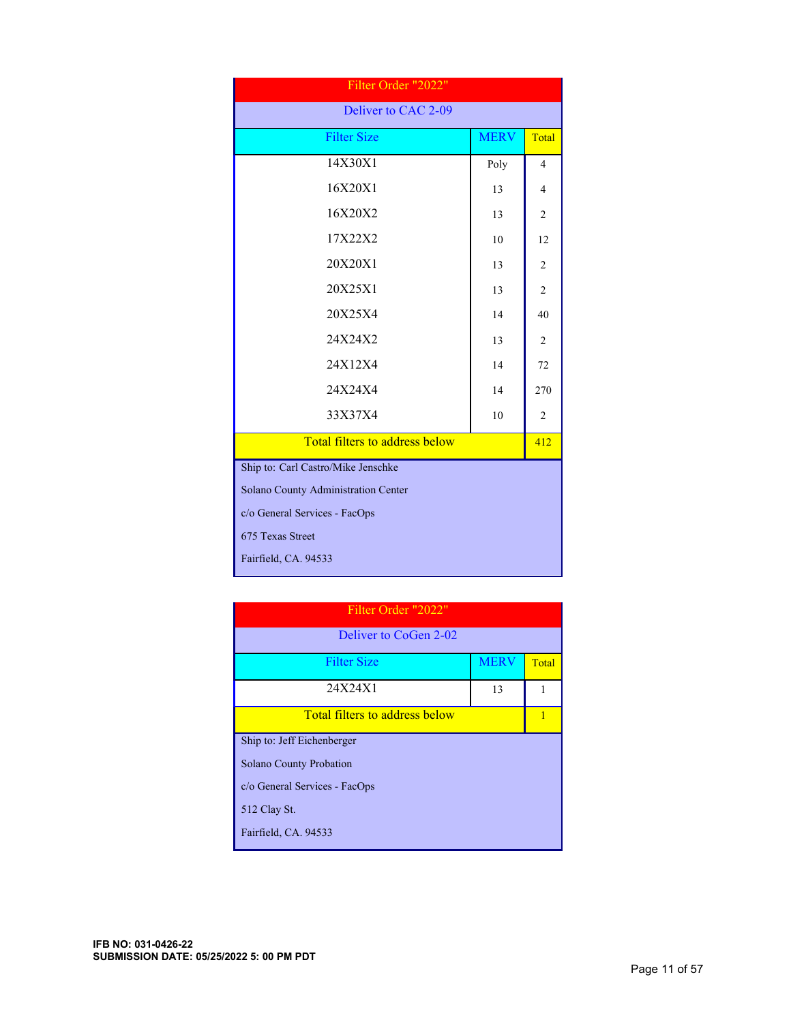| Filter Order "2022"                 |             |                |
|-------------------------------------|-------------|----------------|
| Deliver to CAC 2-09                 |             |                |
| <b>Filter Size</b>                  | <b>MERV</b> | Total          |
| 14X30X1                             | Poly        | $\overline{4}$ |
| 16X20X1                             | 13          | $\overline{4}$ |
| 16X20X2                             | 13          | $\overline{2}$ |
| 17X22X2                             | 10          | 12             |
| 20X20X1                             | 13          | 2              |
| 20X25X1                             | 13          | $\overline{2}$ |
| 20X25X4                             | 14          | 40             |
| 24X24X2                             | 13          | $\overline{2}$ |
| 24X12X4                             | 14          | 72             |
| 24X24X4                             | 14          | 270            |
| 33X37X4                             | 10          | 2              |
| Total filters to address below      |             | 412            |
| Ship to: Carl Castro/Mike Jenschke  |             |                |
| Solano County Administration Center |             |                |
| c/o General Services - FacOps       |             |                |
| 675 Texas Street                    |             |                |
| Fairfield, CA. 94533                |             |                |

| Filter Order "2022"                   |             |       |
|---------------------------------------|-------------|-------|
| Deliver to CoGen 2-02                 |             |       |
| <b>Filter Size</b>                    | <b>MERV</b> | Total |
| 24X24X1                               | 13          | 1     |
| <b>Total filters to address below</b> |             |       |
| Ship to: Jeff Eichenberger            |             |       |
| <b>Solano County Probation</b>        |             |       |
| c/o General Services - FacOps         |             |       |
| 512 Clay St.                          |             |       |
| Fairfield, CA. 94533                  |             |       |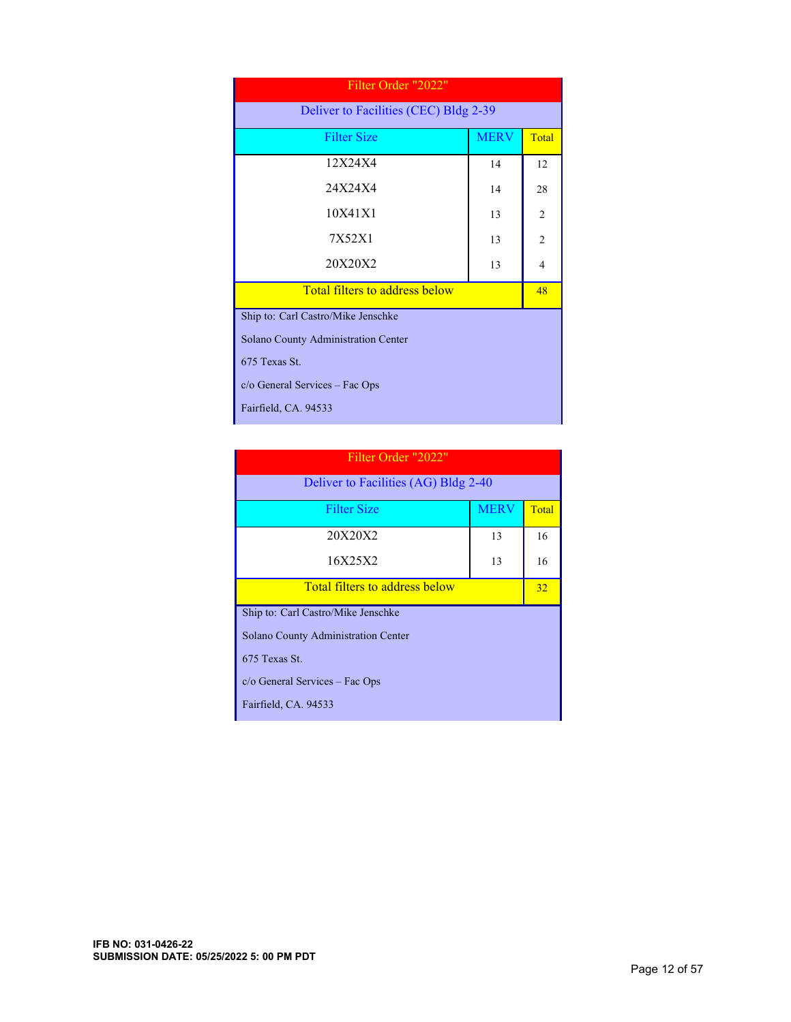| Filter Order "2022"                   |             |                |
|---------------------------------------|-------------|----------------|
| Deliver to Facilities (CEC) Bldg 2-39 |             |                |
| <b>Filter Size</b>                    | <b>MERV</b> | Total          |
| 12X24X4                               | 14          | 12             |
| 24X24X4                               | 14          | 28             |
| 10X41X1                               | 13          | $\overline{2}$ |
| 7X52X1                                | 13          | $\overline{2}$ |
| 20X20X2                               | 13          | 4              |
| <b>Total filters to address below</b> |             | 48             |
| Ship to: Carl Castro/Mike Jenschke    |             |                |
| Solano County Administration Center   |             |                |
| 675 Texas St.                         |             |                |
| c/o General Services - Fac Ops        |             |                |
| Fairfield, CA. 94533                  |             |                |

| Filter Order "2022"                  |             |       |
|--------------------------------------|-------------|-------|
| Deliver to Facilities (AG) Bldg 2-40 |             |       |
| <b>Filter Size</b>                   | <b>MERV</b> | Total |
| 20X20X2                              | 13          | 16    |
| 16X25X2                              | 13          | 16    |
| Total filters to address below       |             | 32    |
| Ship to: Carl Castro/Mike Jenschke   |             |       |
| Solano County Administration Center  |             |       |
| 675 Texas St.                        |             |       |
| c/o General Services – Fac Ops       |             |       |
| Fairfield, CA. 94533                 |             |       |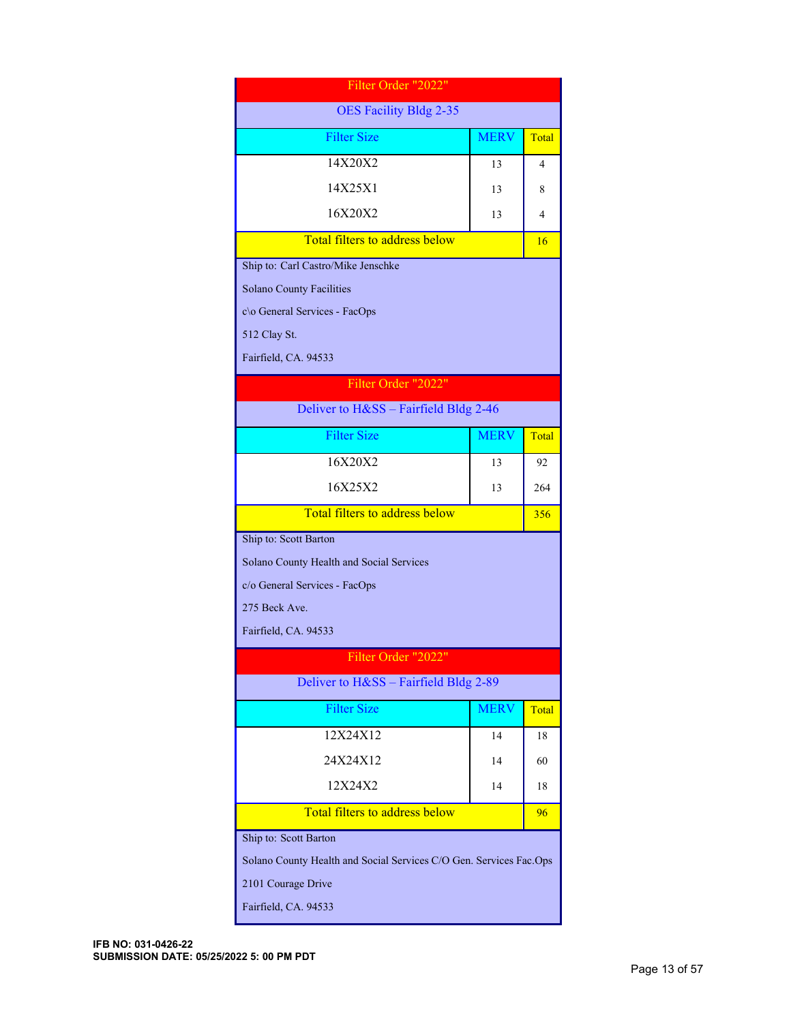| Filter Order "2022"                                                |             |       |
|--------------------------------------------------------------------|-------------|-------|
| <b>OES Facility Bldg 2-35</b>                                      |             |       |
| <b>Filter Size</b>                                                 | <b>MERV</b> | Total |
| 14X20X2                                                            | 13          | 4     |
| 14X25X1                                                            | 13          | 8     |
| 16X20X2                                                            | 13          | 4     |
| Total filters to address below                                     |             | 16    |
| Ship to: Carl Castro/Mike Jenschke                                 |             |       |
| <b>Solano County Facilities</b>                                    |             |       |
| c\o General Services - FacOps                                      |             |       |
| 512 Clay St.                                                       |             |       |
| Fairfield, CA. 94533                                               |             |       |
| Filter Order "2022"                                                |             |       |
| Deliver to H&SS - Fairfield Bldg 2-46                              |             |       |
| <b>Filter Size</b>                                                 | <b>MERV</b> | Total |
| 16X20X2                                                            | 13          | 92    |
| 16X25X2                                                            | 13          | 264   |
|                                                                    |             |       |
| Total filters to address below                                     |             | 356   |
| Ship to: Scott Barton                                              |             |       |
| Solano County Health and Social Services                           |             |       |
| c/o General Services - FacOps                                      |             |       |
| 275 Beck Ave.                                                      |             |       |
| Fairfield, CA. 94533                                               |             |       |
| Filter Order "2022"                                                |             |       |
| Deliver to H&SS - Fairfield Bldg 2-89                              |             |       |
| <b>Filter Size</b>                                                 | <b>MERV</b> | Total |
| 12X24X12                                                           | 14          | 18    |
| 24X24X12                                                           | 14          | 60    |
| 12X24X2                                                            | 14          | 18    |
| Total filters to address below                                     |             | 96    |
| Ship to: Scott Barton                                              |             |       |
| Solano County Health and Social Services C/O Gen. Services Fac.Ops |             |       |
| 2101 Courage Drive                                                 |             |       |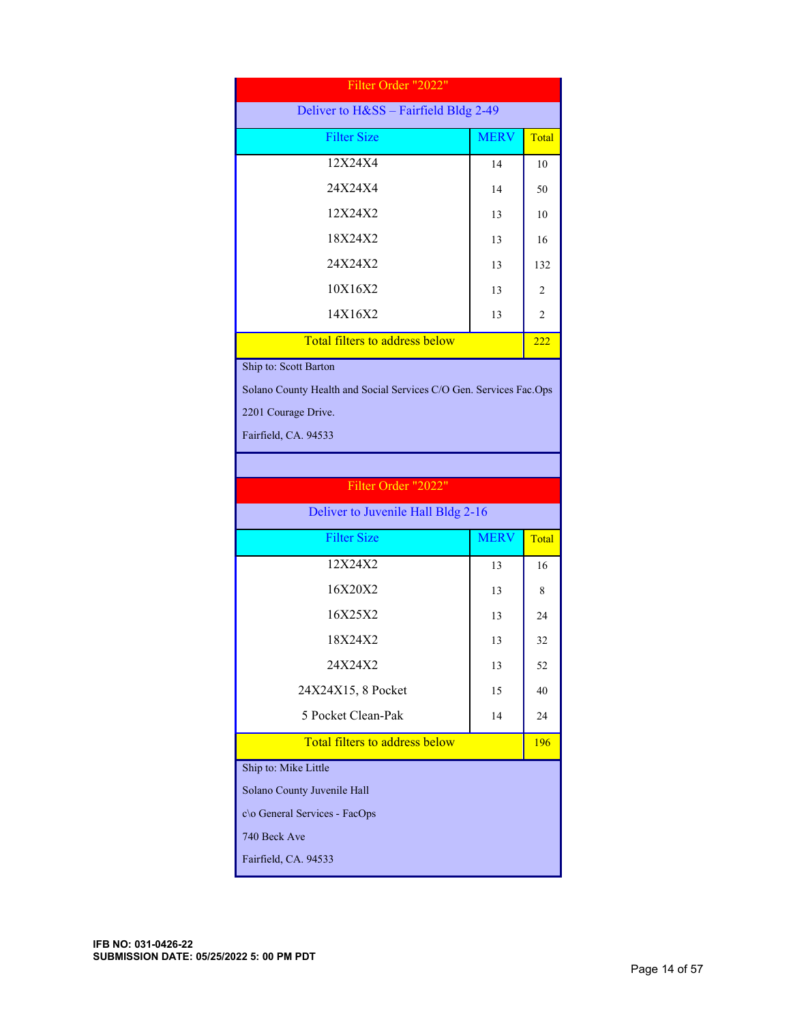| Filter Order "2022"                   |             |                |
|---------------------------------------|-------------|----------------|
| Deliver to H&SS - Fairfield Bldg 2-49 |             |                |
| <b>Filter Size</b>                    | <b>MERV</b> | Total          |
| 12X24X4                               | 14          | 10             |
| 24X24X4                               | 14          | 50             |
| 12X24X2                               | 13          | 10             |
| 18X24X2                               | 13          | 16             |
| 24X24X2                               | 13          | 132            |
| 10X16X2                               | 13          | 2              |
| 14X16X2                               | 13          | $\mathfrak{D}$ |
| <b>Total filters to address below</b> |             | 222            |

#### Ship to: Scott Barton

Solano County Health and Social Services C/O Gen. Services Fac.Ops

2201 Courage Drive.

Fairfield, CA. 94533

| Filter Order "2022"                   |                                    |       |  |
|---------------------------------------|------------------------------------|-------|--|
|                                       | Deliver to Juvenile Hall Bldg 2-16 |       |  |
| <b>Filter Size</b>                    | <b>MERV</b>                        | Total |  |
| 12X24X2                               | 13                                 | 16    |  |
| 16X20X2                               | 13                                 | 8     |  |
| 16X25X2                               | 13                                 | 24    |  |
| 18X24X2                               | 13                                 | 32    |  |
| 24X24X2                               | 13                                 | 52    |  |
| 24X24X15, 8 Pocket                    | 15                                 | 40    |  |
| 5 Pocket Clean-Pak                    | 14                                 | 24    |  |
| <b>Total filters to address below</b> |                                    | 196   |  |
| Ship to: Mike Little                  |                                    |       |  |
| Solano County Juvenile Hall           |                                    |       |  |
| c\o General Services - FacOps         |                                    |       |  |
| 740 Beck Ave                          |                                    |       |  |
| Fairfield, CA. 94533                  |                                    |       |  |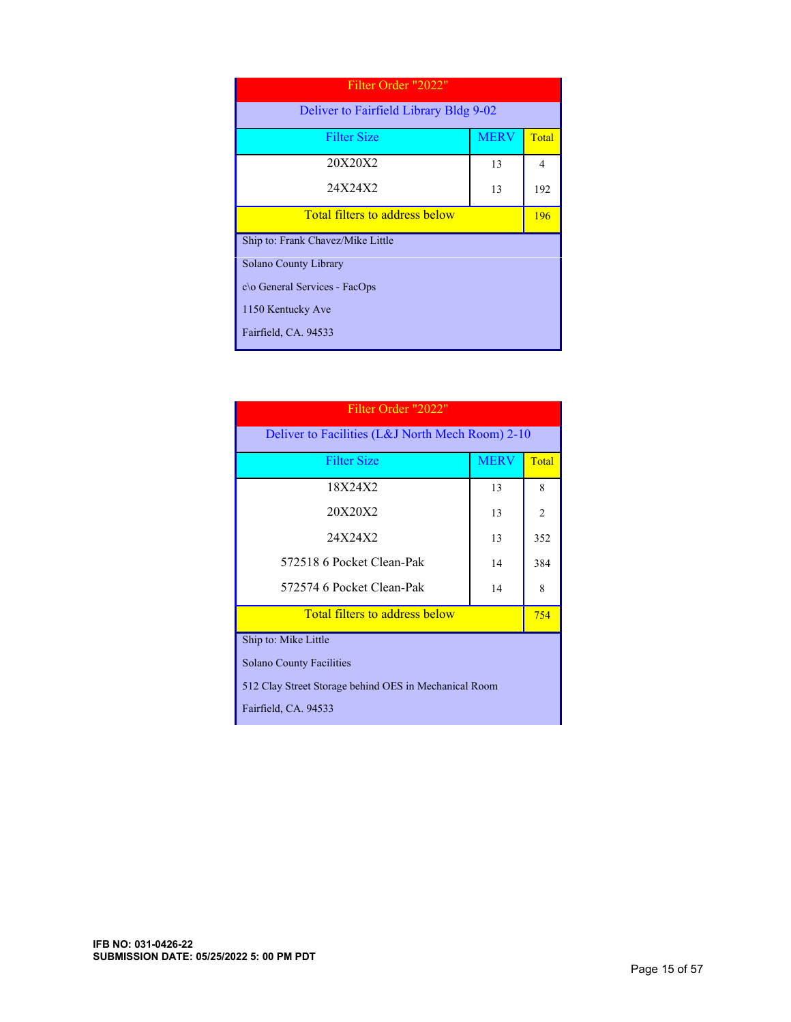| Filter Order "2022"                    |             |                |
|----------------------------------------|-------------|----------------|
| Deliver to Fairfield Library Bldg 9-02 |             |                |
| <b>Filter Size</b>                     | <b>MERV</b> | Total          |
| 20X20X2                                | 13          | $\overline{4}$ |
| 24X24X2                                | 13          | 192            |
| <b>Total filters to address below</b>  |             | 196            |
| Ship to: Frank Chavez/Mike Little      |             |                |
| Solano County Library                  |             |                |
| c\o General Services - FacOps          |             |                |
| 1150 Kentucky Ave                      |             |                |
| Fairfield, CA. 94533                   |             |                |

| Filter Order "2022"                                   |             |                |
|-------------------------------------------------------|-------------|----------------|
| Deliver to Facilities (L&J North Mech Room) 2-10      |             |                |
| <b>Filter Size</b>                                    | <b>MERV</b> | <b>Total</b>   |
| 18X24X2                                               | 13          | 8              |
| 20X20X2                                               | 13          | $\mathfrak{D}$ |
| 24X24X2                                               | 13          | 352            |
| 572518 6 Pocket Clean-Pak                             | 14          | 384            |
| 572574 6 Pocket Clean-Pak                             | 14          | 8              |
| Total filters to address below                        |             | 754            |
| Ship to: Mike Little                                  |             |                |
| <b>Solano County Facilities</b>                       |             |                |
| 512 Clay Street Storage behind OES in Mechanical Room |             |                |
| Fairfield, CA. 94533                                  |             |                |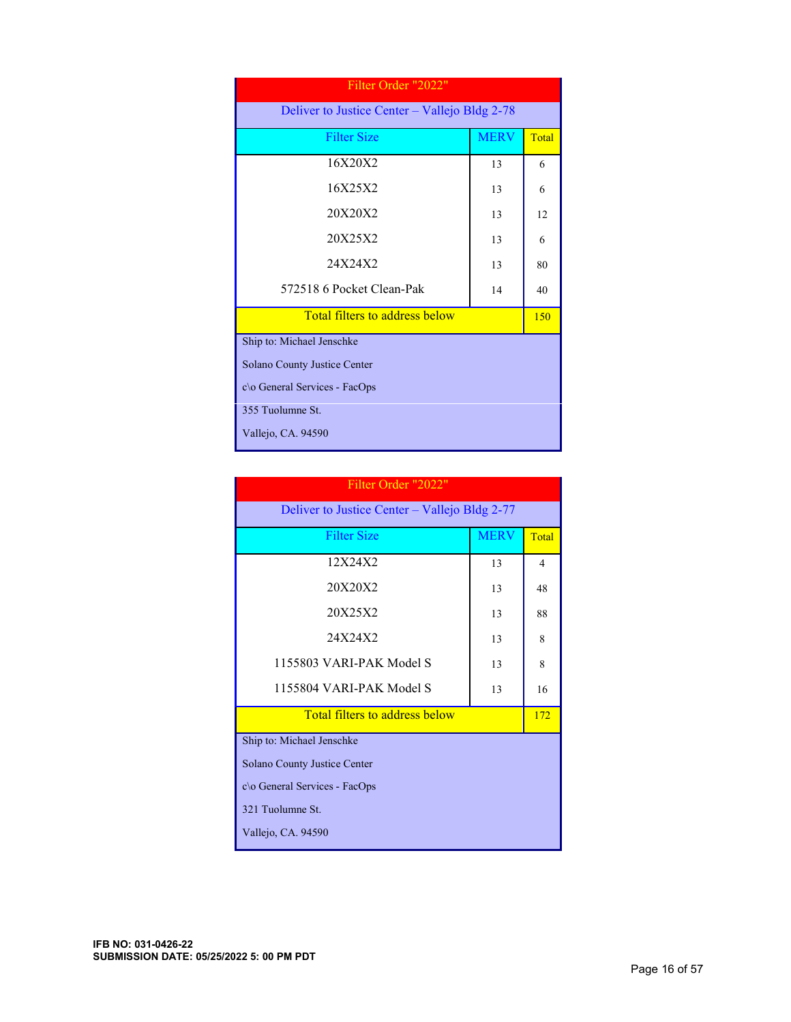| Filter Order "2022"                           |             |       |
|-----------------------------------------------|-------------|-------|
| Deliver to Justice Center - Vallejo Bldg 2-78 |             |       |
| <b>Filter Size</b>                            | <b>MERV</b> | Total |
| 16X20X2                                       | 13          | 6     |
| 16X25X2                                       | 13          | 6     |
| 20X20X2                                       | 13          | 12    |
| 20X25X2                                       | 13          | 6     |
| 24X24X2                                       | 13          | 80    |
| 572518 6 Pocket Clean-Pak                     | 14          | 40    |
| <b>Total filters to address below</b>         |             | 150   |
| Ship to: Michael Jenschke                     |             |       |
| Solano County Justice Center                  |             |       |
| c\o General Services - FacOps                 |             |       |
| 355 Tuolumne St.                              |             |       |
| Vallejo, CA. 94590                            |             |       |

| Filter Order "2022"                           |             |                |
|-----------------------------------------------|-------------|----------------|
| Deliver to Justice Center - Vallejo Bldg 2-77 |             |                |
| <b>Filter Size</b>                            | <b>MERV</b> | <b>Total</b>   |
| 12X24X2                                       | 13          | $\overline{4}$ |
| 20X20X2                                       | 13          | 48             |
| 20X25X2                                       | 13          | 88             |
| 24X24X2                                       | 13          | 8              |
| 1155803 VARI-PAK Model S                      | 13          | 8              |
| 1155804 VARI-PAK Model S                      | 13          | 16             |
| Total filters to address below                |             | 172            |
| Ship to: Michael Jenschke                     |             |                |
| Solano County Justice Center                  |             |                |
| c\o General Services - FacOps                 |             |                |
| 321 Tuolumne St.                              |             |                |
| Vallejo, CA. 94590                            |             |                |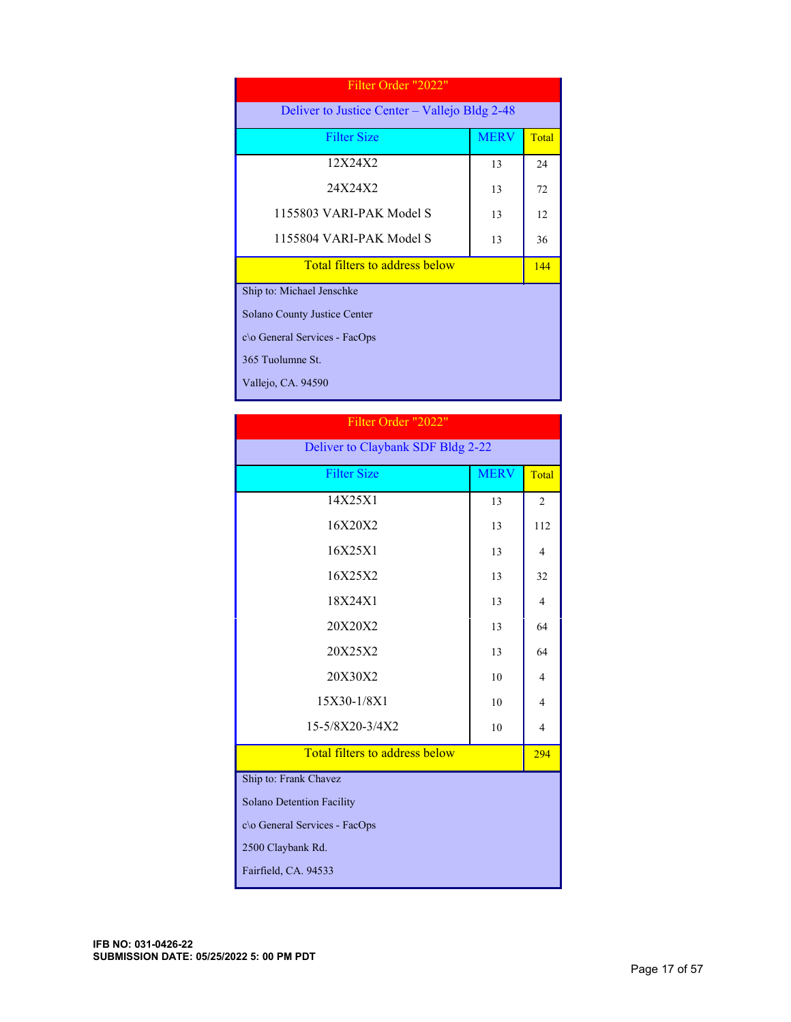| Filter Order "2022"                           |             |       |
|-----------------------------------------------|-------------|-------|
| Deliver to Justice Center – Vallejo Bldg 2-48 |             |       |
| <b>Filter Size</b>                            | <b>MERV</b> | Total |
| 12X24X2                                       | 13          | 24    |
| 24X24X2                                       | 13          | 72    |
| 1155803 VARI-PAK Model S                      | 13          | 12    |
| 1155804 VARI-PAK Model S                      | 13          | 36    |
| <b>Total filters to address below</b>         |             | 144   |
| Ship to: Michael Jenschke                     |             |       |
| <b>Solano County Justice Center</b>           |             |       |
| c\o General Services - FacOps                 |             |       |
| 365 Tuolumne St.                              |             |       |
| Vallejo, CA. 94590                            |             |       |

| Filter Order "2022"               |             |                |
|-----------------------------------|-------------|----------------|
| Deliver to Claybank SDF Bldg 2-22 |             |                |
| <b>Filter Size</b>                | <b>MERV</b> | Total          |
| 14X25X1                           | 13          | 2              |
| 16X20X2                           | 13          | 112            |
| 16X25X1                           | 13          | 4              |
| 16X25X2                           | 13          | 32             |
| 18X24X1                           | 13          | $\overline{4}$ |
| 20X20X2                           | 13          | 64             |
| 20X25X2                           | 13          | 64             |
| 20X30X2                           | 10          | $\overline{4}$ |
| 15X30-1/8X1                       | 10          | 4              |
| 15-5/8X20-3/4X2                   | 10          | $\overline{4}$ |
| Total filters to address below    |             | 294            |
| Ship to: Frank Chavez             |             |                |
| <b>Solano Detention Facility</b>  |             |                |
| c\o General Services - FacOps     |             |                |
| 2500 Claybank Rd.                 |             |                |
| Fairfield, CA. 94533              |             |                |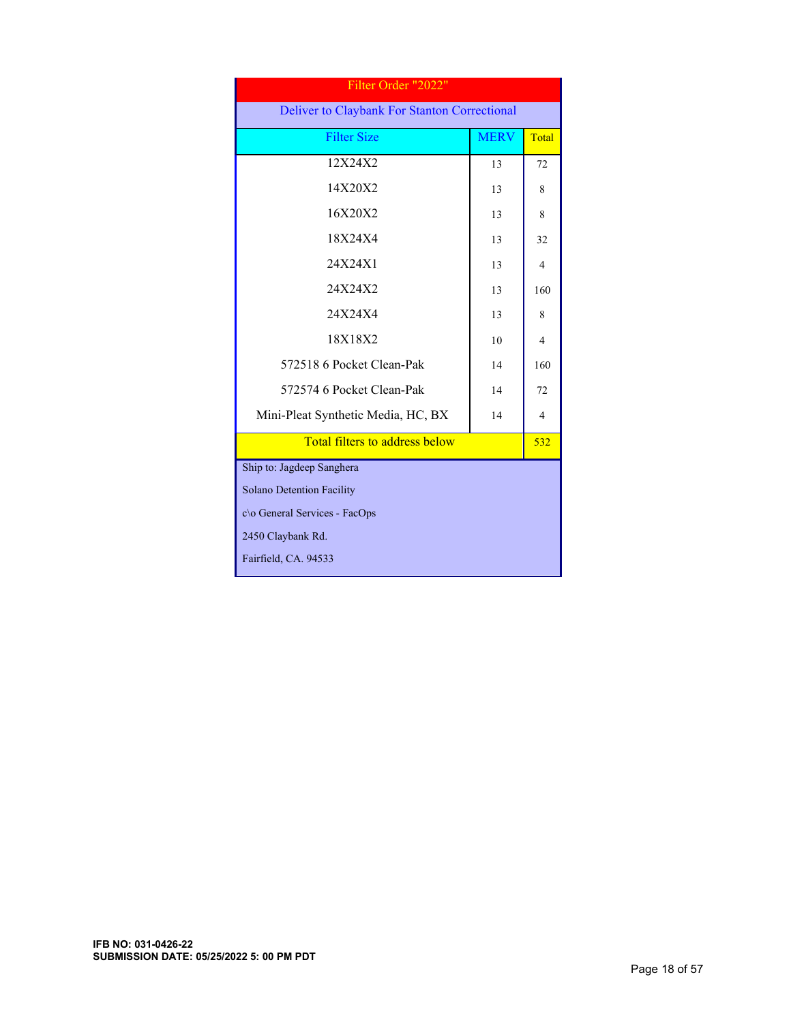| Filter Order "2022"                          |             |                          |
|----------------------------------------------|-------------|--------------------------|
| Deliver to Claybank For Stanton Correctional |             |                          |
| <b>Filter Size</b>                           | <b>MERV</b> | Total                    |
| 12X24X2                                      | 13          | 72                       |
| 14X20X2                                      | 13          | 8                        |
| 16X20X2                                      | 13          | 8                        |
| 18X24X4                                      | 13          | 32                       |
| 24X24X1                                      | 13          | 4                        |
| 24X24X2                                      | 13          | 160                      |
| 24X24X4                                      | 13          | 8                        |
| 18X18X2                                      | 10          | $\overline{\mathcal{L}}$ |
| 572518 6 Pocket Clean-Pak                    | 14          | 160                      |
| 572574 6 Pocket Clean-Pak                    | 14          | 72                       |
| Mini-Pleat Synthetic Media, HC, BX           | 14          | $\overline{4}$           |
| Total filters to address below               |             | 532                      |
| Ship to: Jagdeep Sanghera                    |             |                          |
| <b>Solano Detention Facility</b>             |             |                          |
| c\o General Services - FacOps                |             |                          |
| 2450 Claybank Rd.                            |             |                          |
| Fairfield, CA. 94533                         |             |                          |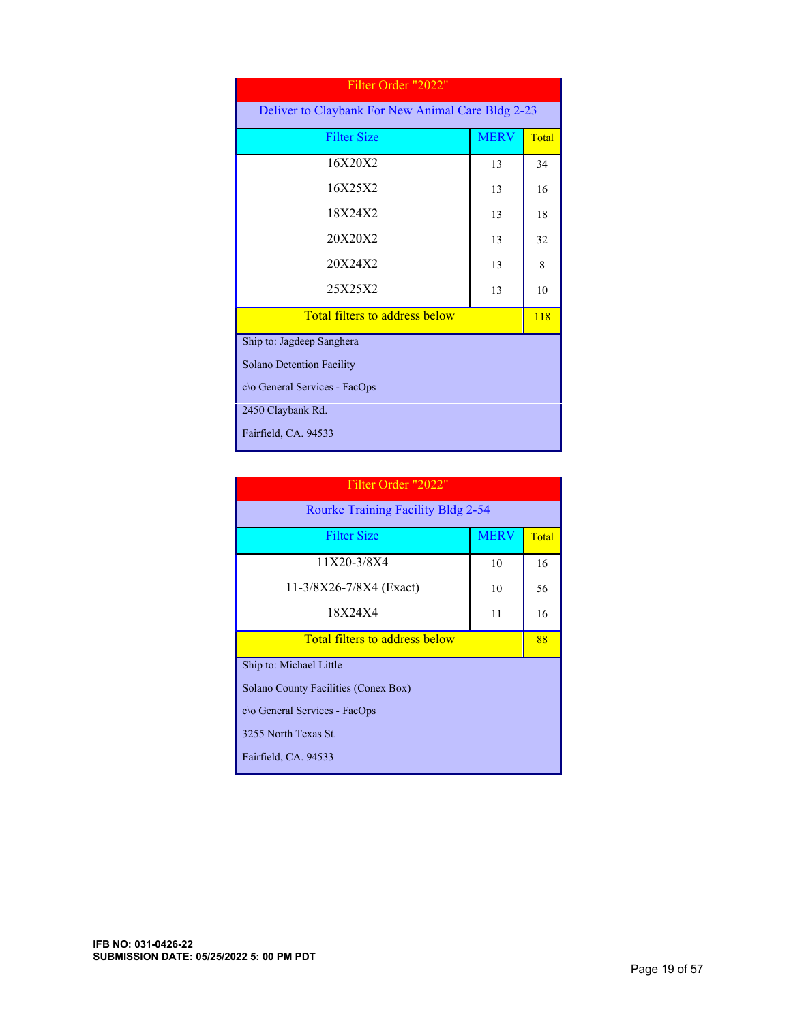| Filter Order "2022"                               |             |       |
|---------------------------------------------------|-------------|-------|
| Deliver to Claybank For New Animal Care Bldg 2-23 |             |       |
| <b>Filter Size</b>                                | <b>MERV</b> | Total |
| 16X20X2                                           | 13          | 34    |
| 16X25X2                                           | 13          | 16    |
| 18X24X2                                           | 13          | 18    |
| 20X20X2                                           | 13          | 32    |
| 20X24X2                                           | 13          | 8     |
| 25X25X2                                           | 13          | 10    |
| <b>Total filters to address below</b>             |             | 118   |
| Ship to: Jagdeep Sanghera                         |             |       |
| <b>Solano Detention Facility</b>                  |             |       |
| c\o General Services - FacOps                     |             |       |
| 2450 Claybank Rd.                                 |             |       |
| Fairfield, CA. 94533                              |             |       |

| Filter Order "2022"                       |             |       |
|-------------------------------------------|-------------|-------|
| <b>Rourke Training Facility Bldg 2-54</b> |             |       |
| <b>Filter Size</b>                        | <b>MERV</b> | Total |
| 11X20-3/8X4                               | 10          | 16    |
| $11-3/8X26-7/8X4$ (Exact)                 | 10          | 56    |
| 18X24X4                                   | 11          | 16    |
| <b>Total filters to address below</b>     |             | 88    |
| Ship to: Michael Little                   |             |       |
| Solano County Facilities (Conex Box)      |             |       |
| c\o General Services - FacOps             |             |       |
| 3255 North Texas St.                      |             |       |
| Fairfield, CA. 94533                      |             |       |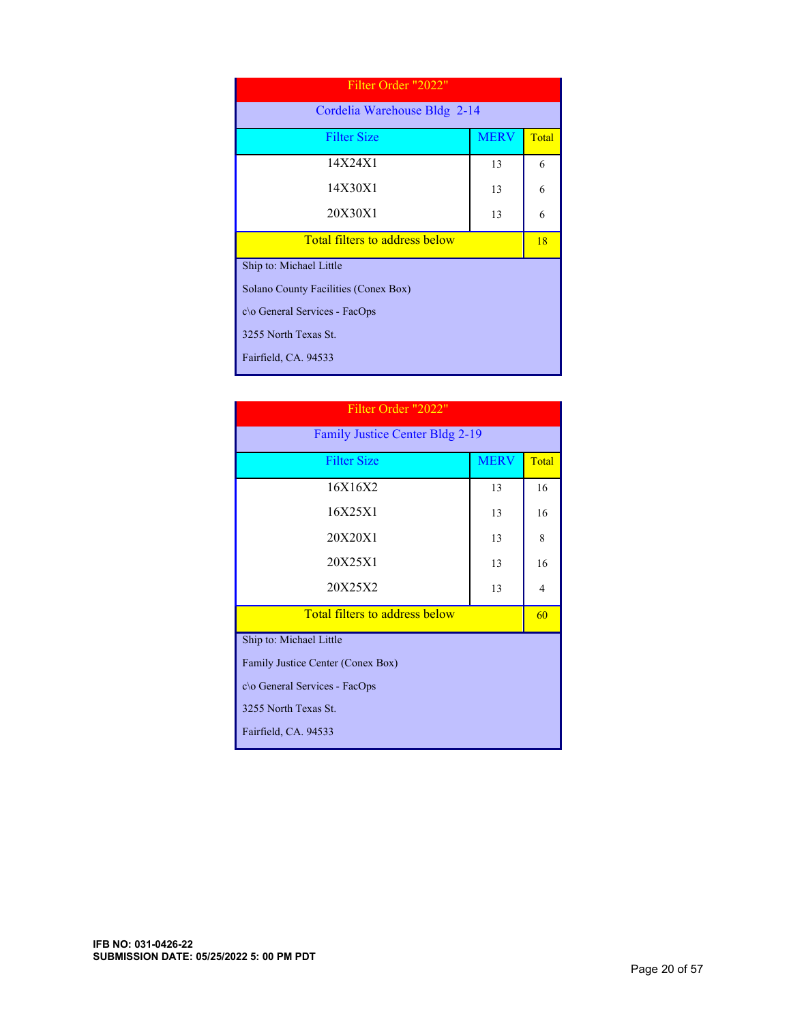| Filter Order "2022"                  |             |       |
|--------------------------------------|-------------|-------|
| Cordelia Warehouse Bldg 2-14         |             |       |
| <b>Filter Size</b>                   | <b>MERV</b> | Total |
| 14X24X1                              | 13          | 6     |
| 14X30X1                              | 13          | 6     |
| 20X30X1                              | 13          | 6     |
| Total filters to address below       |             | 18    |
| Ship to: Michael Little              |             |       |
| Solano County Facilities (Conex Box) |             |       |
| c\o General Services - FacOps        |             |       |
| 3255 North Texas St.                 |             |       |
| Fairfield, CA. 94533                 |             |       |

| Filter Order "2022"                   |                                 |       |  |
|---------------------------------------|---------------------------------|-------|--|
|                                       | Family Justice Center Bldg 2-19 |       |  |
| <b>Filter Size</b>                    | <b>MERV</b>                     | Total |  |
| 16X16X2                               | 13                              | 16    |  |
| 16X25X1                               | 13                              | 16    |  |
| 20X20X1                               | 13                              | 8     |  |
| 20X25X1                               | 13                              | 16    |  |
| 20X25X2                               | 13                              | 4     |  |
| <b>Total filters to address below</b> |                                 | 60    |  |
| Ship to: Michael Little               |                                 |       |  |
| Family Justice Center (Conex Box)     |                                 |       |  |
| c\o General Services - FacOps         |                                 |       |  |
| 3255 North Texas St.                  |                                 |       |  |
| Fairfield, CA. 94533                  |                                 |       |  |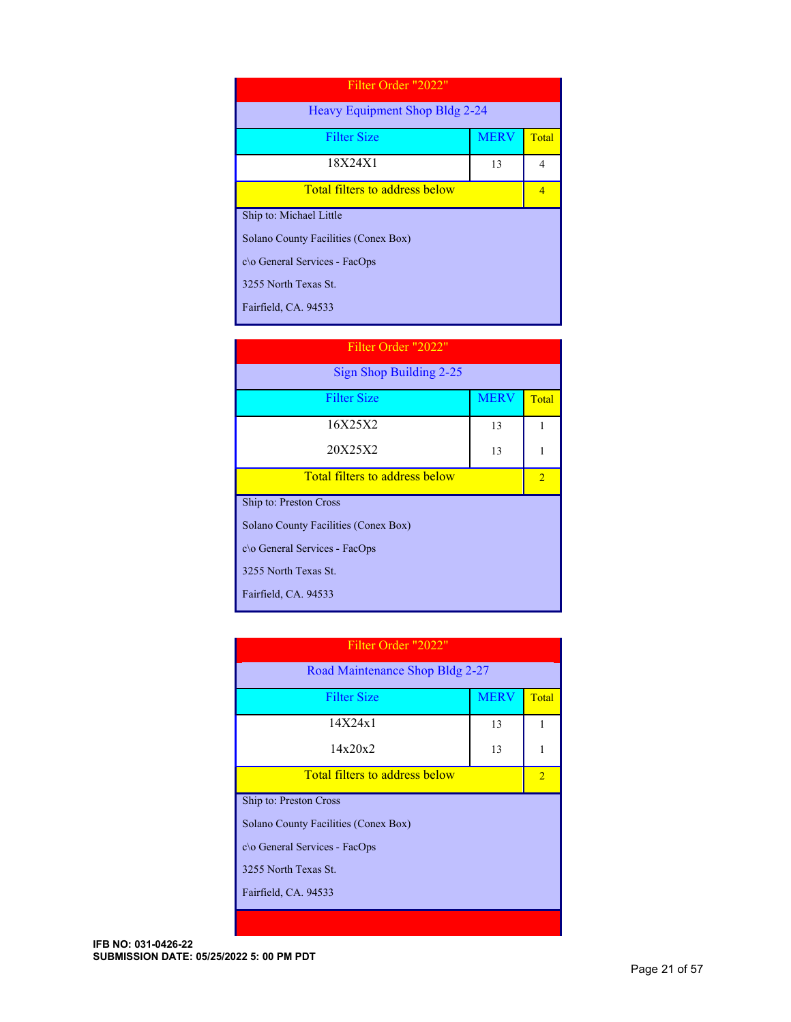| Filter Order "2022"                   |             |       |
|---------------------------------------|-------------|-------|
| Heavy Equipment Shop Bldg 2-24        |             |       |
| <b>Filter Size</b>                    | <b>MERV</b> | Total |
| 18X24X1                               | 13          | 4     |
| <b>Total filters to address below</b> |             | 4     |
| Ship to: Michael Little               |             |       |
| Solano County Facilities (Conex Box)  |             |       |
| c\o General Services - FacOps         |             |       |
| 3255 North Texas St.                  |             |       |
| Fairfield, CA. 94533                  |             |       |

| Filter Order "2022"                   |             |                |
|---------------------------------------|-------------|----------------|
| Sign Shop Building 2-25               |             |                |
| <b>Filter Size</b>                    | <b>MERV</b> | Total          |
| 16X25X2                               | 13          | 1              |
| 20X25X2                               | 13          | 1              |
| <b>Total filters to address below</b> |             | $\overline{2}$ |
| Ship to: Preston Cross                |             |                |
| Solano County Facilities (Conex Box)  |             |                |
| c\o General Services - FacOps         |             |                |
| 3255 North Texas St.                  |             |                |
| Fairfield, CA. 94533                  |             |                |

| Filter Order "2022"                   |             |                |
|---------------------------------------|-------------|----------------|
| Road Maintenance Shop Bldg 2-27       |             |                |
| <b>Filter Size</b>                    | <b>MERV</b> | Total          |
| 14X24x1                               | 13          | 1              |
| 14x20x2                               | 13          | 1              |
| <b>Total filters to address below</b> |             | $\overline{2}$ |
| Ship to: Preston Cross                |             |                |
| Solano County Facilities (Conex Box)  |             |                |
| c\o General Services - FacOps         |             |                |
| 3255 North Texas St.                  |             |                |
| Fairfield, CA. 94533                  |             |                |
|                                       |             |                |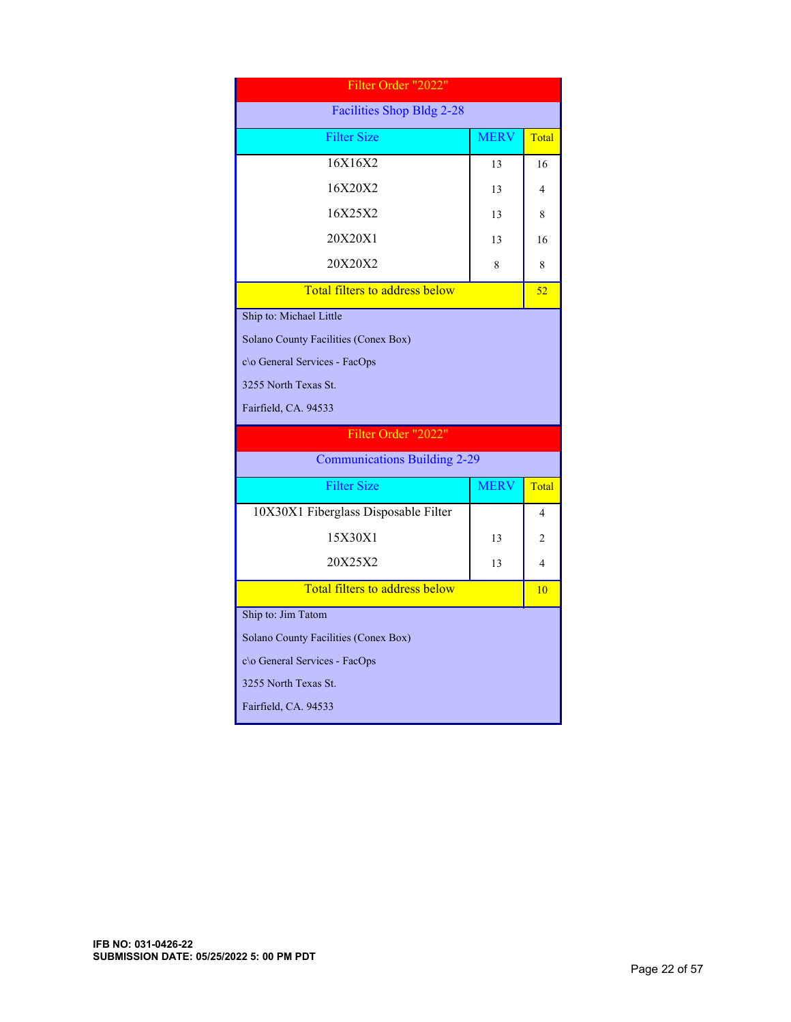| Filter Order "2022"                  |             |       |
|--------------------------------------|-------------|-------|
| Facilities Shop Bldg 2-28            |             |       |
| <b>Filter Size</b>                   | <b>MERV</b> | Total |
| 16X16X2                              | 13          | 16    |
| 16X20X2                              | 13          | 4     |
| 16X25X2                              | 13          | 8     |
| 20X20X1                              | 13          | 16    |
| 20X20X2                              | 8           | 8     |
| Total filters to address below       |             | 52    |
| Ship to: Michael Little              |             |       |
| Solano County Facilities (Conex Box) |             |       |
| c\o General Services - FacOps        |             |       |
| 3255 North Texas St.                 |             |       |
| Fairfield, CA. 94533                 |             |       |
| Filter Order "2022"                  |             |       |
| <b>Communications Building 2-29</b>  |             |       |
| <b>Filter Size</b>                   | <b>MERV</b> | Total |
| 10X30X1 Fiberglass Disposable Filter |             | 4     |
| 15X30X1                              | 13          | 2     |
| 20X25X2                              | 13          | 4     |
| Total filters to address below       |             | 10    |
| Ship to: Jim Tatom                   |             |       |
| Solano County Facilities (Conex Box) |             |       |
| c\o General Services - FacOps        |             |       |
| 3255 North Texas St.                 |             |       |
|                                      |             |       |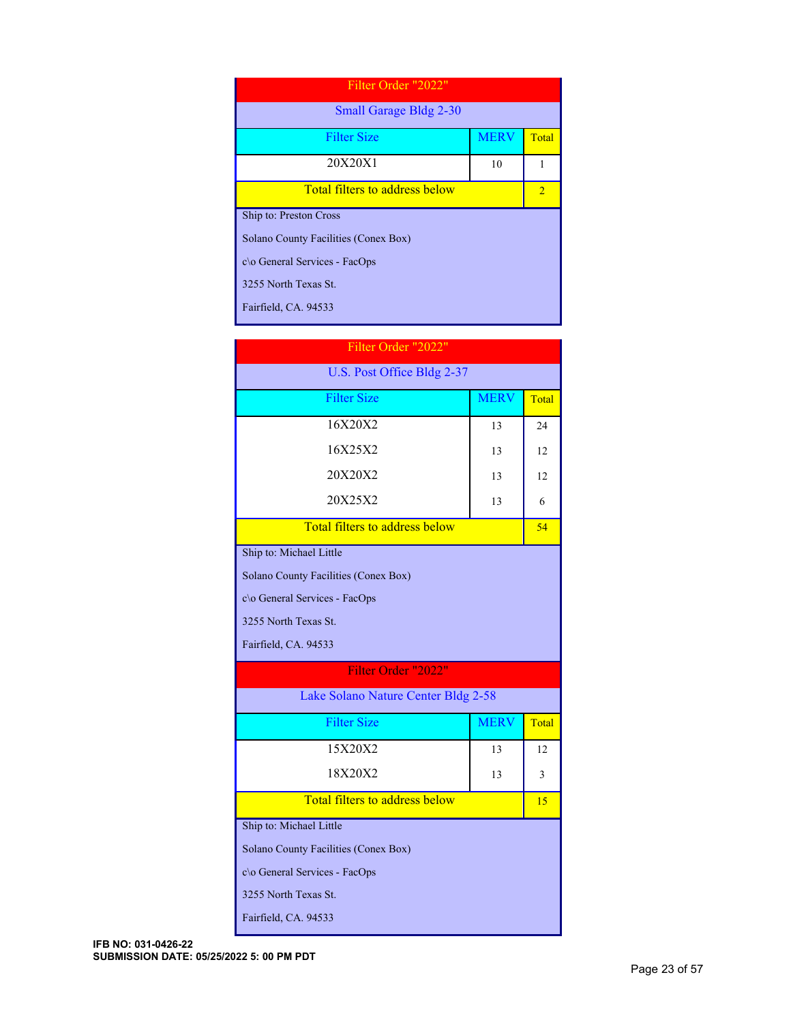| Filter Order "2022"                   |             |                |
|---------------------------------------|-------------|----------------|
| Small Garage Bldg 2-30                |             |                |
| <b>Filter Size</b>                    | <b>MERV</b> | Total          |
| 20X20X1                               | 10          |                |
| <b>Total filters to address below</b> |             | $\overline{2}$ |
| Ship to: Preston Cross                |             |                |
| Solano County Facilities (Conex Box)  |             |                |
| c\o General Services - FacOps         |             |                |
| 3255 North Texas St.                  |             |                |
| Fairfield, CA. 94533                  |             |                |

| Filter Order "2022"                  |             |       |
|--------------------------------------|-------------|-------|
| U.S. Post Office Bldg 2-37           |             |       |
| <b>Filter Size</b>                   | <b>MERV</b> | Total |
| 16X20X2                              | 13          | 24    |
| 16X25X2                              | 13          | 12    |
| 20X20X2                              | 13          | 12    |
| 20X25X2                              | 13          | 6     |
| Total filters to address below       |             | 54    |
| Ship to: Michael Little              |             |       |
| Solano County Facilities (Conex Box) |             |       |
| c\o General Services - FacOps        |             |       |
| 3255 North Texas St.                 |             |       |
| Fairfield, CA. 94533                 |             |       |
| Filter Order "2022"                  |             |       |
| Lake Solano Nature Center Bldg 2-58  |             |       |
| <b>Filter Size</b>                   | <b>MERV</b> | Total |
| 15X20X2                              | 13          | 12    |
| 18X20X2                              | 13          | 3     |
| Total filters to address below       |             | 15    |
| Ship to: Michael Little              |             |       |
| Solano County Facilities (Conex Box) |             |       |
| c\o General Services - FacOps        |             |       |
| 3255 North Texas St.                 |             |       |
| Fairfield, CA. 94533                 |             |       |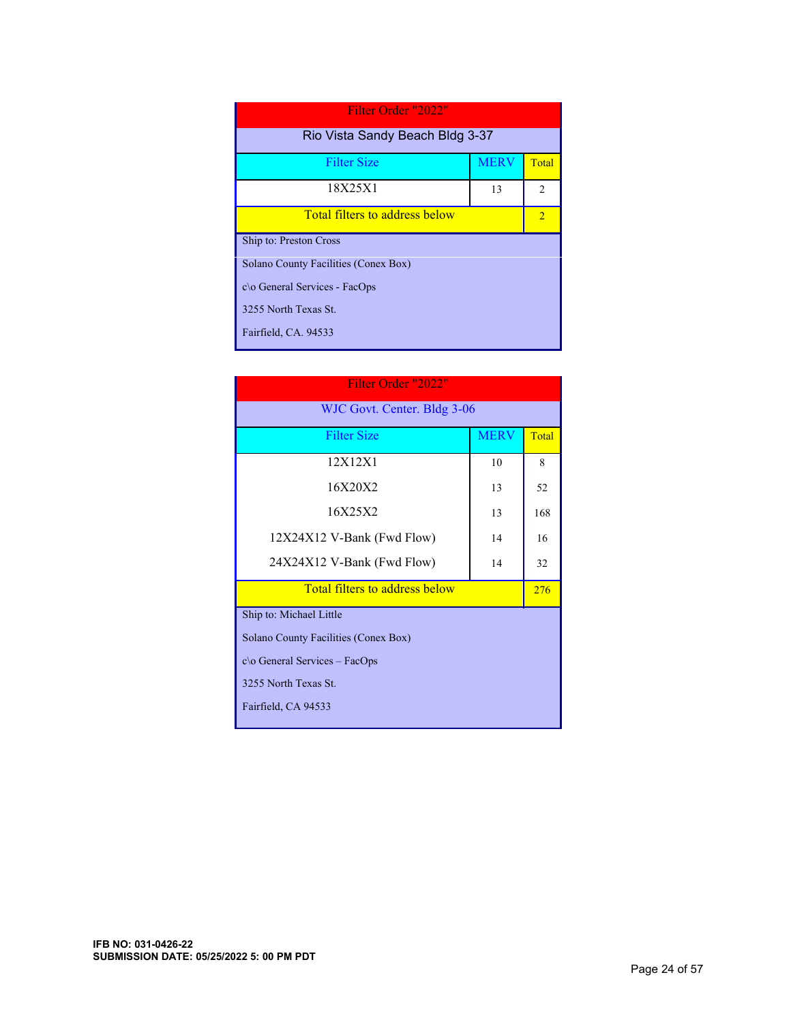| Filter Order "2022"                   |             |                |
|---------------------------------------|-------------|----------------|
| Rio Vista Sandy Beach Bldg 3-37       |             |                |
| <b>Filter Size</b>                    | <b>MERV</b> | Total          |
| 18X25X1                               | 13          | $\overline{2}$ |
| <b>Total filters to address below</b> |             | $\overline{2}$ |
| Ship to: Preston Cross                |             |                |
| Solano County Facilities (Conex Box)  |             |                |
| c\o General Services - FacOps         |             |                |
| 3255 North Texas St.                  |             |                |
| Fairfield, CA. 94533                  |             |                |

| Filter Order "2022"                        |    |    |  |  |  |
|--------------------------------------------|----|----|--|--|--|
| WJC Govt. Center. Bldg 3-06                |    |    |  |  |  |
| <b>MERV</b><br><b>Filter Size</b><br>Total |    |    |  |  |  |
| 12X12X1<br>10                              |    |    |  |  |  |
| 16X20X2<br>13                              |    |    |  |  |  |
| 16X25X2<br>13                              |    |    |  |  |  |
| 12X24X12 V-Bank (Fwd Flow)                 | 14 | 16 |  |  |  |
| 24X24X12 V-Bank (Fwd Flow)                 | 14 | 32 |  |  |  |
| <b>Total filters to address below</b>      |    |    |  |  |  |
| Ship to: Michael Little                    |    |    |  |  |  |
| Solano County Facilities (Conex Box)       |    |    |  |  |  |
| $c \circ$ General Services – FacOps        |    |    |  |  |  |
| 3255 North Texas St.                       |    |    |  |  |  |
| Fairfield, CA 94533                        |    |    |  |  |  |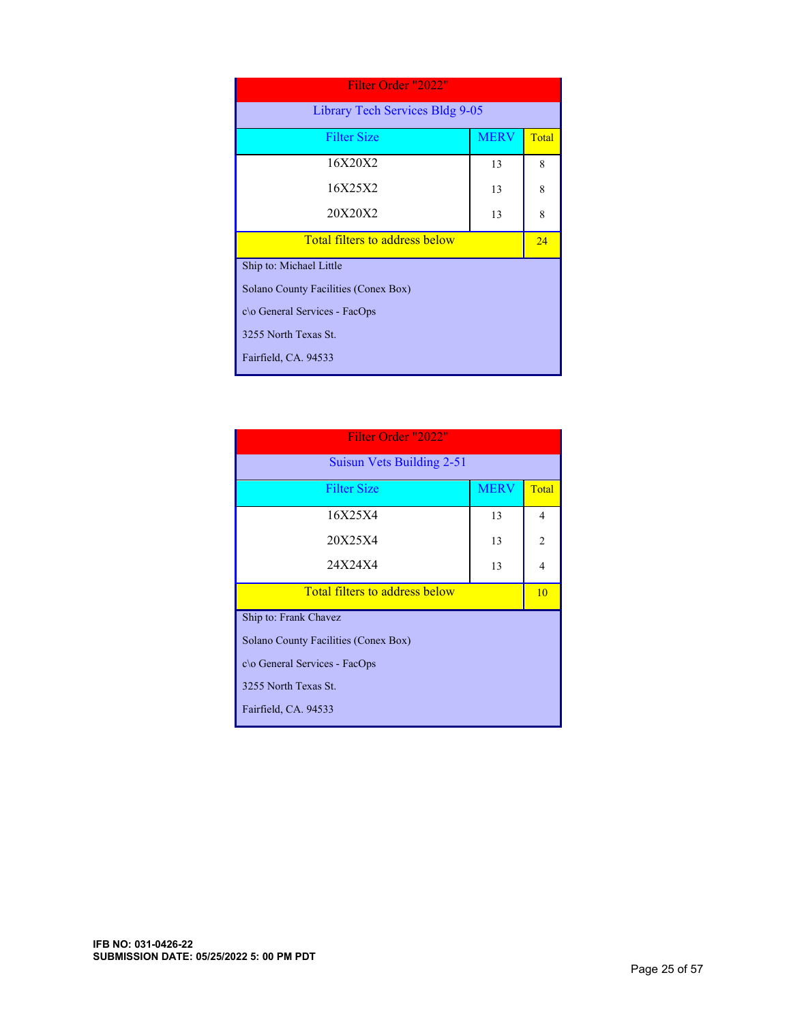| Filter Order "2022"                   |             |       |  |  |  |
|---------------------------------------|-------------|-------|--|--|--|
| Library Tech Services Bldg 9-05       |             |       |  |  |  |
| <b>Filter Size</b>                    | <b>MERV</b> | Total |  |  |  |
| 16X20X2                               | 13          | 8     |  |  |  |
| 16X25X2<br>13                         |             |       |  |  |  |
| 20X20X2                               | 13          | 8     |  |  |  |
| <b>Total filters to address below</b> |             |       |  |  |  |
| Ship to: Michael Little               |             |       |  |  |  |
| Solano County Facilities (Conex Box)  |             |       |  |  |  |
| c\o General Services - FacOps         |             |       |  |  |  |
| 3255 North Texas St.                  |             |       |  |  |  |
| Fairfield, CA. 94533                  |             |       |  |  |  |

| <b>Filter Order "2022"</b>            |             |                |  |  |
|---------------------------------------|-------------|----------------|--|--|
| Suisun Vets Building 2-51             |             |                |  |  |
| <b>Filter Size</b>                    | <b>MERV</b> | Total          |  |  |
| 16X25X4                               | 13          | $\overline{4}$ |  |  |
| 20X25X4                               | 13          | $\overline{2}$ |  |  |
| 24X24X4                               | 13          | 4              |  |  |
| <b>Total filters to address below</b> |             |                |  |  |
| Ship to: Frank Chavez                 |             |                |  |  |
| Solano County Facilities (Conex Box)  |             |                |  |  |
| c\o General Services - FacOps         |             |                |  |  |
| 3255 North Texas St.                  |             |                |  |  |
| Fairfield, CA. 94533                  |             |                |  |  |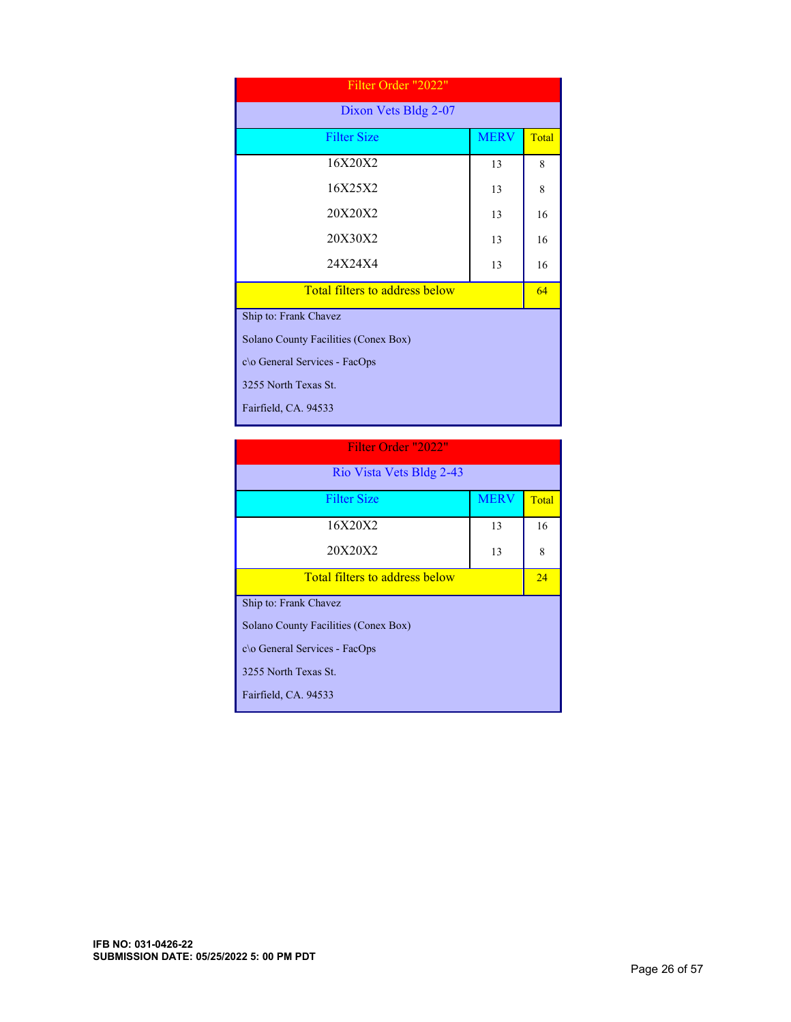| Filter Order "2022"                  |             |       |  |  |  |
|--------------------------------------|-------------|-------|--|--|--|
| Dixon Vets Bldg 2-07                 |             |       |  |  |  |
| <b>Filter Size</b>                   | <b>MERV</b> | Total |  |  |  |
| 16X20X2                              | 13          | 8     |  |  |  |
| 16X25X2<br>13                        |             |       |  |  |  |
| 20X20X2                              | 13          | 16    |  |  |  |
| 20X30X2                              | 13          | 16    |  |  |  |
| 24X24X4                              | 13          | 16    |  |  |  |
| Total filters to address below       |             | 64    |  |  |  |
| Ship to: Frank Chavez                |             |       |  |  |  |
| Solano County Facilities (Conex Box) |             |       |  |  |  |
| c\o General Services - FacOps        |             |       |  |  |  |
| 3255 North Texas St.                 |             |       |  |  |  |
| Fairfield, CA. 94533                 |             |       |  |  |  |

| Filter Order "2022"                   |             |       |  |  |  |
|---------------------------------------|-------------|-------|--|--|--|
| Rio Vista Vets Bldg 2-43              |             |       |  |  |  |
| <b>Filter Size</b>                    | <b>MERV</b> | Total |  |  |  |
| 16X20X2                               | 13          | 16    |  |  |  |
| 20X20X2<br>13                         |             |       |  |  |  |
| <b>Total filters to address below</b> |             |       |  |  |  |
| Ship to: Frank Chavez                 |             |       |  |  |  |
| Solano County Facilities (Conex Box)  |             |       |  |  |  |
| c\o General Services - FacOps         |             |       |  |  |  |
| 3255 North Texas St.                  |             |       |  |  |  |
| Fairfield, CA. 94533                  |             |       |  |  |  |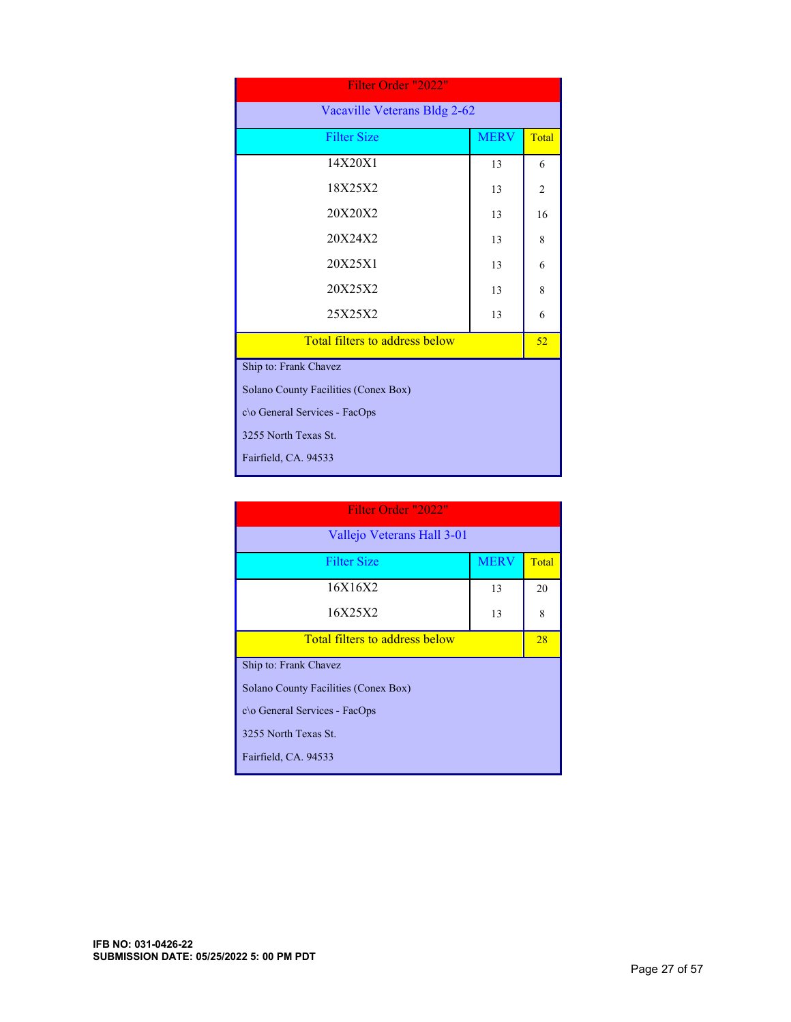| Filter Order "2022"                        |    |    |  |  |  |  |
|--------------------------------------------|----|----|--|--|--|--|
| Vacaville Veterans Bldg 2-62               |    |    |  |  |  |  |
| <b>Filter Size</b><br><b>MERV</b><br>Total |    |    |  |  |  |  |
| 14X20X1                                    | 13 | 6  |  |  |  |  |
| 18X25X2<br>13                              |    |    |  |  |  |  |
| 20X20X2                                    | 13 | 16 |  |  |  |  |
| 20X24X2                                    | 13 | 8  |  |  |  |  |
| 20X25X1                                    | 13 | 6  |  |  |  |  |
| 20X25X2                                    | 13 | 8  |  |  |  |  |
| 25X25X2                                    | 13 | 6  |  |  |  |  |
| <b>Total filters to address below</b>      |    |    |  |  |  |  |
| Ship to: Frank Chavez                      |    |    |  |  |  |  |
| Solano County Facilities (Conex Box)       |    |    |  |  |  |  |
| c\o General Services - FacOps              |    |    |  |  |  |  |
| 3255 North Texas St.                       |    |    |  |  |  |  |
| Fairfield, CA. 94533                       |    |    |  |  |  |  |

| <b>Filter Order "2022"</b>            |             |       |  |  |
|---------------------------------------|-------------|-------|--|--|
| Vallejo Veterans Hall 3-01            |             |       |  |  |
| <b>Filter Size</b>                    | <b>MERV</b> | Total |  |  |
| 16X16X2                               | 13          | 20    |  |  |
| 16X25X2<br>13                         |             |       |  |  |
| <b>Total filters to address below</b> |             |       |  |  |
| Ship to: Frank Chavez                 |             |       |  |  |
| Solano County Facilities (Conex Box)  |             |       |  |  |
| c\o General Services - FacOps         |             |       |  |  |
| 3255 North Texas St.                  |             |       |  |  |
| Fairfield, CA. 94533                  |             |       |  |  |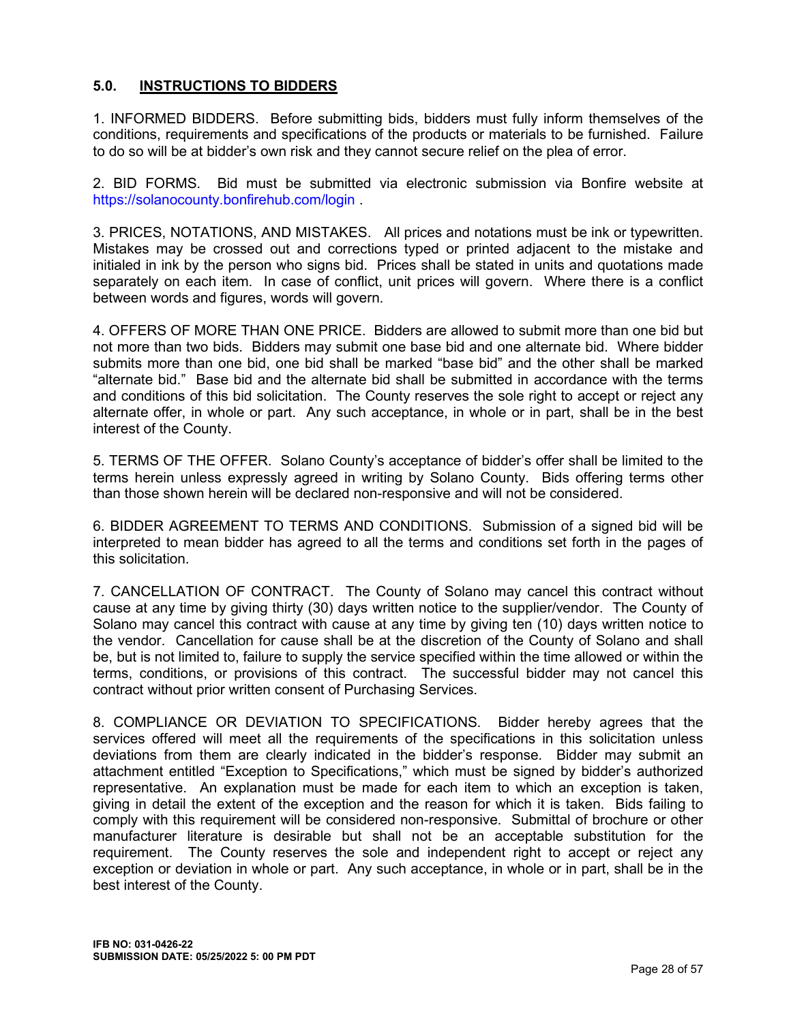### **5.0. INSTRUCTIONS TO BIDDERS**

1. INFORMED BIDDERS. Before submitting bids, bidders must fully inform themselves of the conditions, requirements and specifications of the products or materials to be furnished. Failure to do so will be at bidder's own risk and they cannot secure relief on the plea of error.

2. BID FORMS. Bid must be submitted via electronic submission via Bonfire website at <https://solanocounty.bonfirehub.com/login> .

3. PRICES, NOTATIONS, AND MISTAKES. All prices and notations must be ink or typewritten. Mistakes may be crossed out and corrections typed or printed adjacent to the mistake and initialed in ink by the person who signs bid. Prices shall be stated in units and quotations made separately on each item. In case of conflict, unit prices will govern. Where there is a conflict between words and figures, words will govern.

4. OFFERS OF MORE THAN ONE PRICE. Bidders are allowed to submit more than one bid but not more than two bids. Bidders may submit one base bid and one alternate bid. Where bidder submits more than one bid, one bid shall be marked "base bid" and the other shall be marked "alternate bid." Base bid and the alternate bid shall be submitted in accordance with the terms and conditions of this bid solicitation. The County reserves the sole right to accept or reject any alternate offer, in whole or part. Any such acceptance, in whole or in part, shall be in the best interest of the County.

5. TERMS OF THE OFFER. Solano County's acceptance of bidder's offer shall be limited to the terms herein unless expressly agreed in writing by Solano County. Bids offering terms other than those shown herein will be declared non-responsive and will not be considered.

6. BIDDER AGREEMENT TO TERMS AND CONDITIONS. Submission of a signed bid will be interpreted to mean bidder has agreed to all the terms and conditions set forth in the pages of this solicitation.

7. CANCELLATION OF CONTRACT. The County of Solano may cancel this contract without cause at any time by giving thirty (30) days written notice to the supplier/vendor. The County of Solano may cancel this contract with cause at any time by giving ten (10) days written notice to the vendor. Cancellation for cause shall be at the discretion of the County of Solano and shall be, but is not limited to, failure to supply the service specified within the time allowed or within the terms, conditions, or provisions of this contract. The successful bidder may not cancel this contract without prior written consent of Purchasing Services.

8. COMPLIANCE OR DEVIATION TO SPECIFICATIONS. Bidder hereby agrees that the services offered will meet all the requirements of the specifications in this solicitation unless deviations from them are clearly indicated in the bidder's response. Bidder may submit an attachment entitled "Exception to Specifications," which must be signed by bidder's authorized representative. An explanation must be made for each item to which an exception is taken, giving in detail the extent of the exception and the reason for which it is taken. Bids failing to comply with this requirement will be considered non-responsive. Submittal of brochure or other manufacturer literature is desirable but shall not be an acceptable substitution for the requirement. The County reserves the sole and independent right to accept or reject any exception or deviation in whole or part. Any such acceptance, in whole or in part, shall be in the best interest of the County.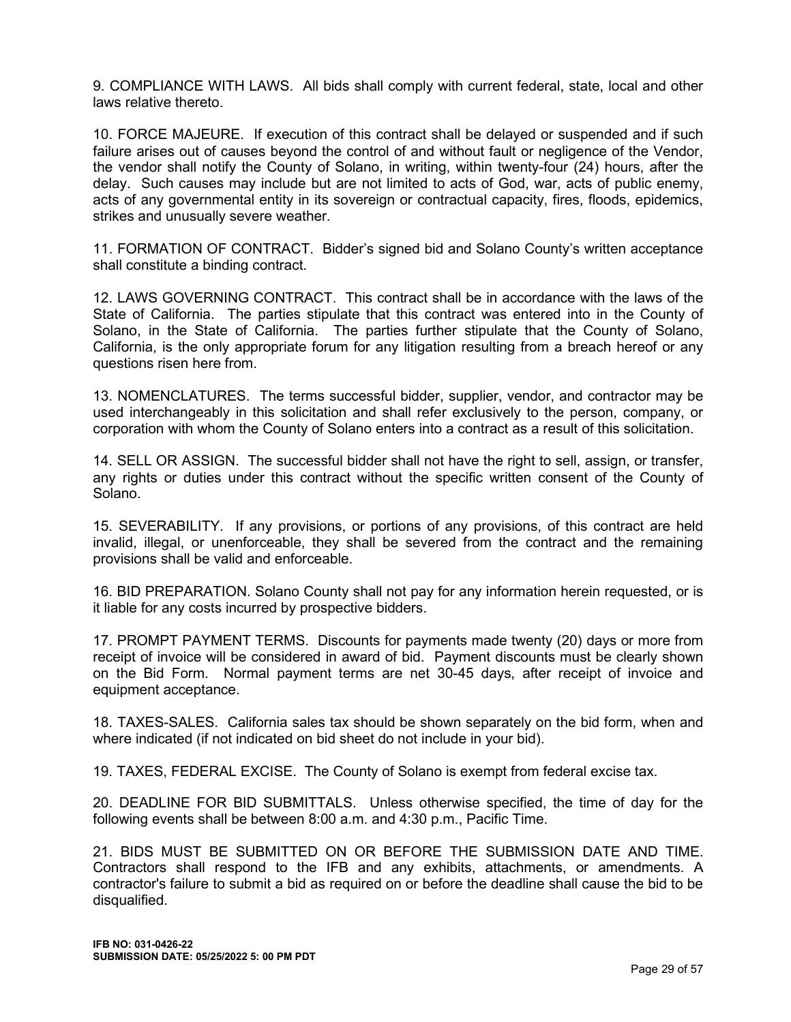9. COMPLIANCE WITH LAWS. All bids shall comply with current federal, state, local and other laws relative thereto.

10. FORCE MAJEURE. If execution of this contract shall be delayed or suspended and if such failure arises out of causes beyond the control of and without fault or negligence of the Vendor, the vendor shall notify the County of Solano, in writing, within twenty-four (24) hours, after the delay. Such causes may include but are not limited to acts of God, war, acts of public enemy, acts of any governmental entity in its sovereign or contractual capacity, fires, floods, epidemics, strikes and unusually severe weather.

11. FORMATION OF CONTRACT. Bidder's signed bid and Solano County's written acceptance shall constitute a binding contract.

12. LAWS GOVERNING CONTRACT. This contract shall be in accordance with the laws of the State of California. The parties stipulate that this contract was entered into in the County of Solano, in the State of California. The parties further stipulate that the County of Solano, California, is the only appropriate forum for any litigation resulting from a breach hereof or any questions risen here from.

13. NOMENCLATURES. The terms successful bidder, supplier, vendor, and contractor may be used interchangeably in this solicitation and shall refer exclusively to the person, company, or corporation with whom the County of Solano enters into a contract as a result of this solicitation.

14. SELL OR ASSIGN. The successful bidder shall not have the right to sell, assign, or transfer, any rights or duties under this contract without the specific written consent of the County of Solano.

15. SEVERABILITY. If any provisions, or portions of any provisions, of this contract are held invalid, illegal, or unenforceable, they shall be severed from the contract and the remaining provisions shall be valid and enforceable.

16. BID PREPARATION. Solano County shall not pay for any information herein requested, or is it liable for any costs incurred by prospective bidders.

17. PROMPT PAYMENT TERMS. Discounts for payments made twenty (20) days or more from receipt of invoice will be considered in award of bid. Payment discounts must be clearly shown on the Bid Form. Normal payment terms are net 30-45 days, after receipt of invoice and equipment acceptance.

18. TAXES-SALES. California sales tax should be shown separately on the bid form, when and where indicated (if not indicated on bid sheet do not include in your bid).

19. TAXES, FEDERAL EXCISE. The County of Solano is exempt from federal excise tax.

20. DEADLINE FOR BID SUBMITTALS. Unless otherwise specified, the time of day for the following events shall be between 8:00 a.m. and 4:30 p.m., Pacific Time.

21. BIDS MUST BE SUBMITTED ON OR BEFORE THE SUBMISSION DATE AND TIME. Contractors shall respond to the IFB and any exhibits, attachments, or amendments. A contractor's failure to submit a bid as required on or before the deadline shall cause the bid to be disqualified.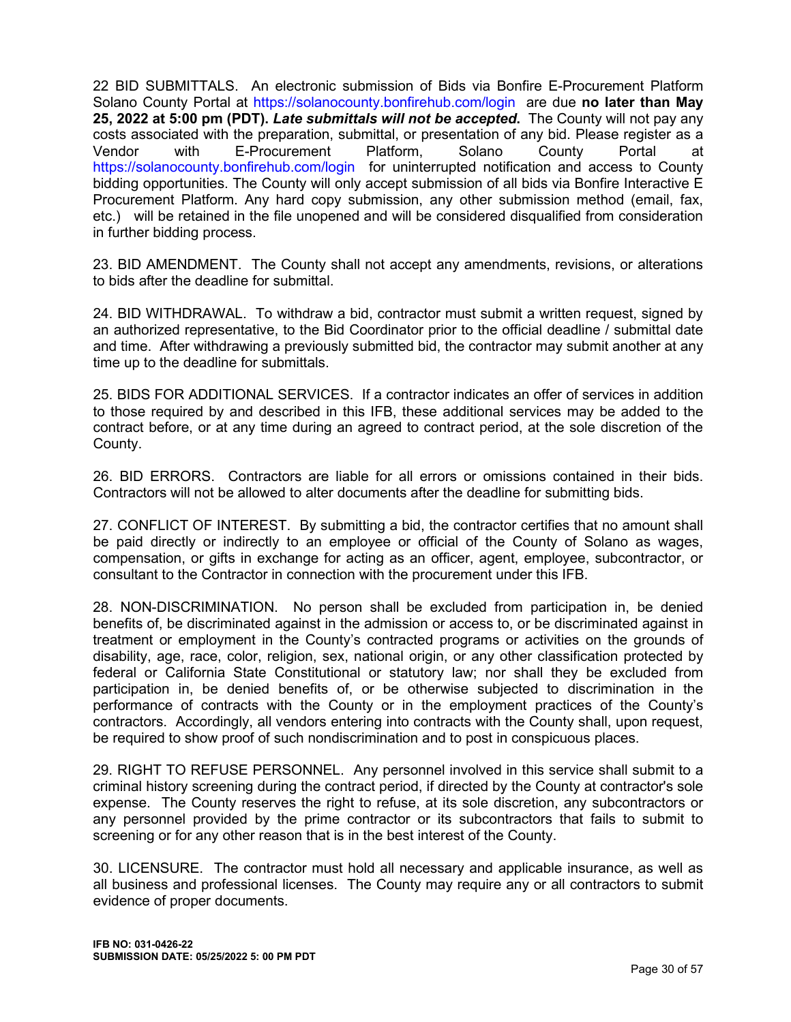22 BID SUBMITTALS. An electronic submission of Bids via Bonfire E-Procurement Platform Solano County Portal at<https://solanocounty.bonfirehub.com/login> are due **no later than May 25, 2022 at 5:00 pm (PDT).** *Late submittals will not be accepted***.** The County will not pay any costs associated with the preparation, submittal, or presentation of any bid. Please register as a Vendor with E-Procurement Platform, Solano County Portal at <https://solanocounty.bonfirehub.com/login> for uninterrupted notification and access to County bidding opportunities. The County will only accept submission of all bids via Bonfire Interactive E Procurement Platform. Any hard copy submission, any other submission method (email, fax, etc.) will be retained in the file unopened and will be considered disqualified from consideration in further bidding process.

23. BID AMENDMENT. The County shall not accept any amendments, revisions, or alterations to bids after the deadline for submittal.

24. BID WITHDRAWAL. To withdraw a bid, contractor must submit a written request, signed by an authorized representative, to the Bid Coordinator prior to the official deadline / submittal date and time. After withdrawing a previously submitted bid, the contractor may submit another at any time up to the deadline for submittals.

25. BIDS FOR ADDITIONAL SERVICES. If a contractor indicates an offer of services in addition to those required by and described in this IFB, these additional services may be added to the contract before, or at any time during an agreed to contract period, at the sole discretion of the County.

26. BID ERRORS. Contractors are liable for all errors or omissions contained in their bids. Contractors will not be allowed to alter documents after the deadline for submitting bids.

27. CONFLICT OF INTEREST. By submitting a bid, the contractor certifies that no amount shall be paid directly or indirectly to an employee or official of the County of Solano as wages, compensation, or gifts in exchange for acting as an officer, agent, employee, subcontractor, or consultant to the Contractor in connection with the procurement under this IFB.

28. NON-DISCRIMINATION. No person shall be excluded from participation in, be denied benefits of, be discriminated against in the admission or access to, or be discriminated against in treatment or employment in the County's contracted programs or activities on the grounds of disability, age, race, color, religion, sex, national origin, or any other classification protected by federal or California State Constitutional or statutory law; nor shall they be excluded from participation in, be denied benefits of, or be otherwise subjected to discrimination in the performance of contracts with the County or in the employment practices of the County's contractors. Accordingly, all vendors entering into contracts with the County shall, upon request, be required to show proof of such nondiscrimination and to post in conspicuous places.

29. RIGHT TO REFUSE PERSONNEL. Any personnel involved in this service shall submit to a criminal history screening during the contract period, if directed by the County at contractor's sole expense. The County reserves the right to refuse, at its sole discretion, any subcontractors or any personnel provided by the prime contractor or its subcontractors that fails to submit to screening or for any other reason that is in the best interest of the County.

30. LICENSURE. The contractor must hold all necessary and applicable insurance, as well as all business and professional licenses. The County may require any or all contractors to submit evidence of proper documents.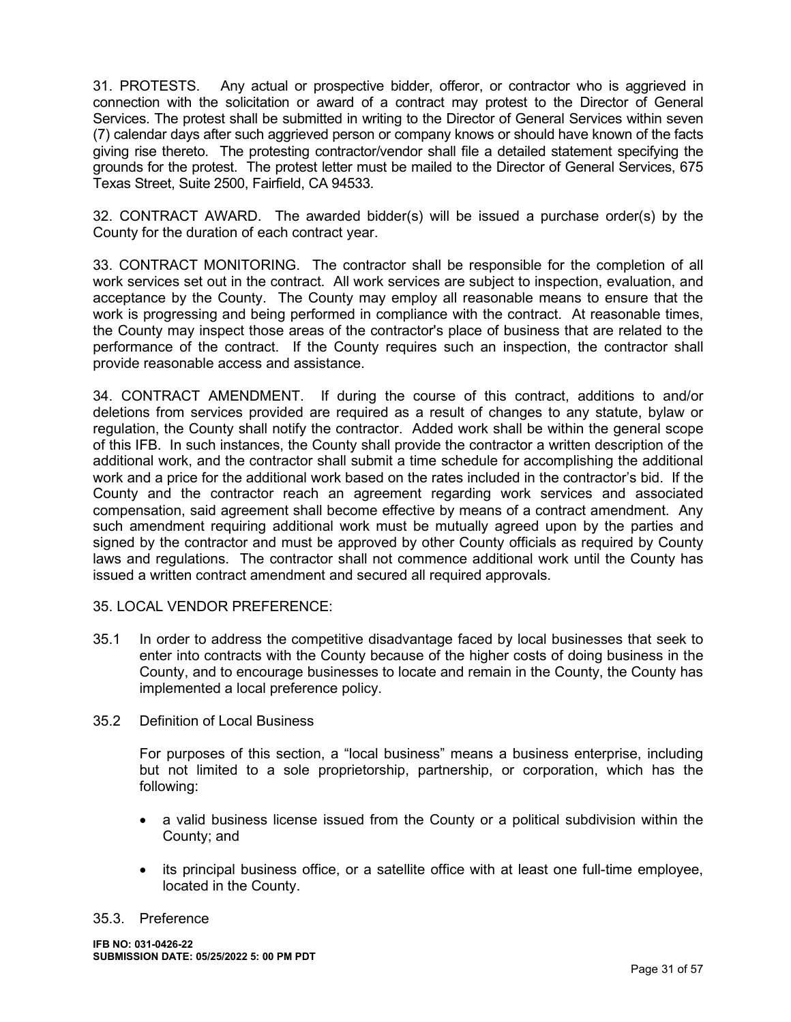31. PROTESTS. Any actual or prospective bidder, offeror, or contractor who is aggrieved in connection with the solicitation or award of a contract may protest to the Director of General Services. The protest shall be submitted in writing to the Director of General Services within seven (7) calendar days after such aggrieved person or company knows or should have known of the facts giving rise thereto. The protesting contractor/vendor shall file a detailed statement specifying the grounds for the protest. The protest letter must be mailed to the Director of General Services, 675 Texas Street, Suite 2500, Fairfield, CA 94533.

32. CONTRACT AWARD. The awarded bidder(s) will be issued a purchase order(s) by the County for the duration of each contract year.

33. CONTRACT MONITORING. The contractor shall be responsible for the completion of all work services set out in the contract. All work services are subject to inspection, evaluation, and acceptance by the County. The County may employ all reasonable means to ensure that the work is progressing and being performed in compliance with the contract. At reasonable times, the County may inspect those areas of the contractor's place of business that are related to the performance of the contract. If the County requires such an inspection, the contractor shall provide reasonable access and assistance.

34. CONTRACT AMENDMENT. If during the course of this contract, additions to and/or deletions from services provided are required as a result of changes to any statute, bylaw or regulation, the County shall notify the contractor. Added work shall be within the general scope of this IFB. In such instances, the County shall provide the contractor a written description of the additional work, and the contractor shall submit a time schedule for accomplishing the additional work and a price for the additional work based on the rates included in the contractor's bid. If the County and the contractor reach an agreement regarding work services and associated compensation, said agreement shall become effective by means of a contract amendment. Any such amendment requiring additional work must be mutually agreed upon by the parties and signed by the contractor and must be approved by other County officials as required by County laws and regulations. The contractor shall not commence additional work until the County has issued a written contract amendment and secured all required approvals.

### 35. LOCAL VENDOR PREFERENCE:

35.1 In order to address the competitive disadvantage faced by local businesses that seek to enter into contracts with the County because of the higher costs of doing business in the County, and to encourage businesses to locate and remain in the County, the County has implemented a local preference policy.

#### 35.2 Definition of Local Business

For purposes of this section, a "local business" means a business enterprise, including but not limited to a sole proprietorship, partnership, or corporation, which has the following:

- a valid business license issued from the County or a political subdivision within the County; and
- its principal business office, or a satellite office with at least one full-time employee, located in the County.

#### 35.3. Preference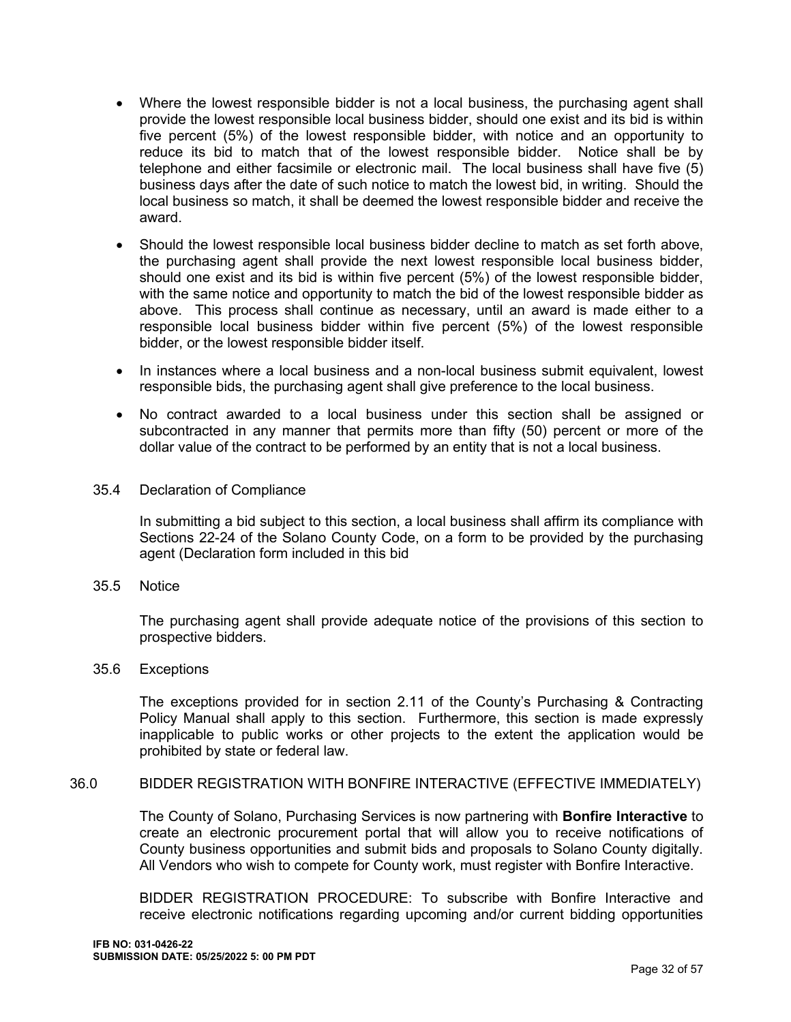- Where the lowest responsible bidder is not a local business, the purchasing agent shall provide the lowest responsible local business bidder, should one exist and its bid is within five percent (5%) of the lowest responsible bidder, with notice and an opportunity to reduce its bid to match that of the lowest responsible bidder. Notice shall be by telephone and either facsimile or electronic mail. The local business shall have five (5) business days after the date of such notice to match the lowest bid, in writing. Should the local business so match, it shall be deemed the lowest responsible bidder and receive the award.
- Should the lowest responsible local business bidder decline to match as set forth above, the purchasing agent shall provide the next lowest responsible local business bidder, should one exist and its bid is within five percent (5%) of the lowest responsible bidder, with the same notice and opportunity to match the bid of the lowest responsible bidder as above. This process shall continue as necessary, until an award is made either to a responsible local business bidder within five percent (5%) of the lowest responsible bidder, or the lowest responsible bidder itself.
- In instances where a local business and a non-local business submit equivalent, lowest responsible bids, the purchasing agent shall give preference to the local business.
- No contract awarded to a local business under this section shall be assigned or subcontracted in any manner that permits more than fifty (50) percent or more of the dollar value of the contract to be performed by an entity that is not a local business.
- 35.4 Declaration of Compliance

In submitting a bid subject to this section, a local business shall affirm its compliance with Sections 22-24 of the Solano County Code, on a form to be provided by the purchasing agent (Declaration form included in this bid

35.5 Notice

The purchasing agent shall provide adequate notice of the provisions of this section to prospective bidders.

35.6 Exceptions

The exceptions provided for in section 2.11 of the County's Purchasing & Contracting Policy Manual shall apply to this section. Furthermore, this section is made expressly inapplicable to public works or other projects to the extent the application would be prohibited by state or federal law.

### 36.0 BIDDER REGISTRATION WITH BONFIRE INTERACTIVE (EFFECTIVE IMMEDIATELY)

The County of Solano, Purchasing Services is now partnering with **Bonfire Interactive** to create an electronic procurement portal that will allow you to receive notifications of County business opportunities and submit bids and proposals to Solano County digitally. All Vendors who wish to compete for County work, must register with Bonfire Interactive.

BIDDER REGISTRATION PROCEDURE: To subscribe with Bonfire Interactive and receive electronic notifications regarding upcoming and/or current bidding opportunities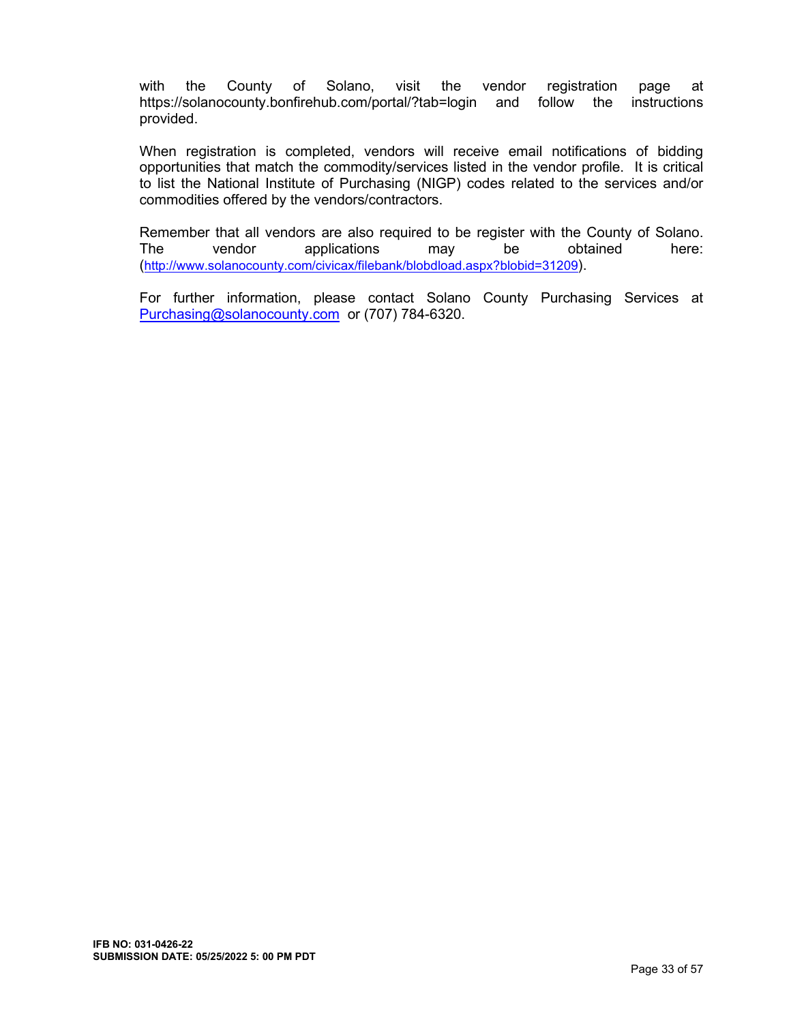with the County of Solano, visit the vendor registration page at <https://solanocounty.bonfirehub.com/portal/?tab=login> and follow the instructions provided.

When registration is completed, vendors will receive email notifications of bidding opportunities that match the commodity/services listed in the vendor profile. It is critical to list the National Institute of Purchasing (NIGP) codes related to the services and/or commodities offered by the vendors/contractors.

Remember that all vendors are also required to be register with the County of Solano.<br>The vendor applications may be obtained here: The vendor applications may be obtained here: [\(http://www.solanocounty.com/civicax/filebank/blobdload.aspx?blobid=31209\)](http://www.solanocounty.com/civicax/filebank/blobdload.aspx?blobid=31209).

For further information, please contact Solano County Purchasing Services at [Purchasing@solanocounty.com](mailto:Purchasing@solanocounty.com) or (707) 784-6320.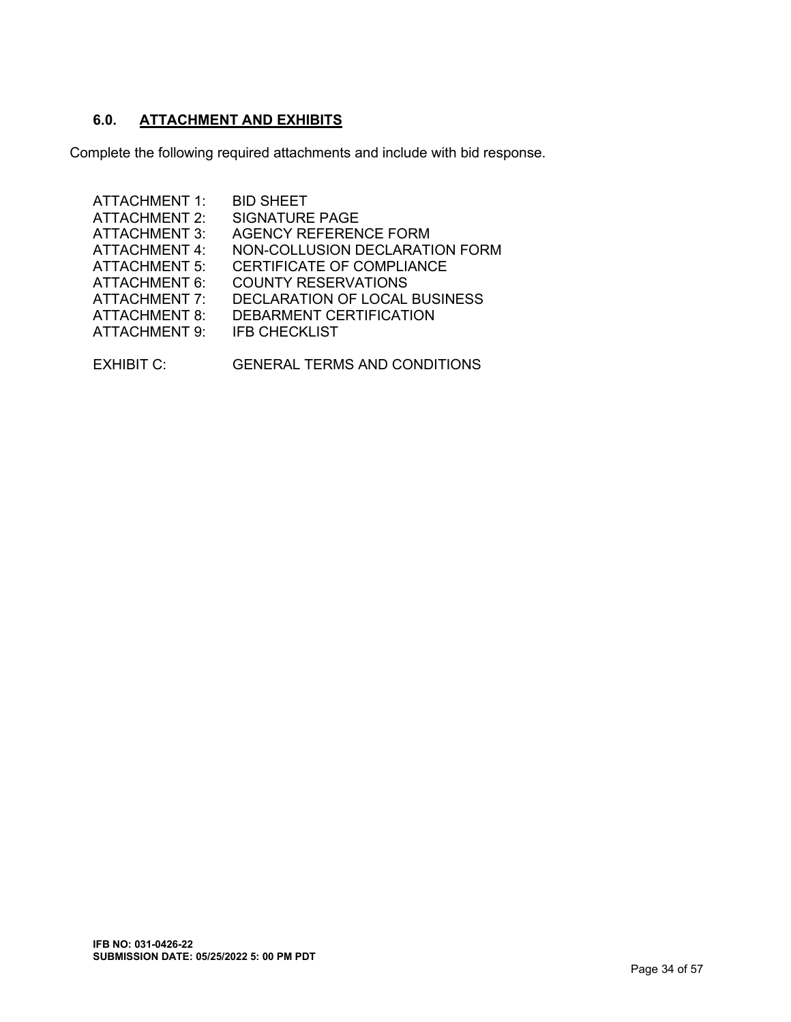### **6.0. ATTACHMENT AND EXHIBITS**

Complete the following required attachments and include with bid response.

| <b>ATTACHMENT 1:</b> | <b>BID SHEET</b>                 |
|----------------------|----------------------------------|
| <b>ATTACHMENT 2:</b> | <b>SIGNATURE PAGE</b>            |
| <b>ATTACHMENT 3:</b> | <b>AGENCY REFERENCE FORM</b>     |
| <b>ATTACHMENT 4:</b> | NON-COLLUSION DECLARATION FORM   |
| <b>ATTACHMENT 5:</b> | <b>CERTIFICATE OF COMPLIANCE</b> |
| <b>ATTACHMENT 6:</b> | <b>COUNTY RESERVATIONS</b>       |
| ATTACHMENT 7:        | DECLARATION OF LOCAL BUSINESS    |
| <b>ATTACHMENT 8:</b> | DEBARMENT CERTIFICATION          |
| ATTACHMENT 9:        | <b>IFB CHECKLIST</b>             |
|                      |                                  |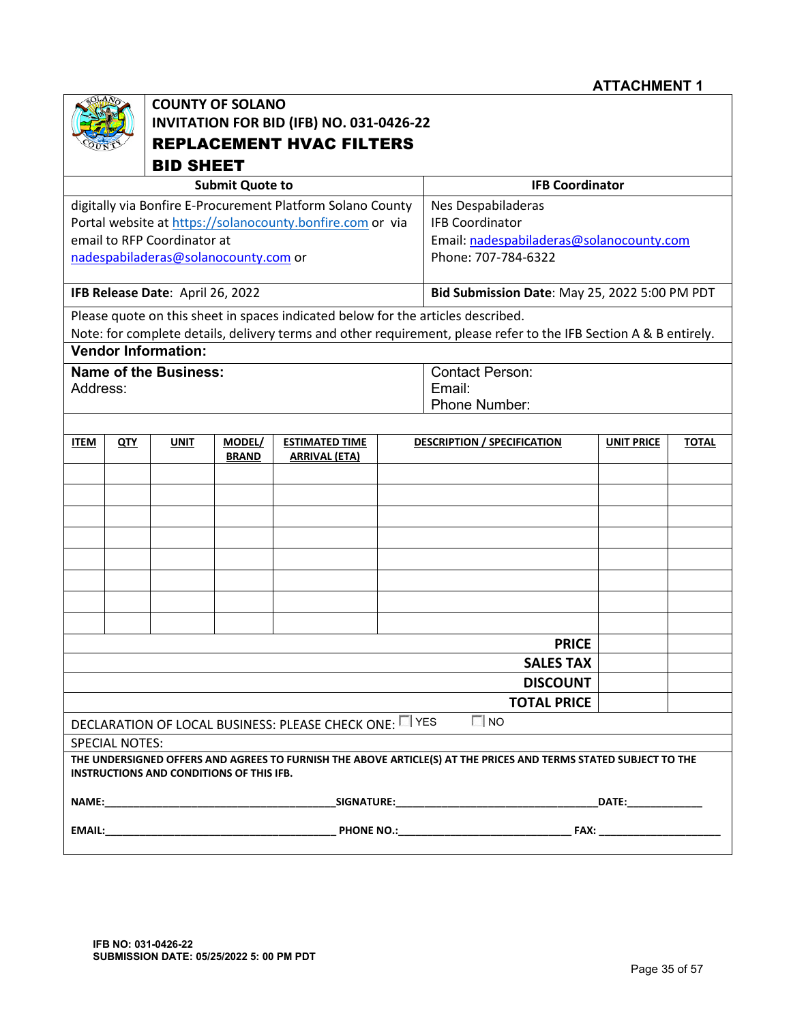### **ATTACHMENT 1**



 $\mathsf{I}$ 

### **COUNTY OF SOLANO INVITATION FOR BID (IFB) NO. 031-0426-22** REPLACEMENT HVAC FILTERS BID SHEET

| <b>Submit Quote to</b>                                                                                            | <b>IFB Coordinator</b>                        |  |  |  |
|-------------------------------------------------------------------------------------------------------------------|-----------------------------------------------|--|--|--|
| digitally via Bonfire E-Procurement Platform Solano County                                                        | Nes Despabiladeras                            |  |  |  |
| Portal website at https://solanocounty.bonfire.com or via                                                         | <b>IFB Coordinator</b>                        |  |  |  |
| email to RFP Coordinator at                                                                                       | Email: nadespabiladeras@solanocounty.com      |  |  |  |
| nadespabiladeras@solanocounty.com or                                                                              | Phone: 707-784-6322                           |  |  |  |
|                                                                                                                   |                                               |  |  |  |
| IFB Release Date: April 26, 2022                                                                                  | Bid Submission Date: May 25, 2022 5:00 PM PDT |  |  |  |
| Please quote on this sheet in spaces indicated below for the articles described.                                  |                                               |  |  |  |
| Note: for complete details, delivery terms and other requirement, please refer to the IFB Section A & B entirely. |                                               |  |  |  |
| <b>Vendor Information:</b>                                                                                        |                                               |  |  |  |
| <b>Name of the Business:</b>                                                                                      | <b>Contact Person:</b>                        |  |  |  |
| Address:                                                                                                          | Email:                                        |  |  |  |
|                                                                                                                   | <b>Phone Number:</b>                          |  |  |  |

| <b>ITEM</b>                                                                                                                                                 | <b>QTY</b> | <b>UNIT</b> | MODEL/<br><b>BRAND</b> | <b>ESTIMATED TIME</b><br><b>ARRIVAL (ETA)</b> | <b>DESCRIPTION / SPECIFICATION</b> | <b>UNIT PRICE</b> | <b>TOTAL</b> |
|-------------------------------------------------------------------------------------------------------------------------------------------------------------|------------|-------------|------------------------|-----------------------------------------------|------------------------------------|-------------------|--------------|
|                                                                                                                                                             |            |             |                        |                                               |                                    |                   |              |
|                                                                                                                                                             |            |             |                        |                                               |                                    |                   |              |
|                                                                                                                                                             |            |             |                        |                                               |                                    |                   |              |
|                                                                                                                                                             |            |             |                        |                                               |                                    |                   |              |
|                                                                                                                                                             |            |             |                        |                                               |                                    |                   |              |
|                                                                                                                                                             |            |             |                        |                                               |                                    |                   |              |
|                                                                                                                                                             |            |             |                        |                                               |                                    |                   |              |
|                                                                                                                                                             |            |             |                        |                                               |                                    |                   |              |
|                                                                                                                                                             |            |             |                        |                                               |                                    |                   |              |
| <b>PRICE</b>                                                                                                                                                |            |             |                        |                                               |                                    |                   |              |
| <b>SALES TAX</b>                                                                                                                                            |            |             |                        |                                               |                                    |                   |              |
| <b>DISCOUNT</b>                                                                                                                                             |            |             |                        |                                               |                                    |                   |              |
| <b>TOTAL PRICE</b>                                                                                                                                          |            |             |                        |                                               |                                    |                   |              |
| $\Box$ NO<br>DECLARATION OF LOCAL BUSINESS: PLEASE CHECK ONE: CIVES                                                                                         |            |             |                        |                                               |                                    |                   |              |
| <b>SPECIAL NOTES:</b>                                                                                                                                       |            |             |                        |                                               |                                    |                   |              |
| THE UNDERSIGNED OFFERS AND AGREES TO FURNISH THE ABOVE ARTICLE(S) AT THE PRICES AND TERMS STATED SUBJECT TO THE<br>INSTRUCTIONS AND CONDITIONS OF THIS IFB. |            |             |                        |                                               |                                    |                   |              |
|                                                                                                                                                             |            |             |                        |                                               |                                    |                   |              |
|                                                                                                                                                             |            |             |                        |                                               |                                    |                   |              |
|                                                                                                                                                             |            |             |                        |                                               |                                    |                   |              |
|                                                                                                                                                             |            |             |                        |                                               |                                    |                   |              |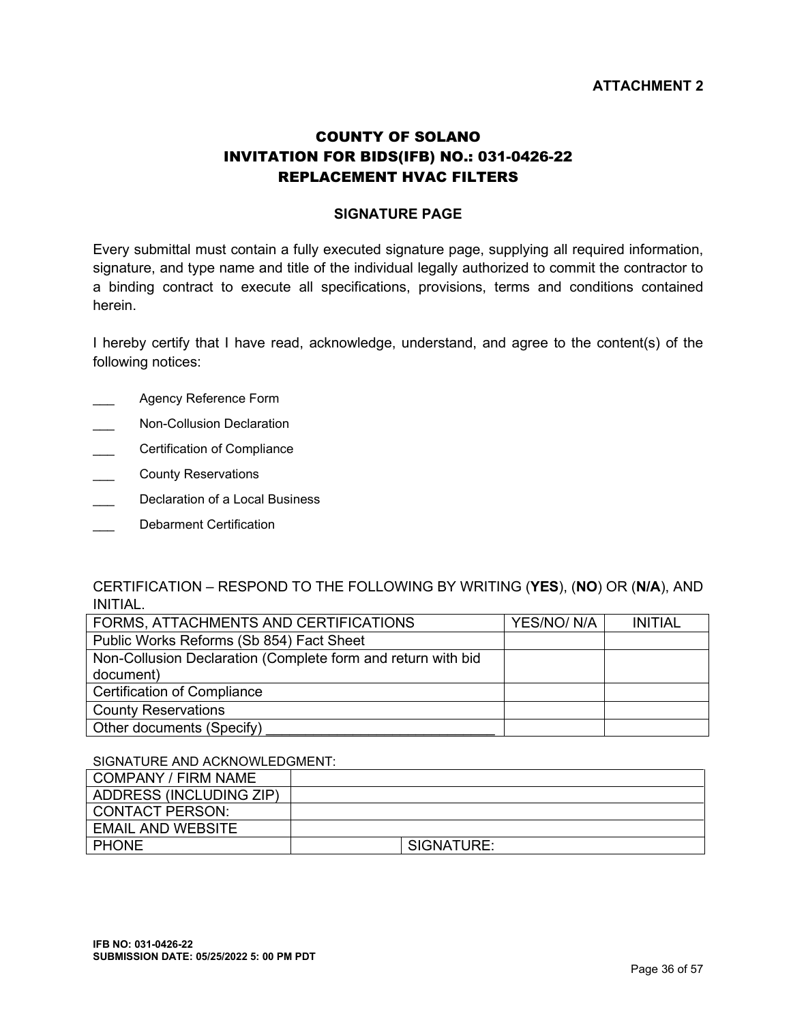### **ATTACHMENT 2**

### COUNTY OF SOLANO INVITATION FOR BIDS(IFB) NO.: 031-0426-22 REPLACEMENT HVAC FILTERS

### **SIGNATURE PAGE**

Every submittal must contain a fully executed signature page, supplying all required information, signature, and type name and title of the individual legally authorized to commit the contractor to a binding contract to execute all specifications, provisions, terms and conditions contained herein.

I hereby certify that I have read, acknowledge, understand, and agree to the content(s) of the following notices:

- Agency Reference Form
- Non-Collusion Declaration
- Certification of Compliance
- \_\_\_ County Reservations
- Declaration of a Local Business
- \_\_\_ Debarment Certification

CERTIFICATION – RESPOND TO THE FOLLOWING BY WRITING (**YES**), (**NO**) OR (**N/A**), AND INITIAL.

| FORMS, ATTACHMENTS AND CERTIFICATIONS                        | YES/NO/N/A | <b>INITIAL</b> |
|--------------------------------------------------------------|------------|----------------|
| Public Works Reforms (Sb 854) Fact Sheet                     |            |                |
| Non-Collusion Declaration (Complete form and return with bid |            |                |
| document)                                                    |            |                |
| <b>Certification of Compliance</b>                           |            |                |
| <b>County Reservations</b>                                   |            |                |
| Other documents (Specify)                                    |            |                |

### SIGNATURE AND ACKNOWLEDGMENT:

| COMPANY / FIRM NAME      |            |
|--------------------------|------------|
| ADDRESS (INCLUDING ZIP)  |            |
| I CONTACT PERSON:        |            |
| <b>EMAIL AND WEBSITE</b> |            |
| <b>PHONE</b>             | SIGNATURE: |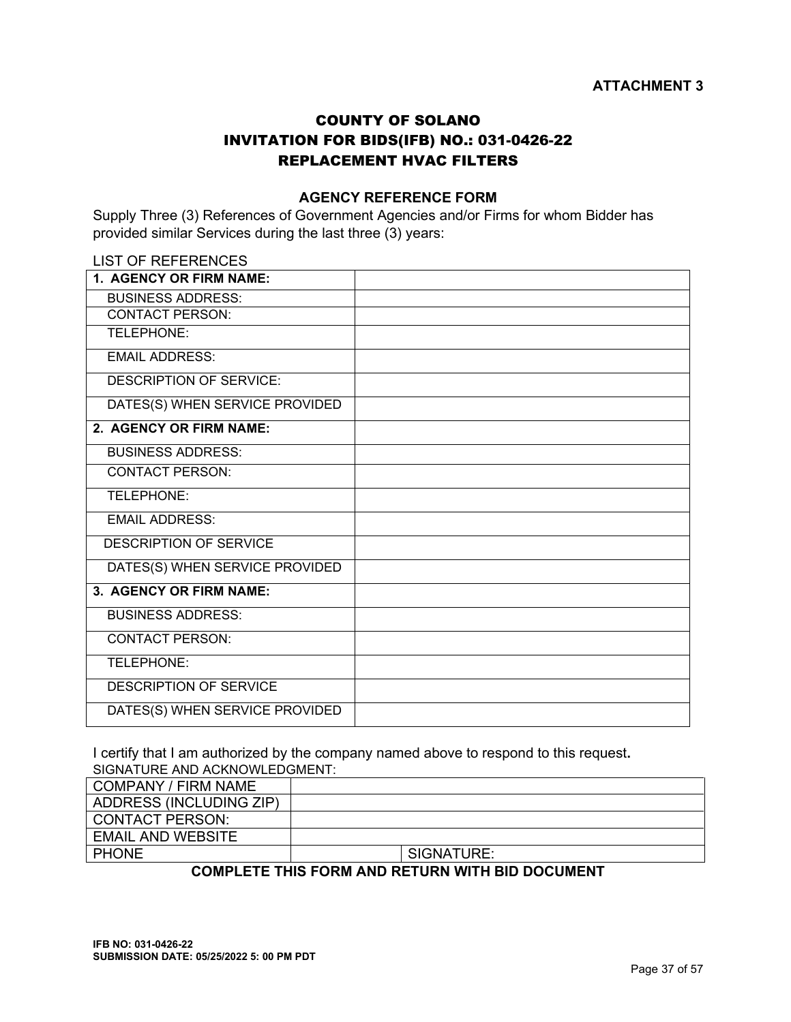### COUNTY OF SOLANO INVITATION FOR BIDS(IFB) NO.: 031-0426-22 REPLACEMENT HVAC FILTERS

### **AGENCY REFERENCE FORM**

Supply Three (3) References of Government Agencies and/or Firms for whom Bidder has provided similar Services during the last three (3) years:

| <b>LIST OF REFERENCES</b>      |  |
|--------------------------------|--|
| 1. AGENCY OR FIRM NAME:        |  |
| <b>BUSINESS ADDRESS:</b>       |  |
| <b>CONTACT PERSON:</b>         |  |
| TELEPHONE:                     |  |
| <b>EMAIL ADDRESS:</b>          |  |
| <b>DESCRIPTION OF SERVICE:</b> |  |
| DATES(S) WHEN SERVICE PROVIDED |  |
| 2. AGENCY OR FIRM NAME:        |  |
| <b>BUSINESS ADDRESS:</b>       |  |
| <b>CONTACT PERSON:</b>         |  |
| TELEPHONE:                     |  |
| <b>EMAIL ADDRESS:</b>          |  |
| <b>DESCRIPTION OF SERVICE</b>  |  |
| DATES(S) WHEN SERVICE PROVIDED |  |
| 3. AGENCY OR FIRM NAME:        |  |
| <b>BUSINESS ADDRESS:</b>       |  |
| <b>CONTACT PERSON:</b>         |  |
| TELEPHONE:                     |  |
| <b>DESCRIPTION OF SERVICE</b>  |  |
| DATES(S) WHEN SERVICE PROVIDED |  |

I certify that I am authorized by the company named above to respond to this request**.** SIGNATURE AND ACKNOWLEDGMENT:

| COMPANY / FIRM NAME     |            |
|-------------------------|------------|
| ADDRESS (INCLUDING ZIP) |            |
| I CONTACT PERSON:       |            |
| EMAIL AND WEBSITE       |            |
| <b>PHONE</b>            | SIGNATURE: |

### **COMPLETE THIS FORM AND RETURN WITH BID DOCUMENT**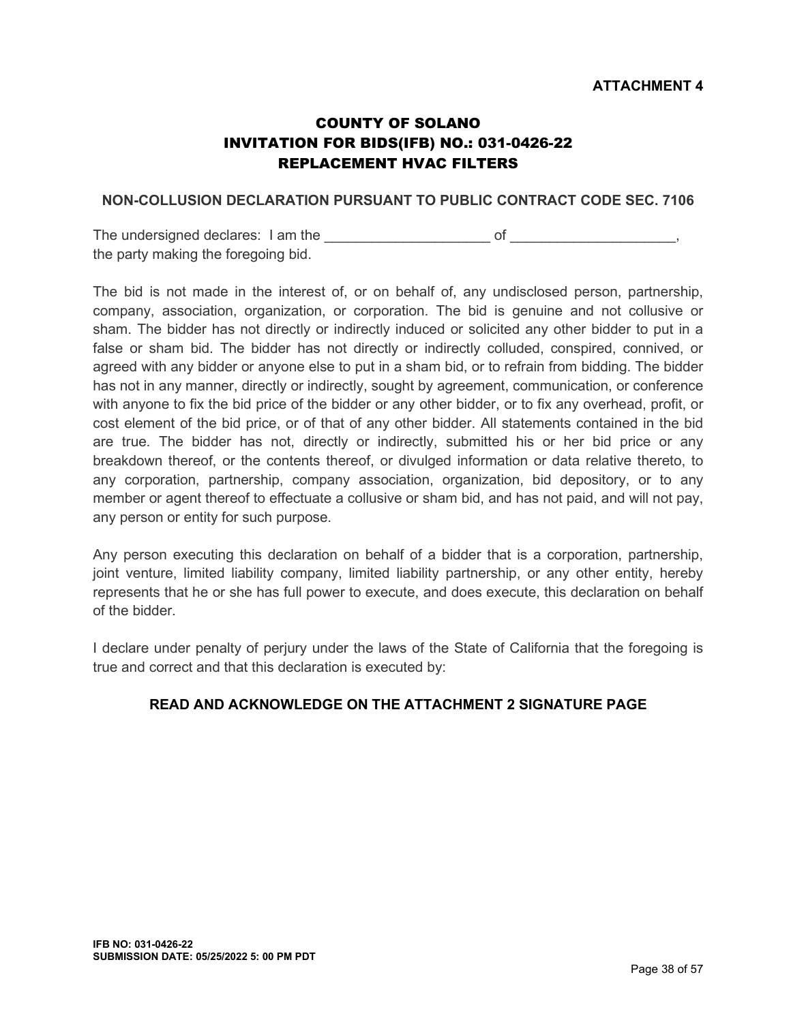### COUNTY OF SOLANO INVITATION FOR BIDS(IFB) NO.: 031-0426-22 REPLACEMENT HVAC FILTERS

### **NON-COLLUSION DECLARATION PURSUANT TO PUBLIC CONTRACT CODE SEC. 7106**

The undersigned declares: I am the \_\_\_\_\_\_\_\_\_\_\_\_\_\_\_\_\_\_\_\_\_ of \_\_\_\_\_\_\_\_\_\_\_\_\_\_\_\_\_\_\_\_\_, the party making the foregoing bid.

The bid is not made in the interest of, or on behalf of, any undisclosed person, partnership, company, association, organization, or corporation. The bid is genuine and not collusive or sham. The bidder has not directly or indirectly induced or solicited any other bidder to put in a false or sham bid. The bidder has not directly or indirectly colluded, conspired, connived, or agreed with any bidder or anyone else to put in a sham bid, or to refrain from bidding. The bidder has not in any manner, directly or indirectly, sought by agreement, communication, or conference with anyone to fix the bid price of the bidder or any other bidder, or to fix any overhead, profit, or cost element of the bid price, or of that of any other bidder. All statements contained in the bid are true. The bidder has not, directly or indirectly, submitted his or her bid price or any breakdown thereof, or the contents thereof, or divulged information or data relative thereto, to any corporation, partnership, company association, organization, bid depository, or to any member or agent thereof to effectuate a collusive or sham bid, and has not paid, and will not pay, any person or entity for such purpose.

Any person executing this declaration on behalf of a bidder that is a corporation, partnership, joint venture, limited liability company, limited liability partnership, or any other entity, hereby represents that he or she has full power to execute, and does execute, this declaration on behalf of the bidder.

I declare under penalty of perjury under the laws of the State of California that the foregoing is true and correct and that this declaration is executed by:

### **READ AND ACKNOWLEDGE ON THE ATTACHMENT 2 SIGNATURE PAGE**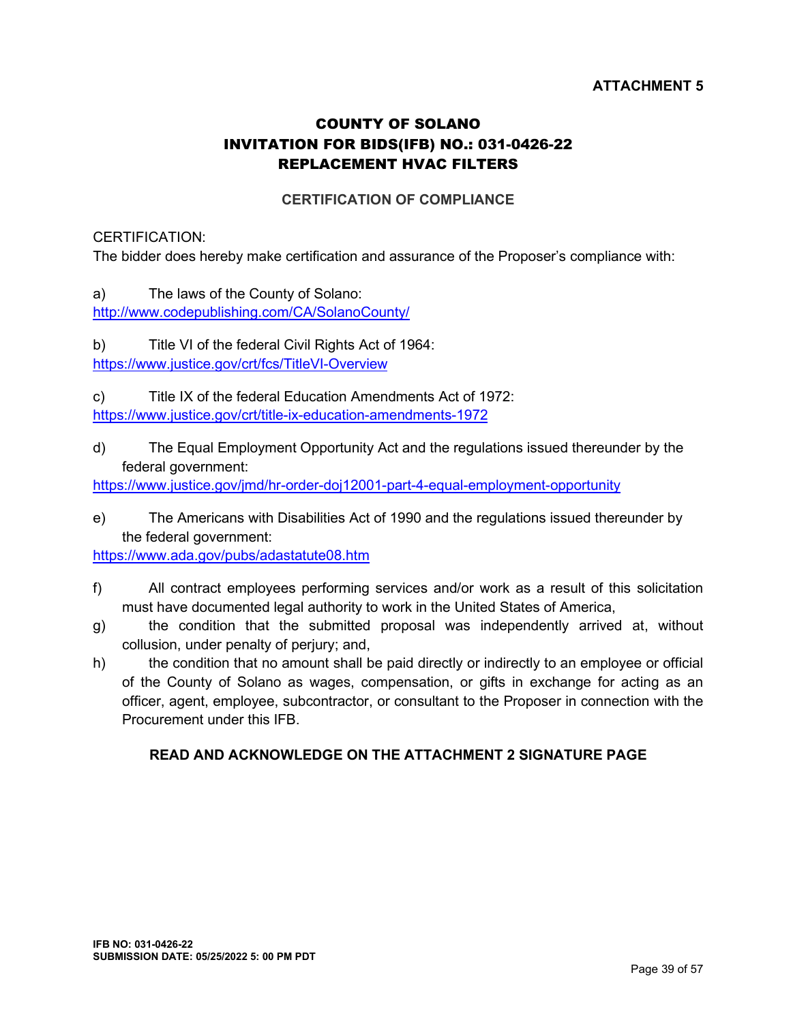### **ATTACHMENT 5**

### COUNTY OF SOLANO INVITATION FOR BIDS(IFB) NO.: 031-0426-22 REPLACEMENT HVAC FILTERS

### **CERTIFICATION OF COMPLIANCE**

### CERTIFICATION:

The bidder does hereby make certification and assurance of the Proposer's compliance with:

a) The laws of the County of Solano: <http://www.codepublishing.com/CA/SolanoCounty/>

b) Title VI of the federal Civil Rights Act of 1964: <https://www.justice.gov/crt/fcs/TitleVI-Overview>

c) Title IX of the federal Education Amendments Act of 1972: <https://www.justice.gov/crt/title-ix-education-amendments-1972>

d) The Equal Employment Opportunity Act and the regulations issued thereunder by the federal government:

<https://www.justice.gov/jmd/hr-order-doj12001-part-4-equal-employment-opportunity>

e) The Americans with Disabilities Act of 1990 and the regulations issued thereunder by the federal government:

<https://www.ada.gov/pubs/adastatute08.htm>

- f) All contract employees performing services and/or work as a result of this solicitation must have documented legal authority to work in the United States of America,
- g) the condition that the submitted proposal was independently arrived at, without collusion, under penalty of perjury; and,
- h) the condition that no amount shall be paid directly or indirectly to an employee or official of the County of Solano as wages, compensation, or gifts in exchange for acting as an officer, agent, employee, subcontractor, or consultant to the Proposer in connection with the Procurement under this IFB.

### **READ AND ACKNOWLEDGE ON THE ATTACHMENT 2 SIGNATURE PAGE**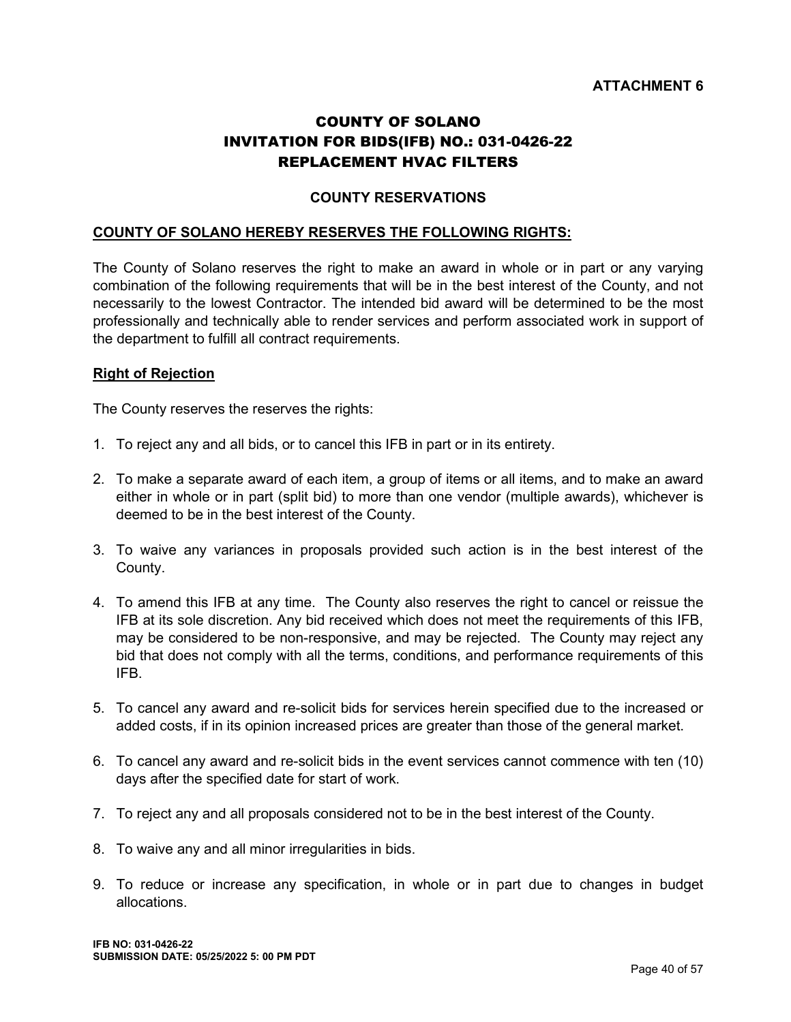### **ATTACHMENT 6**

### COUNTY OF SOLANO INVITATION FOR BIDS(IFB) NO.: 031-0426-22 REPLACEMENT HVAC FILTERS

#### **COUNTY RESERVATIONS**

#### **COUNTY OF SOLANO HEREBY RESERVES THE FOLLOWING RIGHTS:**

The County of Solano reserves the right to make an award in whole or in part or any varying combination of the following requirements that will be in the best interest of the County, and not necessarily to the lowest Contractor. The intended bid award will be determined to be the most professionally and technically able to render services and perform associated work in support of the department to fulfill all contract requirements.

### **Right of Rejection**

The County reserves the reserves the rights:

- 1. To reject any and all bids, or to cancel this IFB in part or in its entirety.
- 2. To make a separate award of each item, a group of items or all items, and to make an award either in whole or in part (split bid) to more than one vendor (multiple awards), whichever is deemed to be in the best interest of the County.
- 3. To waive any variances in proposals provided such action is in the best interest of the County.
- 4. To amend this IFB at any time. The County also reserves the right to cancel or reissue the IFB at its sole discretion. Any bid received which does not meet the requirements of this IFB, may be considered to be non-responsive, and may be rejected. The County may reject any bid that does not comply with all the terms, conditions, and performance requirements of this IFB.
- 5. To cancel any award and re-solicit bids for services herein specified due to the increased or added costs, if in its opinion increased prices are greater than those of the general market.
- 6. To cancel any award and re-solicit bids in the event services cannot commence with ten (10) days after the specified date for start of work.
- 7. To reject any and all proposals considered not to be in the best interest of the County.
- 8. To waive any and all minor irregularities in bids.
- 9. To reduce or increase any specification, in whole or in part due to changes in budget allocations.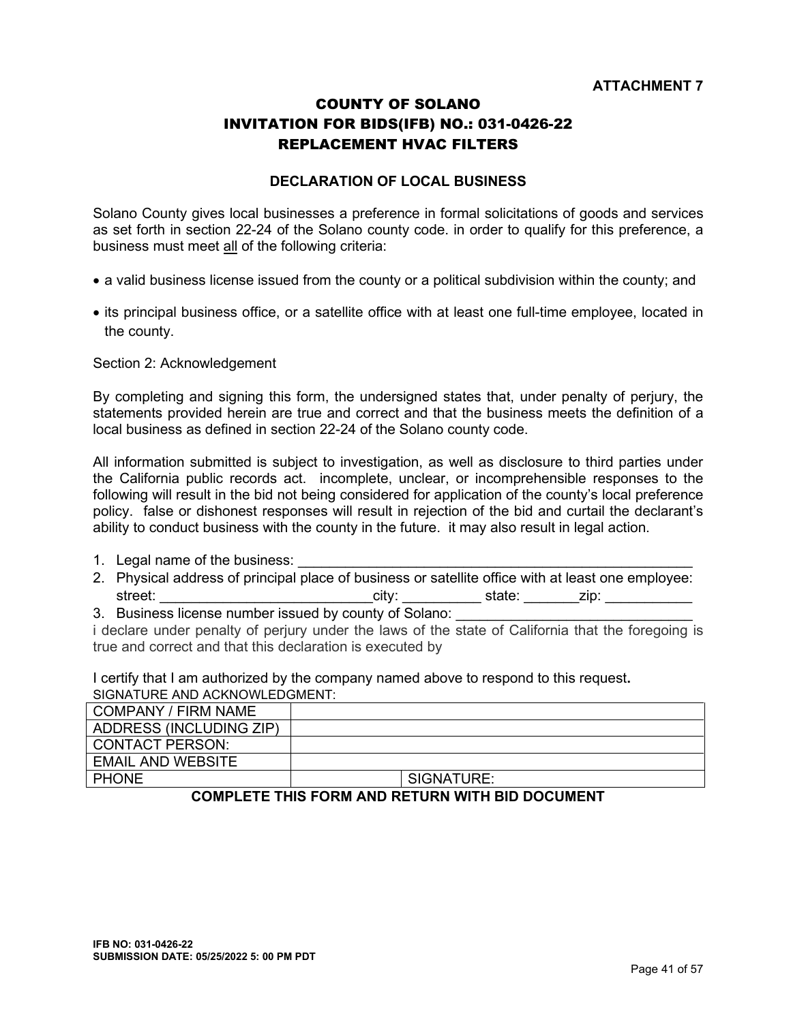### COUNTY OF SOLANO INVITATION FOR BIDS(IFB) NO.: 031-0426-22 REPLACEMENT HVAC FILTERS

### **DECLARATION OF LOCAL BUSINESS**

Solano County gives local businesses a preference in formal solicitations of goods and services as set forth in section 22-24 of the Solano county code. in order to qualify for this preference, a business must meet all of the following criteria:

- a valid business license issued from the county or a political subdivision within the county; and
- its principal business office, or a satellite office with at least one full-time employee, located in the county.

#### Section 2: Acknowledgement

By completing and signing this form, the undersigned states that, under penalty of perjury, the statements provided herein are true and correct and that the business meets the definition of a local business as defined in section 22-24 of the Solano county code.

All information submitted is subject to investigation, as well as disclosure to third parties under the California public records act. incomplete, unclear, or incomprehensible responses to the following will result in the bid not being considered for application of the county's local preference policy. false or dishonest responses will result in rejection of the bid and curtail the declarant's ability to conduct business with the county in the future. it may also result in legal action.

- 1. Legal name of the business:
- 2. Physical address of principal place of business or satellite office with at least one employee: street: etc. with the state:  $\text{city:}}$  state: zip:  $\text{zip:}}$
- 3. Business license number issued by county of Solano:

i declare under penalty of perjury under the laws of the state of California that the foregoing is true and correct and that this declaration is executed by

I certify that I am authorized by the company named above to respond to this request**.** SIGNATURE AND ACKNOWLEDGMENT:

| COMPANY / FIRM NAME      |            |
|--------------------------|------------|
| ADDRESS (INCLUDING ZIP)  |            |
| <b>CONTACT PERSON:</b>   |            |
| <b>EMAIL AND WEBSITE</b> |            |
| <b>PHONE</b>             | SIGNATURE: |

### **COMPLETE THIS FORM AND RETURN WITH BID DOCUMENT**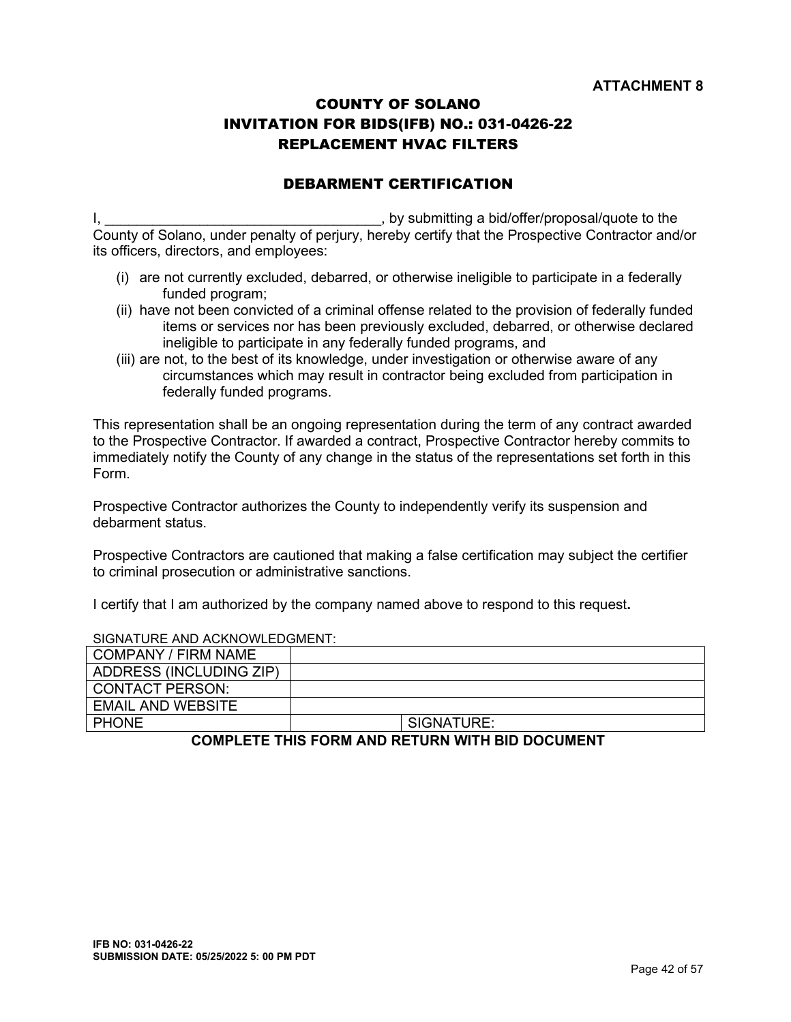### COUNTY OF SOLANO INVITATION FOR BIDS(IFB) NO.: 031-0426-22 REPLACEMENT HVAC FILTERS

### DEBARMENT CERTIFICATION

I, \_\_\_\_\_\_\_\_\_\_\_\_\_\_\_\_\_\_\_\_\_\_\_\_\_\_\_\_\_\_\_\_\_\_\_, by submitting a bid/offer/proposal/quote to the County of Solano, under penalty of perjury, hereby certify that the Prospective Contractor and/or its officers, directors, and employees:

- (i) are not currently excluded, debarred, or otherwise ineligible to participate in a federally funded program;
- (ii) have not been convicted of a criminal offense related to the provision of federally funded items or services nor has been previously excluded, debarred, or otherwise declared ineligible to participate in any federally funded programs, and
- (iii) are not, to the best of its knowledge, under investigation or otherwise aware of any circumstances which may result in contractor being excluded from participation in federally funded programs.

This representation shall be an ongoing representation during the term of any contract awarded to the Prospective Contractor. If awarded a contract, Prospective Contractor hereby commits to immediately notify the County of any change in the status of the representations set forth in this Form.

Prospective Contractor authorizes the County to independently verify its suspension and debarment status.

Prospective Contractors are cautioned that making a false certification may subject the certifier to criminal prosecution or administrative sanctions.

I certify that I am authorized by the company named above to respond to this request**.**

| I COMPANY / FIRM NAME    |            |
|--------------------------|------------|
| ADDRESS (INCLUDING ZIP)  |            |
| I CONTACT PERSON:        |            |
| <b>EMAIL AND WEBSITE</b> |            |
| <b>PHONE</b>             | SIGNATURE: |

### SIGNATURE AND ACKNOWLEDGMENT:

**COMPLETE THIS FORM AND RETURN WITH BID DOCUMENT**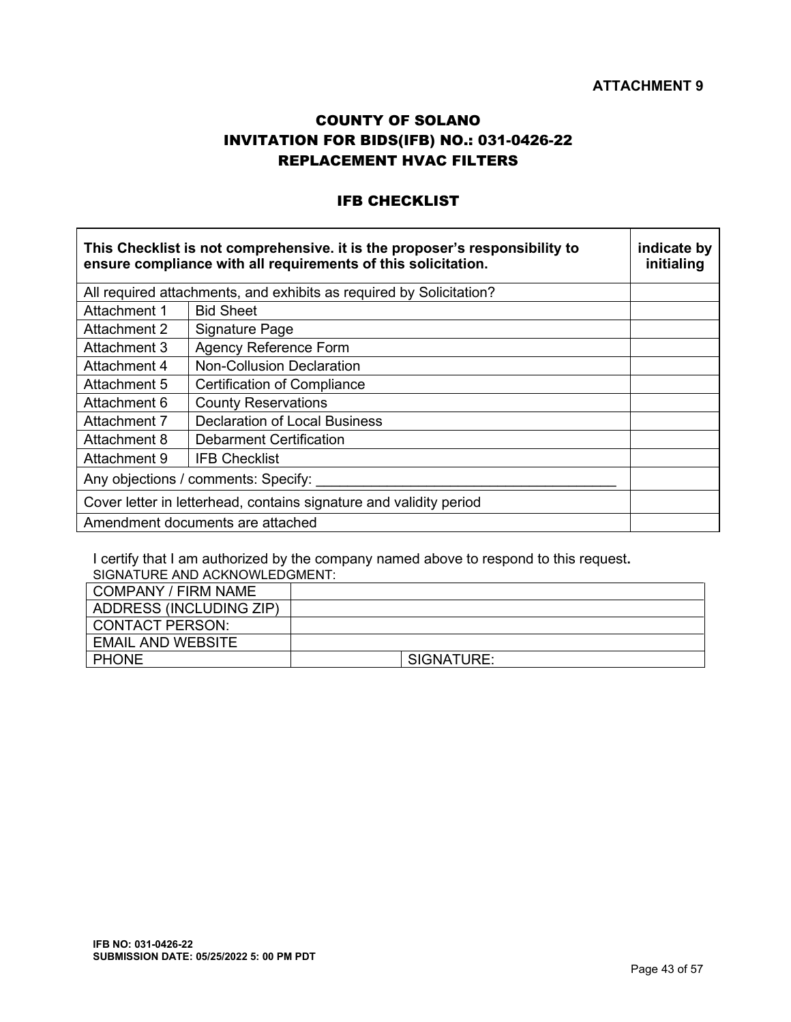### **ATTACHMENT 9**

٦

### COUNTY OF SOLANO INVITATION FOR BIDS(IFB) NO.: 031-0426-22 REPLACEMENT HVAC FILTERS

### IFB CHECKLIST

| This Checklist is not comprehensive. It is the proposer's responsibility to<br>indicate by<br>ensure compliance with all requirements of this solicitation.<br>initialing |                                      |  |  |
|---------------------------------------------------------------------------------------------------------------------------------------------------------------------------|--------------------------------------|--|--|
| All required attachments, and exhibits as required by Solicitation?                                                                                                       |                                      |  |  |
| Attachment 1                                                                                                                                                              | <b>Bid Sheet</b>                     |  |  |
| Attachment 2                                                                                                                                                              | Signature Page                       |  |  |
| Attachment 3                                                                                                                                                              | <b>Agency Reference Form</b>         |  |  |
| Attachment 4                                                                                                                                                              | <b>Non-Collusion Declaration</b>     |  |  |
| Attachment 5                                                                                                                                                              | Certification of Compliance          |  |  |
| Attachment 6                                                                                                                                                              | <b>County Reservations</b>           |  |  |
| Attachment 7                                                                                                                                                              | <b>Declaration of Local Business</b> |  |  |
| Attachment 8                                                                                                                                                              | <b>Debarment Certification</b>       |  |  |
| Attachment 9                                                                                                                                                              | <b>IFB Checklist</b>                 |  |  |
| Any objections / comments: Specify:                                                                                                                                       |                                      |  |  |
| Cover letter in letterhead, contains signature and validity period                                                                                                        |                                      |  |  |
| Amendment documents are attached                                                                                                                                          |                                      |  |  |

I certify that I am authorized by the company named above to respond to this request**.** SIGNATURE AND ACKNOWLEDGMENT:

| <b>COMPANY / FIRM NAME</b> |            |
|----------------------------|------------|
| ADDRESS (INCLUDING ZIP)    |            |
| <b>CONTACT PERSON:</b>     |            |
| <b>EMAIL AND WEBSITE</b>   |            |
| <b>PHONE</b>               | SIGNATURE: |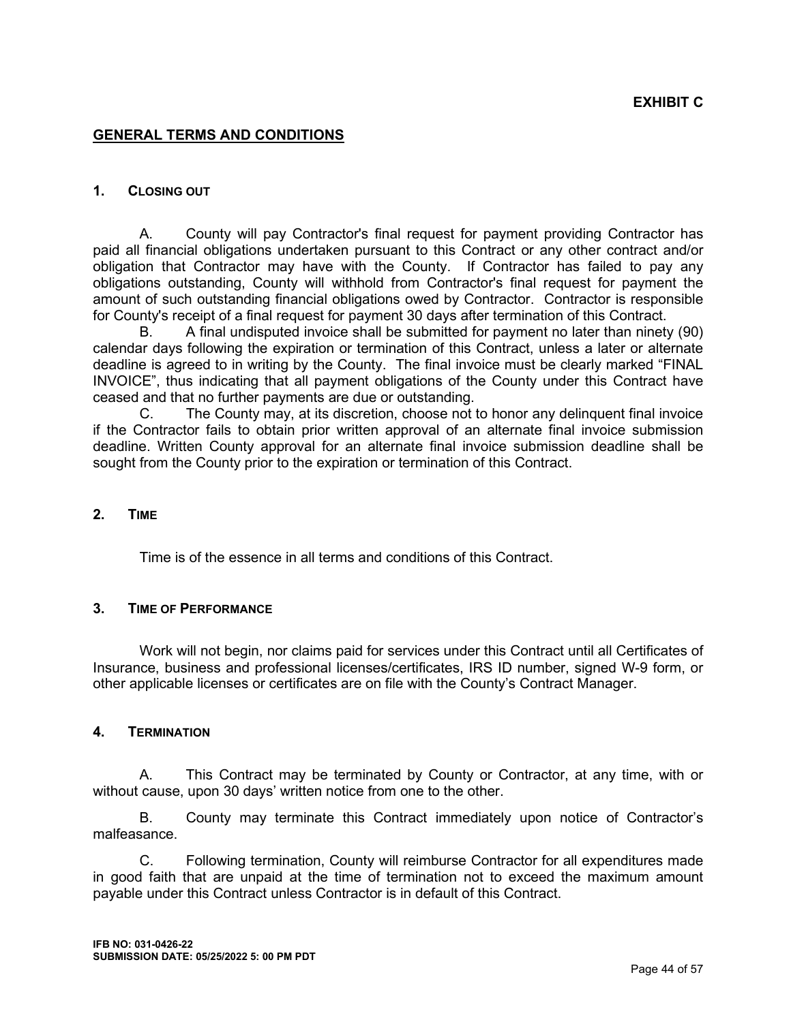### **GENERAL TERMS AND CONDITIONS**

#### **1. CLOSING OUT**

A. County will pay Contractor's final request for payment providing Contractor has paid all financial obligations undertaken pursuant to this Contract or any other contract and/or obligation that Contractor may have with the County. If Contractor has failed to pay any obligations outstanding, County will withhold from Contractor's final request for payment the amount of such outstanding financial obligations owed by Contractor. Contractor is responsible for County's receipt of a final request for payment 30 days after termination of this Contract.

B. A final undisputed invoice shall be submitted for payment no later than ninety (90) calendar days following the expiration or termination of this Contract, unless a later or alternate deadline is agreed to in writing by the County. The final invoice must be clearly marked "FINAL INVOICE", thus indicating that all payment obligations of the County under this Contract have ceased and that no further payments are due or outstanding.

C. The County may, at its discretion, choose not to honor any delinquent final invoice if the Contractor fails to obtain prior written approval of an alternate final invoice submission deadline. Written County approval for an alternate final invoice submission deadline shall be sought from the County prior to the expiration or termination of this Contract.

#### **2. TIME**

Time is of the essence in all terms and conditions of this Contract.

#### **3. TIME OF PERFORMANCE**

Work will not begin, nor claims paid for services under this Contract until all Certificates of Insurance, business and professional licenses/certificates, IRS ID number, signed W-9 form, or other applicable licenses or certificates are on file with the County's Contract Manager.

#### **4. TERMINATION**

A. This Contract may be terminated by County or Contractor, at any time, with or without cause, upon 30 days' written notice from one to the other.

B. County may terminate this Contract immediately upon notice of Contractor's malfeasance.

C. Following termination, County will reimburse Contractor for all expenditures made in good faith that are unpaid at the time of termination not to exceed the maximum amount payable under this Contract unless Contractor is in default of this Contract.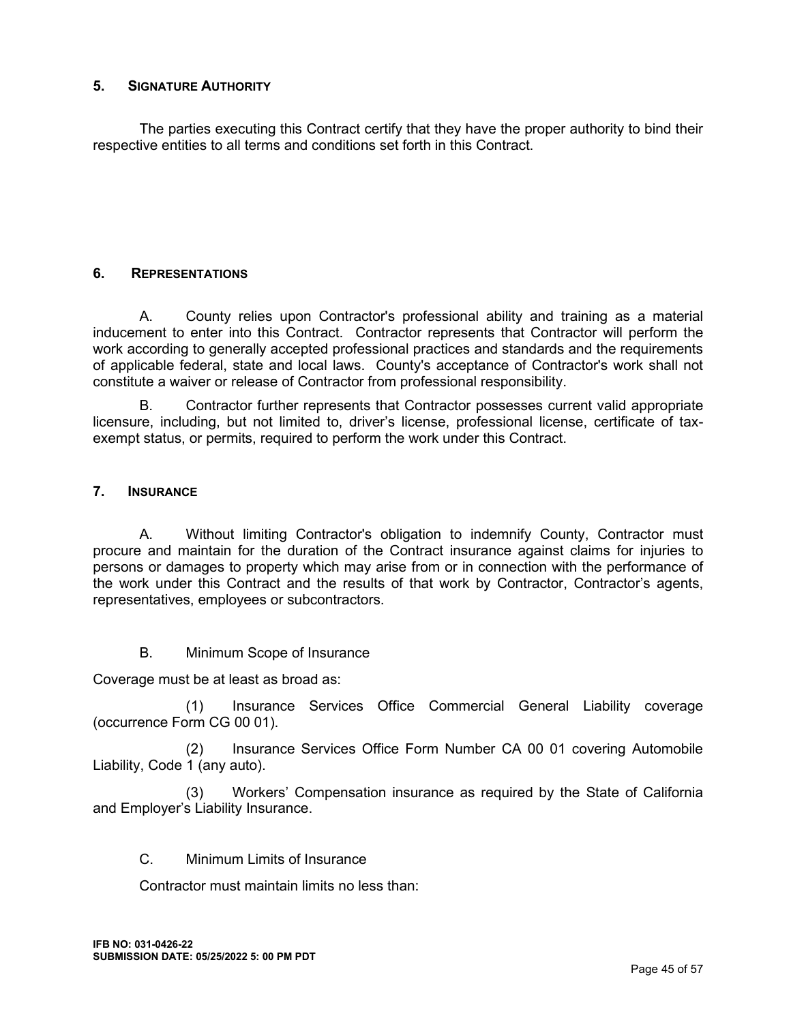### **5. SIGNATURE AUTHORITY**

The parties executing this Contract certify that they have the proper authority to bind their respective entities to all terms and conditions set forth in this Contract.

### **6. REPRESENTATIONS**

A. County relies upon Contractor's professional ability and training as a material inducement to enter into this Contract. Contractor represents that Contractor will perform the work according to generally accepted professional practices and standards and the requirements of applicable federal, state and local laws. County's acceptance of Contractor's work shall not constitute a waiver or release of Contractor from professional responsibility.

B. Contractor further represents that Contractor possesses current valid appropriate licensure, including, but not limited to, driver's license, professional license, certificate of taxexempt status, or permits, required to perform the work under this Contract.

### **7. INSURANCE**

A. Without limiting Contractor's obligation to indemnify County, Contractor must procure and maintain for the duration of the Contract insurance against claims for injuries to persons or damages to property which may arise from or in connection with the performance of the work under this Contract and the results of that work by Contractor, Contractor's agents, representatives, employees or subcontractors.

### B. Minimum Scope of Insurance

Coverage must be at least as broad as:

(1) Insurance Services Office Commercial General Liability coverage (occurrence Form CG 00 01).

(2) Insurance Services Office Form Number CA 00 01 covering Automobile Liability, Code 1 (any auto).

(3) Workers' Compensation insurance as required by the State of California and Employer's Liability Insurance.

### C. Minimum Limits of Insurance

Contractor must maintain limits no less than: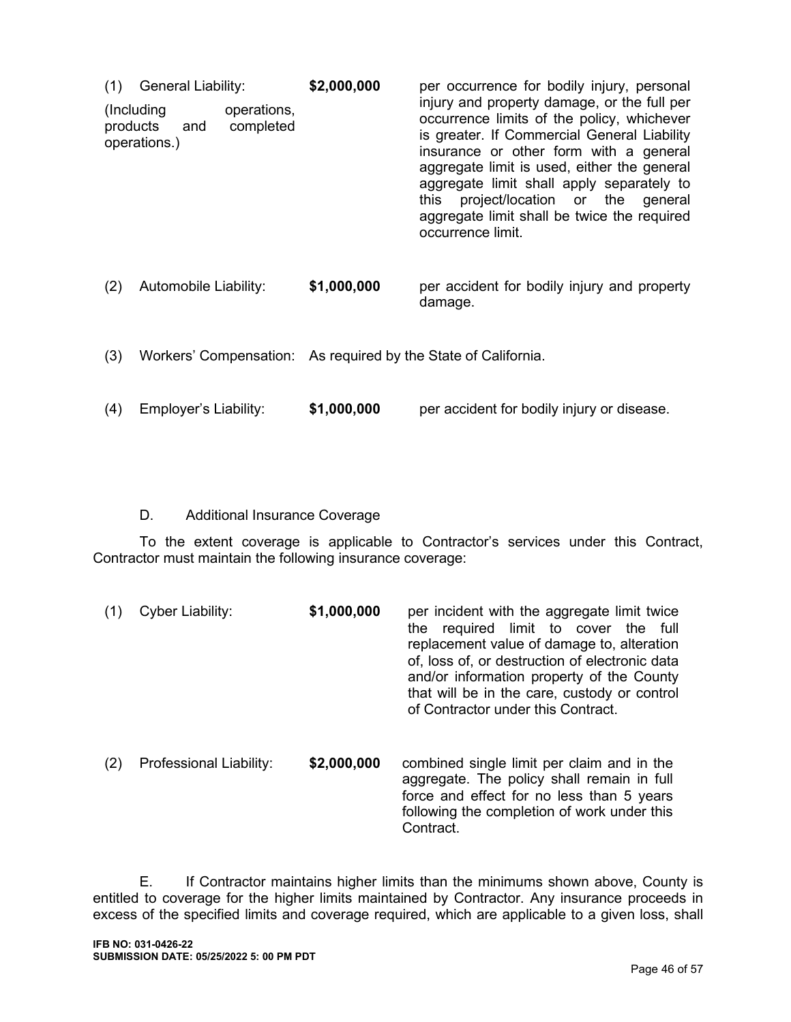|     | (1) General Liability:<br>operations,<br>(Including<br>completed<br>products<br>and<br>operations.) | \$2,000,000                                                    | per occurrence for bodily injury, personal<br>injury and property damage, or the full per<br>occurrence limits of the policy, whichever<br>is greater. If Commercial General Liability<br>insurance or other form with a general<br>aggregate limit is used, either the general<br>aggregate limit shall apply separately to<br>project/location or the<br>this<br>general<br>aggregate limit shall be twice the required<br>occurrence limit. |
|-----|-----------------------------------------------------------------------------------------------------|----------------------------------------------------------------|------------------------------------------------------------------------------------------------------------------------------------------------------------------------------------------------------------------------------------------------------------------------------------------------------------------------------------------------------------------------------------------------------------------------------------------------|
| (2) | Automobile Liability:                                                                               | \$1,000,000                                                    | per accident for bodily injury and property<br>damage.                                                                                                                                                                                                                                                                                                                                                                                         |
| (3) |                                                                                                     | Workers' Compensation: As required by the State of California. |                                                                                                                                                                                                                                                                                                                                                                                                                                                |

(4) Employer's Liability: **\$1,000,000** per accident for bodily injury or disease.

### D. Additional Insurance Coverage

To the extent coverage is applicable to Contractor's services under this Contract, Contractor must maintain the following insurance coverage:

|     | Cyber Liability:        | \$1,000,000 | per incident with the aggregate limit twice<br>required limit to cover the full<br>the<br>replacement value of damage to, alteration<br>of, loss of, or destruction of electronic data<br>and/or information property of the County<br>that will be in the care, custody or control<br>of Contractor under this Contract. |
|-----|-------------------------|-------------|---------------------------------------------------------------------------------------------------------------------------------------------------------------------------------------------------------------------------------------------------------------------------------------------------------------------------|
| (2) | Professional Liability: | \$2,000,000 | combined single limit per claim and in the<br>aggregate. The policy shall remain in full<br>force and effect for no less than 5 years<br>following the completion of work under this<br>Contract.                                                                                                                         |

E. If Contractor maintains higher limits than the minimums shown above, County is entitled to coverage for the higher limits maintained by Contractor. Any insurance proceeds in excess of the specified limits and coverage required, which are applicable to a given loss, shall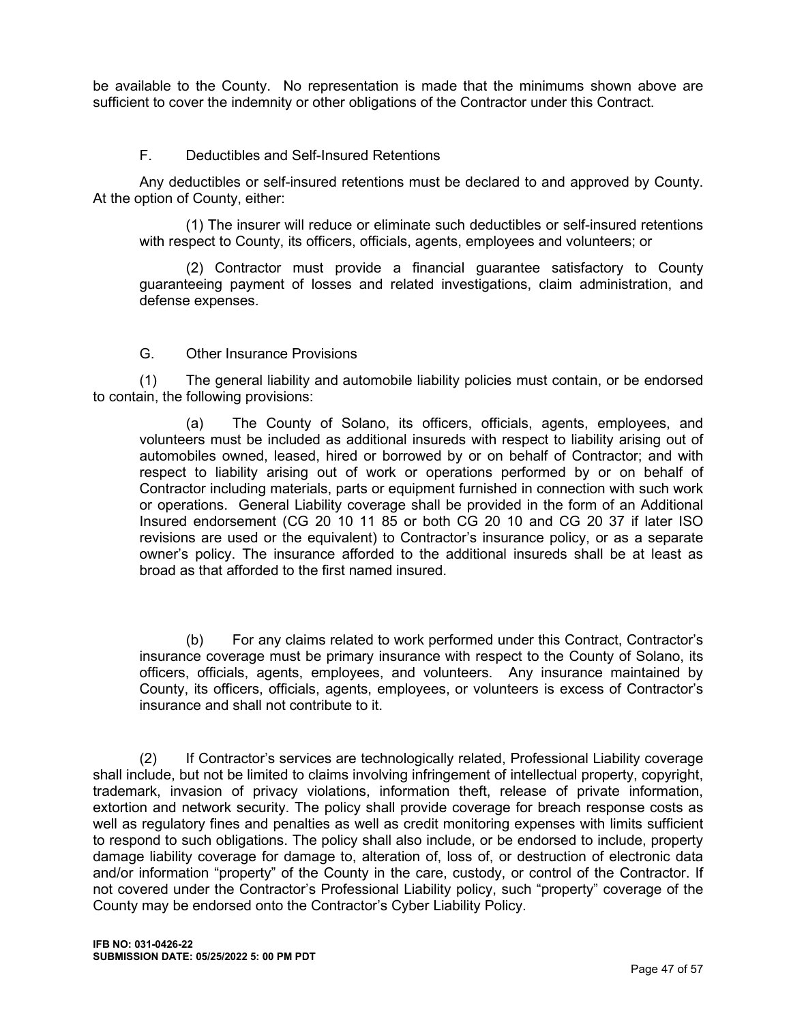be available to the County. No representation is made that the minimums shown above are sufficient to cover the indemnity or other obligations of the Contractor under this Contract.

F. Deductibles and Self-Insured Retentions

Any deductibles or self-insured retentions must be declared to and approved by County. At the option of County, either:

(1) The insurer will reduce or eliminate such deductibles or self-insured retentions with respect to County, its officers, officials, agents, employees and volunteers; or

(2) Contractor must provide a financial guarantee satisfactory to County guaranteeing payment of losses and related investigations, claim administration, and defense expenses.

### G. Other Insurance Provisions

(1) The general liability and automobile liability policies must contain, or be endorsed to contain, the following provisions:

(a) The County of Solano, its officers, officials, agents, employees, and volunteers must be included as additional insureds with respect to liability arising out of automobiles owned, leased, hired or borrowed by or on behalf of Contractor; and with respect to liability arising out of work or operations performed by or on behalf of Contractor including materials, parts or equipment furnished in connection with such work or operations. General Liability coverage shall be provided in the form of an Additional Insured endorsement (CG 20 10 11 85 or both CG 20 10 and CG 20 37 if later ISO revisions are used or the equivalent) to Contractor's insurance policy, or as a separate owner's policy. The insurance afforded to the additional insureds shall be at least as broad as that afforded to the first named insured.

(b) For any claims related to work performed under this Contract, Contractor's insurance coverage must be primary insurance with respect to the County of Solano, its officers, officials, agents, employees, and volunteers. Any insurance maintained by County, its officers, officials, agents, employees, or volunteers is excess of Contractor's insurance and shall not contribute to it.

(2) If Contractor's services are technologically related, Professional Liability coverage shall include, but not be limited to claims involving infringement of intellectual property, copyright, trademark, invasion of privacy violations, information theft, release of private information, extortion and network security. The policy shall provide coverage for breach response costs as well as regulatory fines and penalties as well as credit monitoring expenses with limits sufficient to respond to such obligations. The policy shall also include, or be endorsed to include, property damage liability coverage for damage to, alteration of, loss of, or destruction of electronic data and/or information "property" of the County in the care, custody, or control of the Contractor. If not covered under the Contractor's Professional Liability policy, such "property" coverage of the County may be endorsed onto the Contractor's Cyber Liability Policy.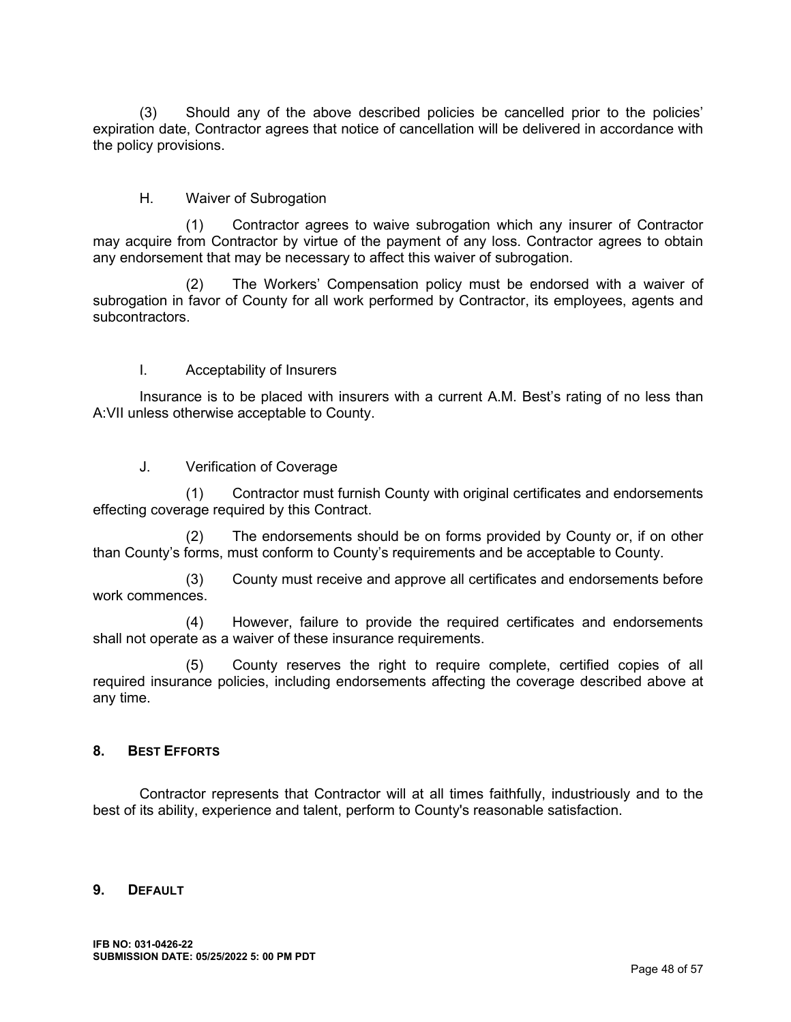(3) Should any of the above described policies be cancelled prior to the policies' expiration date, Contractor agrees that notice of cancellation will be delivered in accordance with the policy provisions.

### H. Waiver of Subrogation

(1) Contractor agrees to waive subrogation which any insurer of Contractor may acquire from Contractor by virtue of the payment of any loss. Contractor agrees to obtain any endorsement that may be necessary to affect this waiver of subrogation.

(2) The Workers' Compensation policy must be endorsed with a waiver of subrogation in favor of County for all work performed by Contractor, its employees, agents and subcontractors.

### I. Acceptability of Insurers

Insurance is to be placed with insurers with a current A.M. Best's rating of no less than A:VII unless otherwise acceptable to County.

### J. Verification of Coverage

(1) Contractor must furnish County with original certificates and endorsements effecting coverage required by this Contract.

(2) The endorsements should be on forms provided by County or, if on other than County's forms, must conform to County's requirements and be acceptable to County.

(3) County must receive and approve all certificates and endorsements before work commences.

(4) However, failure to provide the required certificates and endorsements shall not operate as a waiver of these insurance requirements.

(5) County reserves the right to require complete, certified copies of all required insurance policies, including endorsements affecting the coverage described above at any time.

### **8. BEST EFFORTS**

Contractor represents that Contractor will at all times faithfully, industriously and to the best of its ability, experience and talent, perform to County's reasonable satisfaction.

### **9. DEFAULT**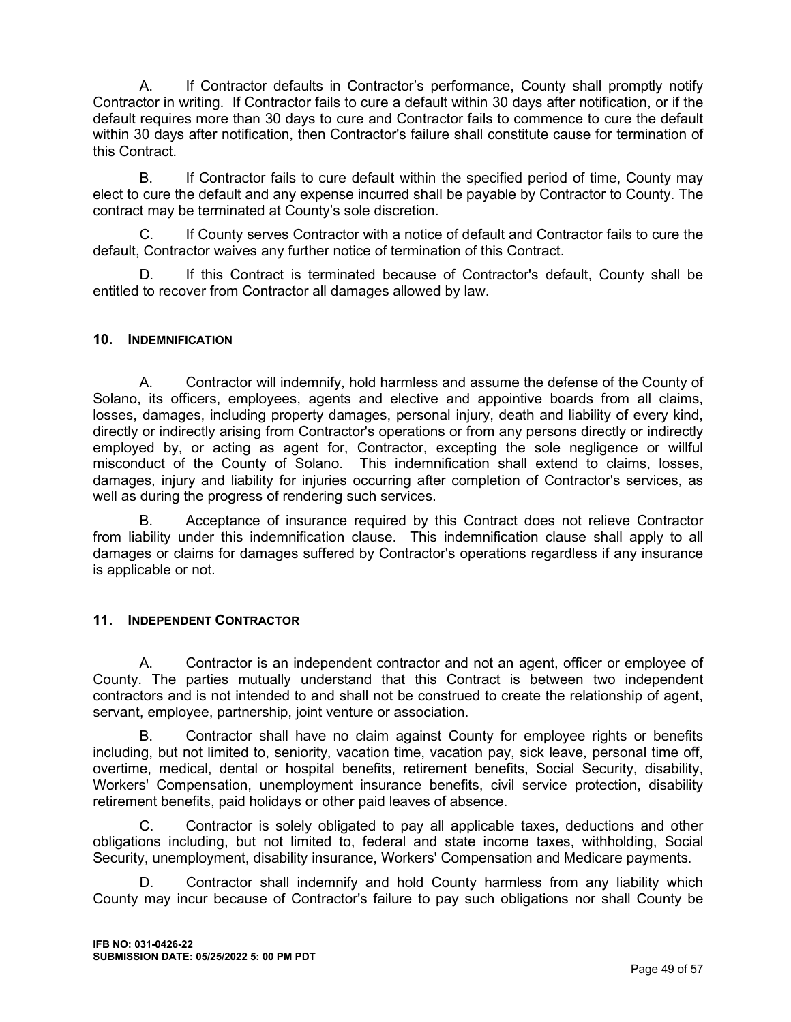A. If Contractor defaults in Contractor's performance, County shall promptly notify Contractor in writing. If Contractor fails to cure a default within 30 days after notification, or if the default requires more than 30 days to cure and Contractor fails to commence to cure the default within 30 days after notification, then Contractor's failure shall constitute cause for termination of this Contract.

B. If Contractor fails to cure default within the specified period of time, County may elect to cure the default and any expense incurred shall be payable by Contractor to County. The contract may be terminated at County's sole discretion.

C. If County serves Contractor with a notice of default and Contractor fails to cure the default, Contractor waives any further notice of termination of this Contract.

D. If this Contract is terminated because of Contractor's default, County shall be entitled to recover from Contractor all damages allowed by law.

### **10. INDEMNIFICATION**

A. Contractor will indemnify, hold harmless and assume the defense of the County of Solano, its officers, employees, agents and elective and appointive boards from all claims, losses, damages, including property damages, personal injury, death and liability of every kind, directly or indirectly arising from Contractor's operations or from any persons directly or indirectly employed by, or acting as agent for, Contractor, excepting the sole negligence or willful misconduct of the County of Solano. This indemnification shall extend to claims, losses, damages, injury and liability for injuries occurring after completion of Contractor's services, as well as during the progress of rendering such services.

B. Acceptance of insurance required by this Contract does not relieve Contractor from liability under this indemnification clause. This indemnification clause shall apply to all damages or claims for damages suffered by Contractor's operations regardless if any insurance is applicable or not.

### **11. INDEPENDENT CONTRACTOR**

A. Contractor is an independent contractor and not an agent, officer or employee of County. The parties mutually understand that this Contract is between two independent contractors and is not intended to and shall not be construed to create the relationship of agent, servant, employee, partnership, joint venture or association.

B. Contractor shall have no claim against County for employee rights or benefits including, but not limited to, seniority, vacation time, vacation pay, sick leave, personal time off, overtime, medical, dental or hospital benefits, retirement benefits, Social Security, disability, Workers' Compensation, unemployment insurance benefits, civil service protection, disability retirement benefits, paid holidays or other paid leaves of absence.

C. Contractor is solely obligated to pay all applicable taxes, deductions and other obligations including, but not limited to, federal and state income taxes, withholding, Social Security, unemployment, disability insurance, Workers' Compensation and Medicare payments.

D. Contractor shall indemnify and hold County harmless from any liability which County may incur because of Contractor's failure to pay such obligations nor shall County be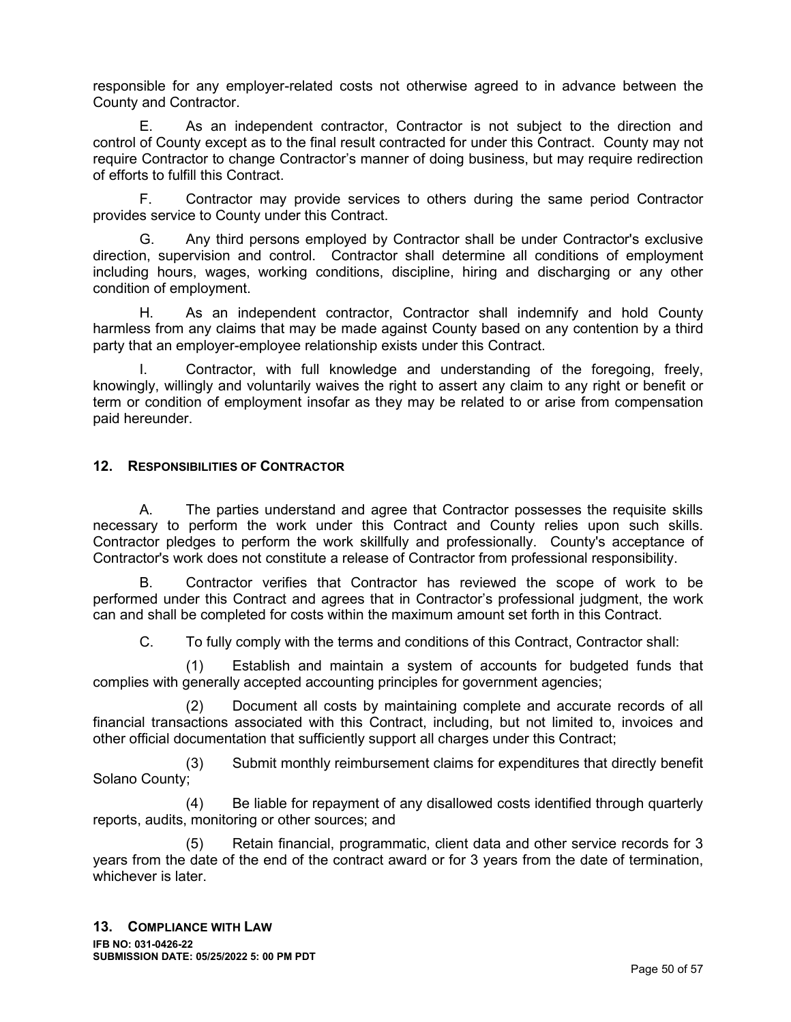responsible for any employer-related costs not otherwise agreed to in advance between the County and Contractor.

E. As an independent contractor, Contractor is not subject to the direction and control of County except as to the final result contracted for under this Contract. County may not require Contractor to change Contractor's manner of doing business, but may require redirection of efforts to fulfill this Contract.

F. Contractor may provide services to others during the same period Contractor provides service to County under this Contract.

G. Any third persons employed by Contractor shall be under Contractor's exclusive direction, supervision and control. Contractor shall determine all conditions of employment including hours, wages, working conditions, discipline, hiring and discharging or any other condition of employment.

H. As an independent contractor, Contractor shall indemnify and hold County harmless from any claims that may be made against County based on any contention by a third party that an employer-employee relationship exists under this Contract.

I. Contractor, with full knowledge and understanding of the foregoing, freely, knowingly, willingly and voluntarily waives the right to assert any claim to any right or benefit or term or condition of employment insofar as they may be related to or arise from compensation paid hereunder.

### **12. RESPONSIBILITIES OF CONTRACTOR**

A. The parties understand and agree that Contractor possesses the requisite skills necessary to perform the work under this Contract and County relies upon such skills. Contractor pledges to perform the work skillfully and professionally. County's acceptance of Contractor's work does not constitute a release of Contractor from professional responsibility.

B. Contractor verifies that Contractor has reviewed the scope of work to be performed under this Contract and agrees that in Contractor's professional judgment, the work can and shall be completed for costs within the maximum amount set forth in this Contract.

C. To fully comply with the terms and conditions of this Contract, Contractor shall:

(1) Establish and maintain a system of accounts for budgeted funds that complies with generally accepted accounting principles for government agencies;

(2) Document all costs by maintaining complete and accurate records of all financial transactions associated with this Contract, including, but not limited to, invoices and other official documentation that sufficiently support all charges under this Contract;

(3) Submit monthly reimbursement claims for expenditures that directly benefit Solano County;

(4) Be liable for repayment of any disallowed costs identified through quarterly reports, audits, monitoring or other sources; and

(5) Retain financial, programmatic, client data and other service records for 3 years from the date of the end of the contract award or for 3 years from the date of termination, whichever is later.

### **13. COMPLIANCE WITH LAW**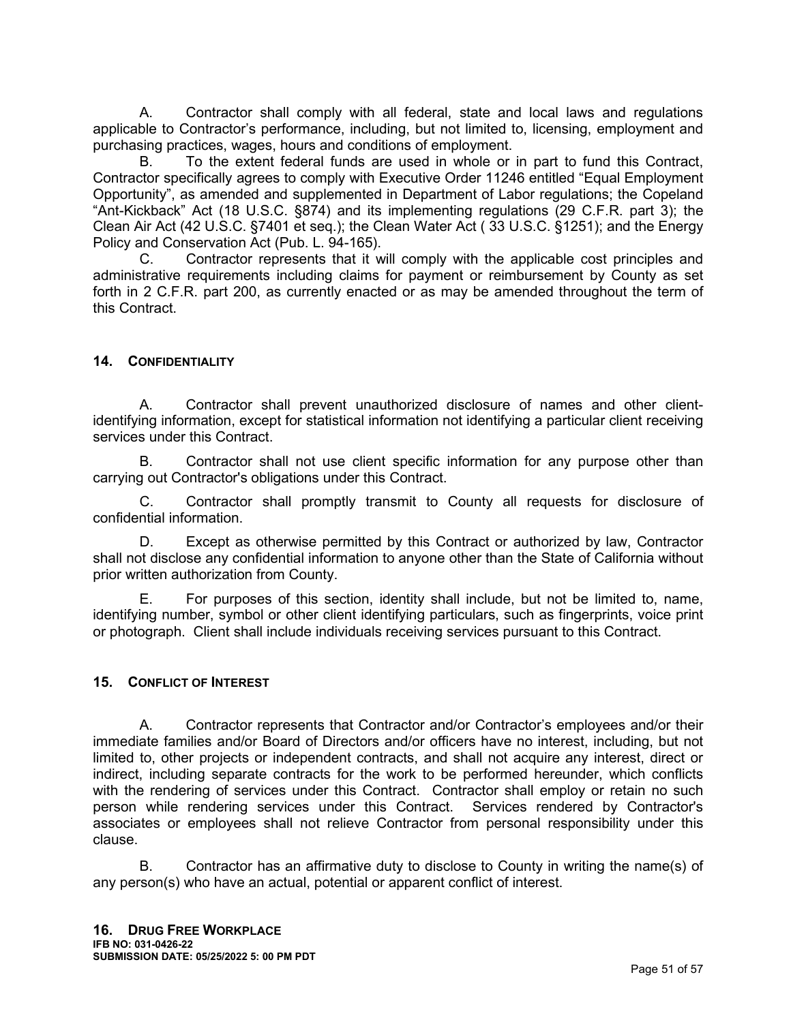A. Contractor shall comply with all federal, state and local laws and regulations applicable to Contractor's performance, including, but not limited to, licensing, employment and purchasing practices, wages, hours and conditions of employment.

B. To the extent federal funds are used in whole or in part to fund this Contract, Contractor specifically agrees to comply with Executive Order 11246 entitled "Equal Employment Opportunity", as amended and supplemented in Department of Labor regulations; the Copeland "Ant-Kickback" Act (18 U.S.C. §874) and its implementing regulations (29 C.F.R. part 3); the Clean Air Act (42 U.S.C. §7401 et seq.); the Clean Water Act ( 33 U.S.C. §1251); and the Energy Policy and Conservation Act (Pub. L. 94-165).

C. Contractor represents that it will comply with the applicable cost principles and administrative requirements including claims for payment or reimbursement by County as set forth in 2 C.F.R. part 200, as currently enacted or as may be amended throughout the term of this Contract.

### **14. CONFIDENTIALITY**

A. Contractor shall prevent unauthorized disclosure of names and other clientidentifying information, except for statistical information not identifying a particular client receiving services under this Contract.

B. Contractor shall not use client specific information for any purpose other than carrying out Contractor's obligations under this Contract.

C. Contractor shall promptly transmit to County all requests for disclosure of confidential information.

D. Except as otherwise permitted by this Contract or authorized by law, Contractor shall not disclose any confidential information to anyone other than the State of California without prior written authorization from County.

E. For purposes of this section, identity shall include, but not be limited to, name, identifying number, symbol or other client identifying particulars, such as fingerprints, voice print or photograph. Client shall include individuals receiving services pursuant to this Contract.

### **15. CONFLICT OF INTEREST**

A. Contractor represents that Contractor and/or Contractor's employees and/or their immediate families and/or Board of Directors and/or officers have no interest, including, but not limited to, other projects or independent contracts, and shall not acquire any interest, direct or indirect, including separate contracts for the work to be performed hereunder, which conflicts with the rendering of services under this Contract. Contractor shall employ or retain no such person while rendering services under this Contract. Services rendered by Contractor's associates or employees shall not relieve Contractor from personal responsibility under this clause.

B. Contractor has an affirmative duty to disclose to County in writing the name(s) of any person(s) who have an actual, potential or apparent conflict of interest.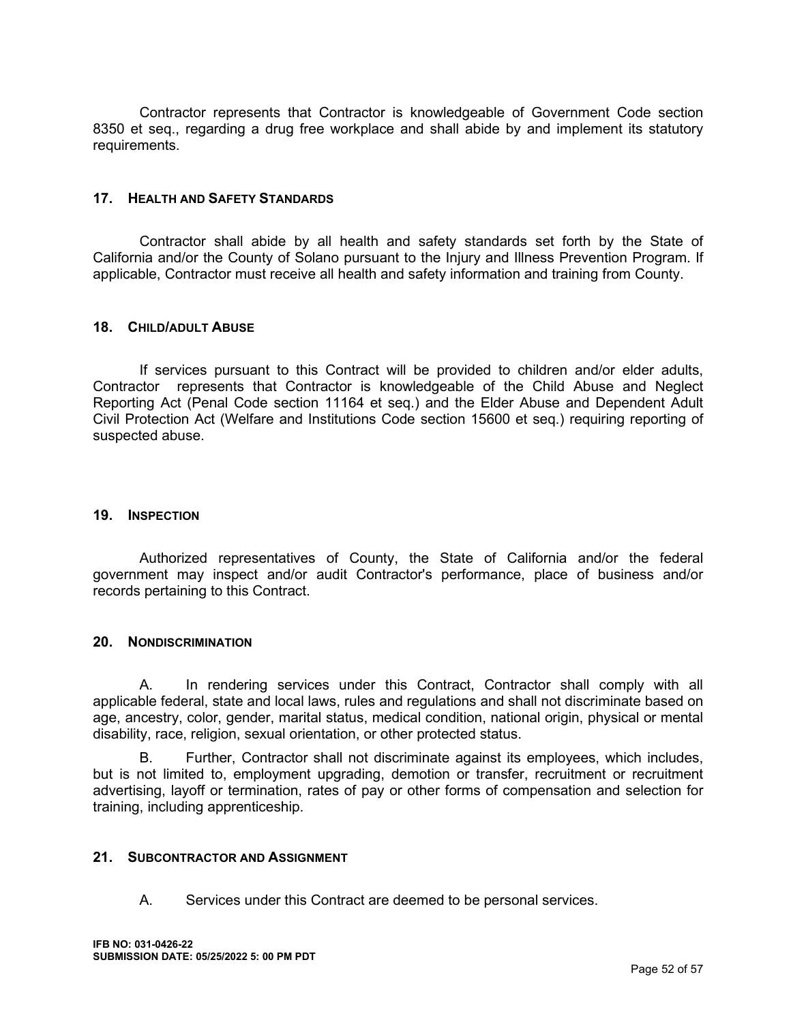Contractor represents that Contractor is knowledgeable of Government Code section 8350 et seq., regarding a drug free workplace and shall abide by and implement its statutory requirements.

#### **17. HEALTH AND SAFETY STANDARDS**

Contractor shall abide by all health and safety standards set forth by the State of California and/or the County of Solano pursuant to the Injury and Illness Prevention Program. If applicable, Contractor must receive all health and safety information and training from County.

#### **18. CHILD/ADULT ABUSE**

If services pursuant to this Contract will be provided to children and/or elder adults, Contractor represents that Contractor is knowledgeable of the Child Abuse and Neglect Reporting Act (Penal Code section 11164 et seq.) and the Elder Abuse and Dependent Adult Civil Protection Act (Welfare and Institutions Code section 15600 et seq.) requiring reporting of suspected abuse.

#### **19. INSPECTION**

Authorized representatives of County, the State of California and/or the federal government may inspect and/or audit Contractor's performance, place of business and/or records pertaining to this Contract.

### **20. NONDISCRIMINATION**

A. In rendering services under this Contract, Contractor shall comply with all applicable federal, state and local laws, rules and regulations and shall not discriminate based on age, ancestry, color, gender, marital status, medical condition, national origin, physical or mental disability, race, religion, sexual orientation, or other protected status.

B. Further, Contractor shall not discriminate against its employees, which includes, but is not limited to, employment upgrading, demotion or transfer, recruitment or recruitment advertising, layoff or termination, rates of pay or other forms of compensation and selection for training, including apprenticeship.

#### **21. SUBCONTRACTOR AND ASSIGNMENT**

A. Services under this Contract are deemed to be personal services.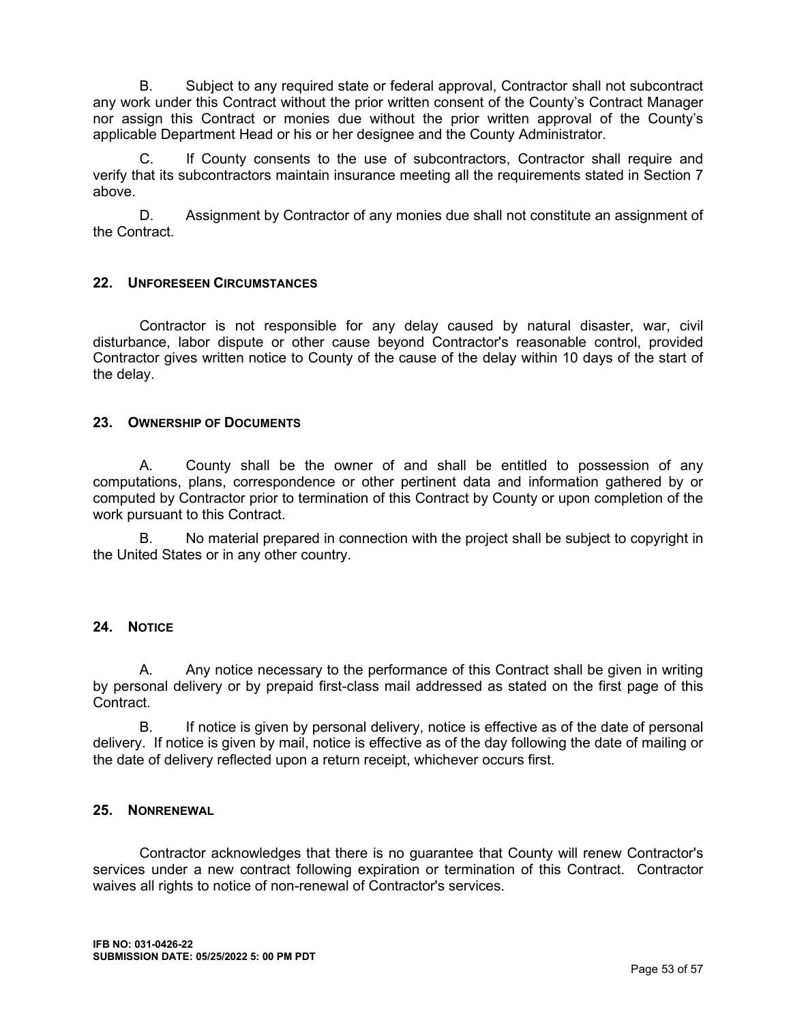B. Subject to any required state or federal approval, Contractor shall not subcontract any work under this Contract without the prior written consent of the County's Contract Manager nor assign this Contract or monies due without the prior written approval of the County's applicable Department Head or his or her designee and the County Administrator.

C. If County consents to the use of subcontractors, Contractor shall require and verify that its subcontractors maintain insurance meeting all the requirements stated in Section 7 above.

D. Assignment by Contractor of any monies due shall not constitute an assignment of the Contract.

### **22. UNFORESEEN CIRCUMSTANCES**

Contractor is not responsible for any delay caused by natural disaster, war, civil disturbance, labor dispute or other cause beyond Contractor's reasonable control, provided Contractor gives written notice to County of the cause of the delay within 10 days of the start of the delay.

### **23. OWNERSHIP OF DOCUMENTS**

A. County shall be the owner of and shall be entitled to possession of any computations, plans, correspondence or other pertinent data and information gathered by or computed by Contractor prior to termination of this Contract by County or upon completion of the work pursuant to this Contract.

B. No material prepared in connection with the project shall be subject to copyright in the United States or in any other country.

### **24. NOTICE**

A. Any notice necessary to the performance of this Contract shall be given in writing by personal delivery or by prepaid first-class mail addressed as stated on the first page of this Contract.

B. If notice is given by personal delivery, notice is effective as of the date of personal delivery. If notice is given by mail, notice is effective as of the day following the date of mailing or the date of delivery reflected upon a return receipt, whichever occurs first.

### **25. NONRENEWAL**

Contractor acknowledges that there is no guarantee that County will renew Contractor's services under a new contract following expiration or termination of this Contract. Contractor waives all rights to notice of non-renewal of Contractor's services.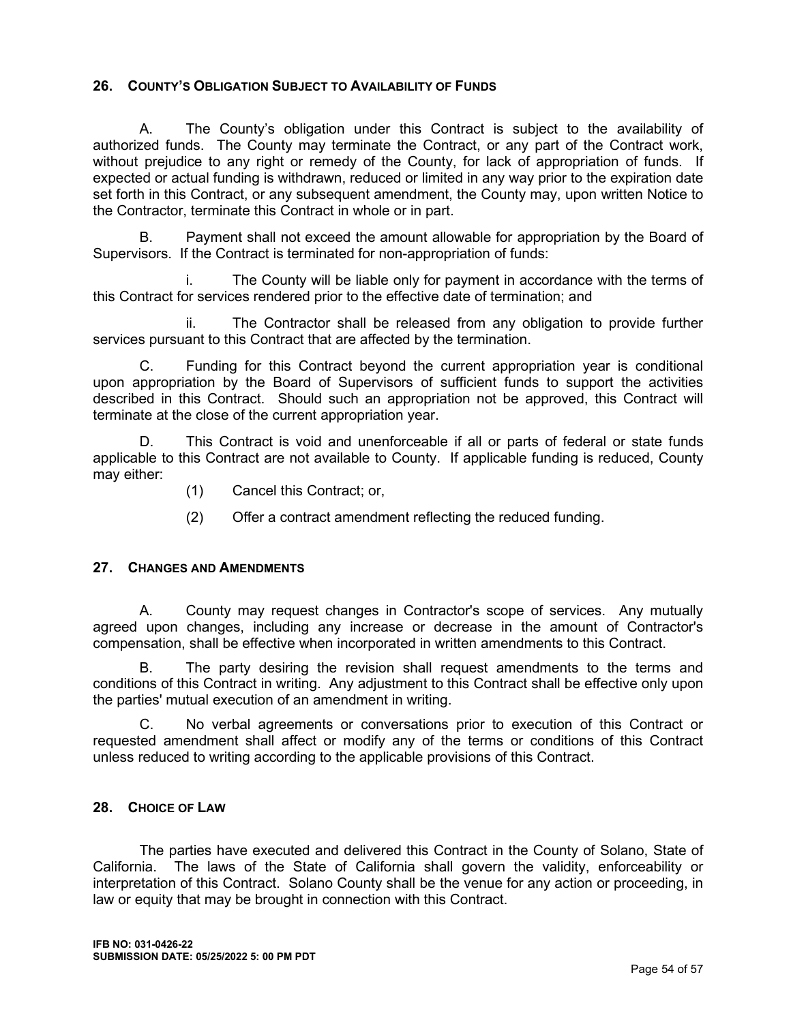### **26. COUNTY'S OBLIGATION SUBJECT TO AVAILABILITY OF FUNDS**

A. The County's obligation under this Contract is subject to the availability of authorized funds. The County may terminate the Contract, or any part of the Contract work, without prejudice to any right or remedy of the County, for lack of appropriation of funds. If expected or actual funding is withdrawn, reduced or limited in any way prior to the expiration date set forth in this Contract, or any subsequent amendment, the County may, upon written Notice to the Contractor, terminate this Contract in whole or in part.

B. Payment shall not exceed the amount allowable for appropriation by the Board of Supervisors. If the Contract is terminated for non-appropriation of funds:

i. The County will be liable only for payment in accordance with the terms of this Contract for services rendered prior to the effective date of termination; and

The Contractor shall be released from any obligation to provide further services pursuant to this Contract that are affected by the termination.

C. Funding for this Contract beyond the current appropriation year is conditional upon appropriation by the Board of Supervisors of sufficient funds to support the activities described in this Contract. Should such an appropriation not be approved, this Contract will terminate at the close of the current appropriation year.

D. This Contract is void and unenforceable if all or parts of federal or state funds applicable to this Contract are not available to County. If applicable funding is reduced, County may either:

- (1) Cancel this Contract; or,
- (2) Offer a contract amendment reflecting the reduced funding.

### **27. CHANGES AND AMENDMENTS**

A. County may request changes in Contractor's scope of services. Any mutually agreed upon changes, including any increase or decrease in the amount of Contractor's compensation, shall be effective when incorporated in written amendments to this Contract.

B. The party desiring the revision shall request amendments to the terms and conditions of this Contract in writing. Any adjustment to this Contract shall be effective only upon the parties' mutual execution of an amendment in writing.

C. No verbal agreements or conversations prior to execution of this Contract or requested amendment shall affect or modify any of the terms or conditions of this Contract unless reduced to writing according to the applicable provisions of this Contract.

### **28. CHOICE OF LAW**

The parties have executed and delivered this Contract in the County of Solano, State of California. The laws of the State of California shall govern the validity, enforceability or interpretation of this Contract. Solano County shall be the venue for any action or proceeding, in law or equity that may be brought in connection with this Contract.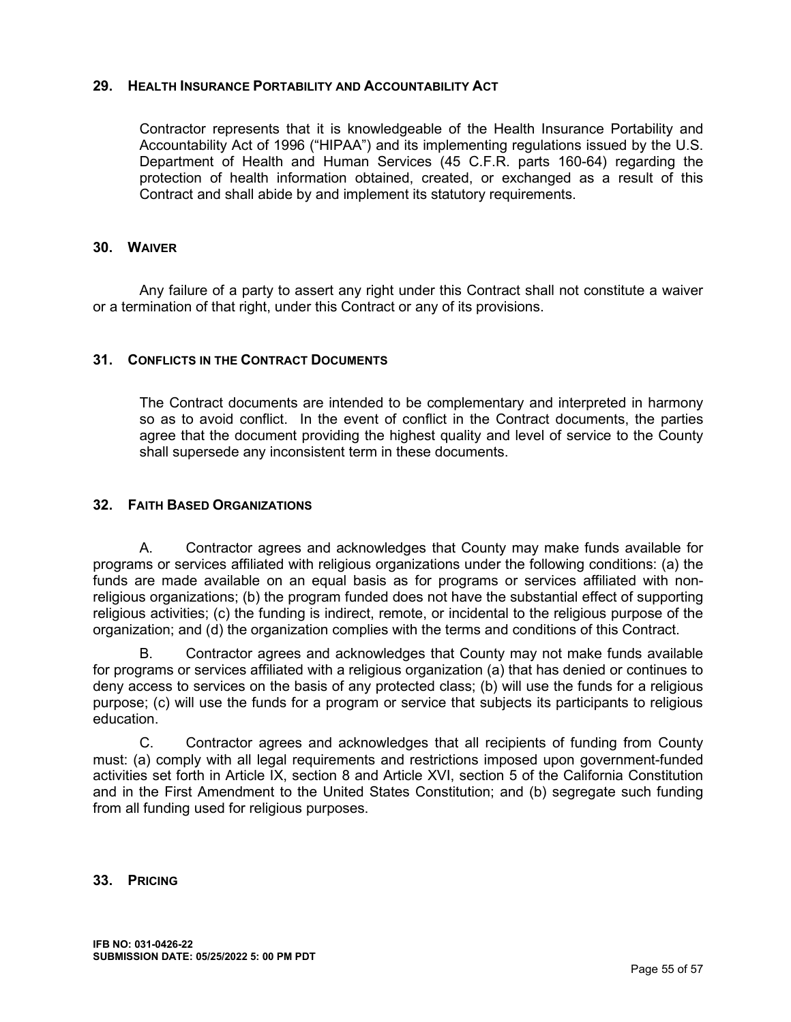### **29. HEALTH INSURANCE PORTABILITY AND ACCOUNTABILITY ACT**

Contractor represents that it is knowledgeable of the Health Insurance Portability and Accountability Act of 1996 ("HIPAA") and its implementing regulations issued by the U.S. Department of Health and Human Services (45 C.F.R. parts 160-64) regarding the protection of health information obtained, created, or exchanged as a result of this Contract and shall abide by and implement its statutory requirements.

### **30. WAIVER**

Any failure of a party to assert any right under this Contract shall not constitute a waiver or a termination of that right, under this Contract or any of its provisions.

### **31. CONFLICTS IN THE CONTRACT DOCUMENTS**

The Contract documents are intended to be complementary and interpreted in harmony so as to avoid conflict. In the event of conflict in the Contract documents, the parties agree that the document providing the highest quality and level of service to the County shall supersede any inconsistent term in these documents.

### **32. FAITH BASED ORGANIZATIONS**

A. Contractor agrees and acknowledges that County may make funds available for programs or services affiliated with religious organizations under the following conditions: (a) the funds are made available on an equal basis as for programs or services affiliated with nonreligious organizations; (b) the program funded does not have the substantial effect of supporting religious activities; (c) the funding is indirect, remote, or incidental to the religious purpose of the organization; and (d) the organization complies with the terms and conditions of this Contract.

B. Contractor agrees and acknowledges that County may not make funds available for programs or services affiliated with a religious organization (a) that has denied or continues to deny access to services on the basis of any protected class; (b) will use the funds for a religious purpose; (c) will use the funds for a program or service that subjects its participants to religious education.

C. Contractor agrees and acknowledges that all recipients of funding from County must: (a) comply with all legal requirements and restrictions imposed upon government-funded activities set forth in Article IX, section 8 and Article XVI, section 5 of the California Constitution and in the First Amendment to the United States Constitution; and (b) segregate such funding from all funding used for religious purposes.

### **33. PRICING**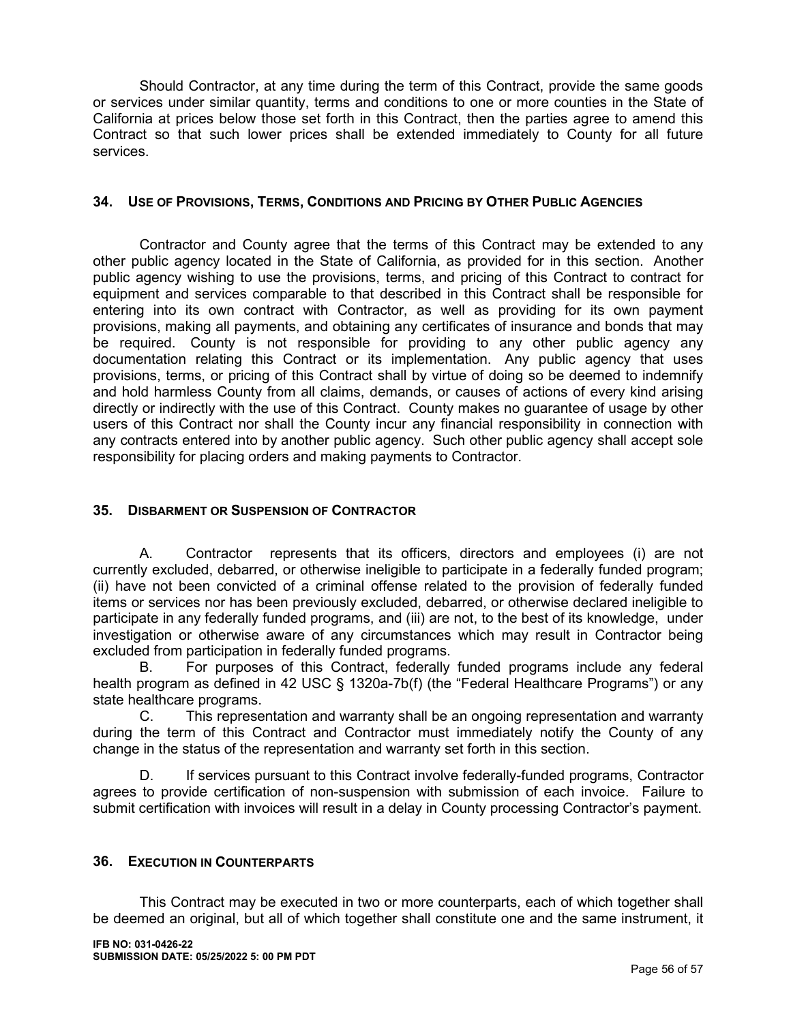Should Contractor, at any time during the term of this Contract, provide the same goods or services under similar quantity, terms and conditions to one or more counties in the State of California at prices below those set forth in this Contract, then the parties agree to amend this Contract so that such lower prices shall be extended immediately to County for all future services.

### **34. USE OF PROVISIONS, TERMS, CONDITIONS AND PRICING BY OTHER PUBLIC AGENCIES**

Contractor and County agree that the terms of this Contract may be extended to any other public agency located in the State of California, as provided for in this section. Another public agency wishing to use the provisions, terms, and pricing of this Contract to contract for equipment and services comparable to that described in this Contract shall be responsible for entering into its own contract with Contractor, as well as providing for its own payment provisions, making all payments, and obtaining any certificates of insurance and bonds that may be required. County is not responsible for providing to any other public agency any documentation relating this Contract or its implementation. Any public agency that uses provisions, terms, or pricing of this Contract shall by virtue of doing so be deemed to indemnify and hold harmless County from all claims, demands, or causes of actions of every kind arising directly or indirectly with the use of this Contract. County makes no guarantee of usage by other users of this Contract nor shall the County incur any financial responsibility in connection with any contracts entered into by another public agency. Such other public agency shall accept sole responsibility for placing orders and making payments to Contractor.

### **35. DISBARMENT OR SUSPENSION OF CONTRACTOR**

A. Contractor represents that its officers, directors and employees (i) are not currently excluded, debarred, or otherwise ineligible to participate in a federally funded program; (ii) have not been convicted of a criminal offense related to the provision of federally funded items or services nor has been previously excluded, debarred, or otherwise declared ineligible to participate in any federally funded programs, and (iii) are not, to the best of its knowledge, under investigation or otherwise aware of any circumstances which may result in Contractor being excluded from participation in federally funded programs.

B. For purposes of this Contract, federally funded programs include any federal health program as defined in 42 USC § 1320a-7b(f) (the "Federal Healthcare Programs") or any state healthcare programs.

C. This representation and warranty shall be an ongoing representation and warranty during the term of this Contract and Contractor must immediately notify the County of any change in the status of the representation and warranty set forth in this section.

D. If services pursuant to this Contract involve federally-funded programs, Contractor agrees to provide certification of non-suspension with submission of each invoice. Failure to submit certification with invoices will result in a delay in County processing Contractor's payment.

### **36. EXECUTION IN COUNTERPARTS**

This Contract may be executed in two or more counterparts, each of which together shall be deemed an original, but all of which together shall constitute one and the same instrument, it